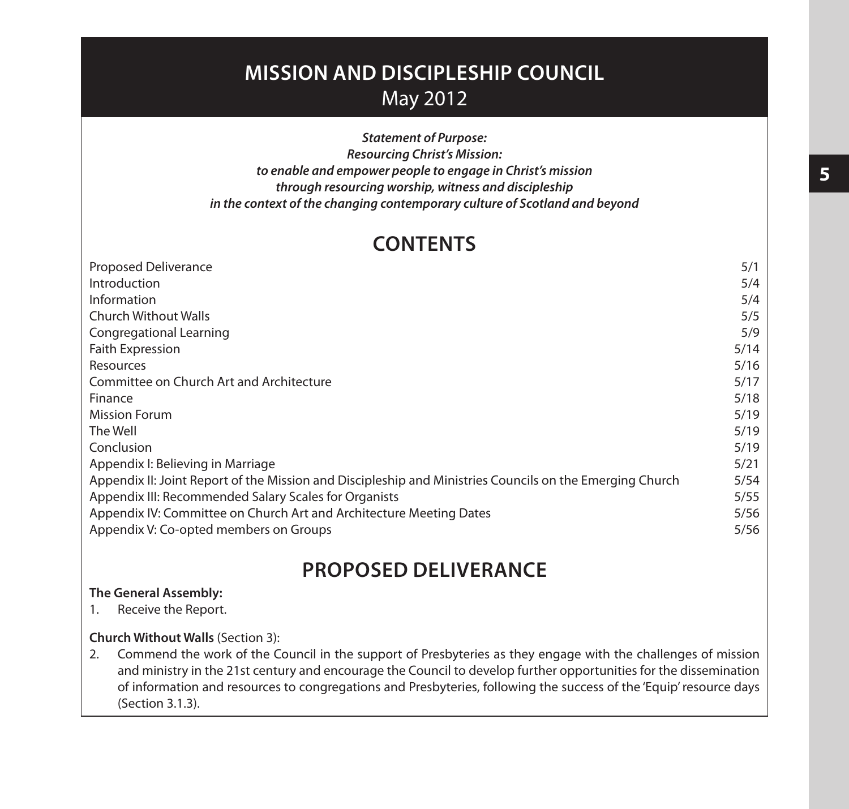# **MISSION AND DISCIPLESHIP COUNCIL** May 2012

*Statement of Purpose: Resourcing Christ's Mission: to enable and empower people to engage in Christ's mission through resourcing worship, witness and discipleship in the context of the changing contemporary culture of Scotland and beyond*

# **CONTENTS**

| <b>Proposed Deliverance</b>                                                                              | 5/1  |
|----------------------------------------------------------------------------------------------------------|------|
| Introduction                                                                                             | 5/4  |
| Information                                                                                              | 5/4  |
| Church Without Walls                                                                                     | 5/5  |
| Congregational Learning                                                                                  | 5/9  |
| Faith Expression                                                                                         | 5/14 |
| Resources                                                                                                | 5/16 |
| Committee on Church Art and Architecture                                                                 | 5/17 |
| Finance                                                                                                  | 5/18 |
| <b>Mission Forum</b>                                                                                     | 5/19 |
| The Well                                                                                                 | 5/19 |
| Conclusion                                                                                               | 5/19 |
| Appendix I: Believing in Marriage                                                                        | 5/21 |
| Appendix II: Joint Report of the Mission and Discipleship and Ministries Councils on the Emerging Church | 5/54 |
| Appendix III: Recommended Salary Scales for Organists                                                    | 5/55 |
| Appendix IV: Committee on Church Art and Architecture Meeting Dates                                      | 5/56 |
| Appendix V: Co-opted members on Groups                                                                   | 5/56 |

# **PROPOSED DELIVERANCE**

### **The General Assembly:**

1. Receive the Report.

### **Church Without Walls** (Section 3):

2. Commend the work of the Council in the support of Presbyteries as they engage with the challenges of mission and ministry in the 21st century and encourage the Council to develop further opportunities for the dissemination of information and resources to congregations and Presbyteries, following the success of the 'Equip' resource days (Section 3.1.3).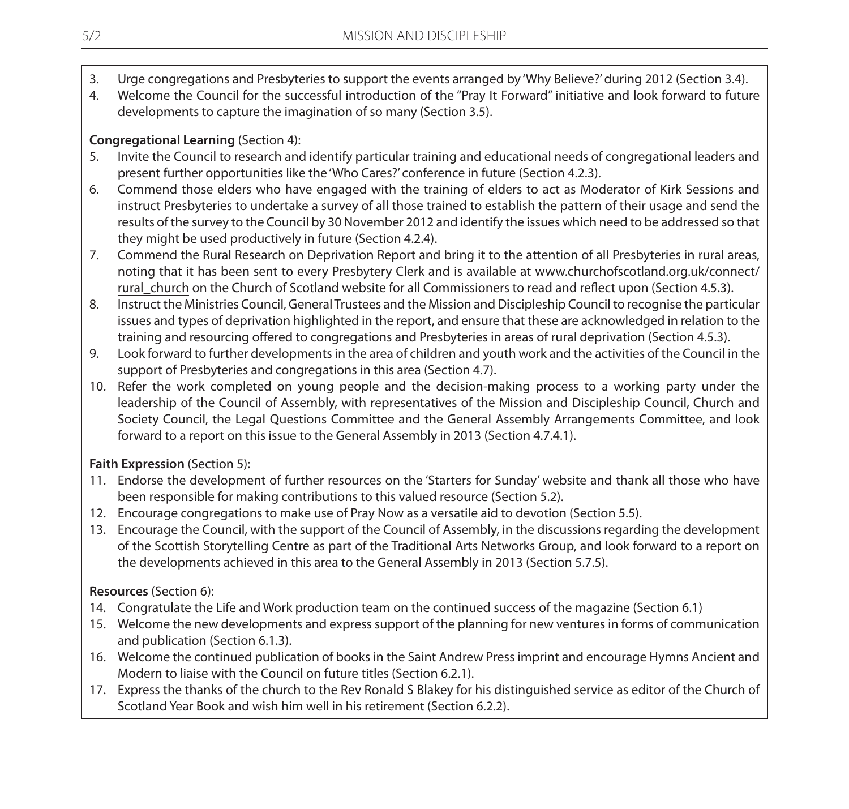- 3. Urge congregations and Presbyteries to support the events arranged by 'Why Believe?' during 2012 (Section 3.4).
- 4. Welcome the Council for the successful introduction of the "Pray It Forward" initiative and look forward to future developments to capture the imagination of so many (Section 3.5).

# **Congregational Learning** (Section 4):

- 5. Invite the Council to research and identify particular training and educational needs of congregational leaders and present further opportunities like the 'Who Cares?' conference in future (Section 4.2.3).
- 6. Commend those elders who have engaged with the training of elders to act as Moderator of Kirk Sessions and instruct Presbyteries to undertake a survey of all those trained to establish the pattern of their usage and send the results of the survey to the Council by 30 November 2012 and identify the issues which need to be addressed so that they might be used productively in future (Section 4.2.4).
- 7. Commend the Rural Research on Deprivation Report and bring it to the attention of all Presbyteries in rural areas, noting that it has been sent to every Presbytery Clerk and is available at www.churchofscotland.org.uk/connect/ rural church on the Church of Scotland website for all Commissioners to read and reflect upon (Section 4.5.3).
- 8. Instruct the Ministries Council, General Trustees and the Mission and Discipleship Council to recognise the particular issues and types of deprivation highlighted in the report, and ensure that these are acknowledged in relation to the training and resourcing offered to congregations and Presbyteries in areas of rural deprivation (Section 4.5.3).
- 9. Look forward to further developments in the area of children and youth work and the activities of the Council in the support of Presbyteries and congregations in this area (Section 4.7).
- 10. Refer the work completed on young people and the decision-making process to a working party under the leadership of the Council of Assembly, with representatives of the Mission and Discipleship Council, Church and Society Council, the Legal Questions Committee and the General Assembly Arrangements Committee, and look forward to a report on this issue to the General Assembly in 2013 (Section 4.7.4.1).

# **Faith Expression** (Section 5):

- 11. Endorse the development of further resources on the 'Starters for Sunday' website and thank all those who have been responsible for making contributions to this valued resource (Section 5.2).
- 12. Encourage congregations to make use of Pray Now as a versatile aid to devotion (Section 5.5).
- 13. Encourage the Council, with the support of the Council of Assembly, in the discussions regarding the development of the Scottish Storytelling Centre as part of the Traditional Arts Networks Group, and look forward to a report on the developments achieved in this area to the General Assembly in 2013 (Section 5.7.5).

# **Resources** (Section 6):

- 14. Congratulate the Life and Work production team on the continued success of the magazine (Section 6.1)
- 15. Welcome the new developments and express support of the planning for new ventures in forms of communication and publication (Section 6.1.3).
- 16. Welcome the continued publication of books in the Saint Andrew Press imprint and encourage Hymns Ancient and Modern to liaise with the Council on future titles (Section 6.2.1).
- 17. Express the thanks of the church to the Rev Ronald S Blakey for his distinguished service as editor of the Church of Scotland Year Book and wish him well in his retirement (Section 6.2.2).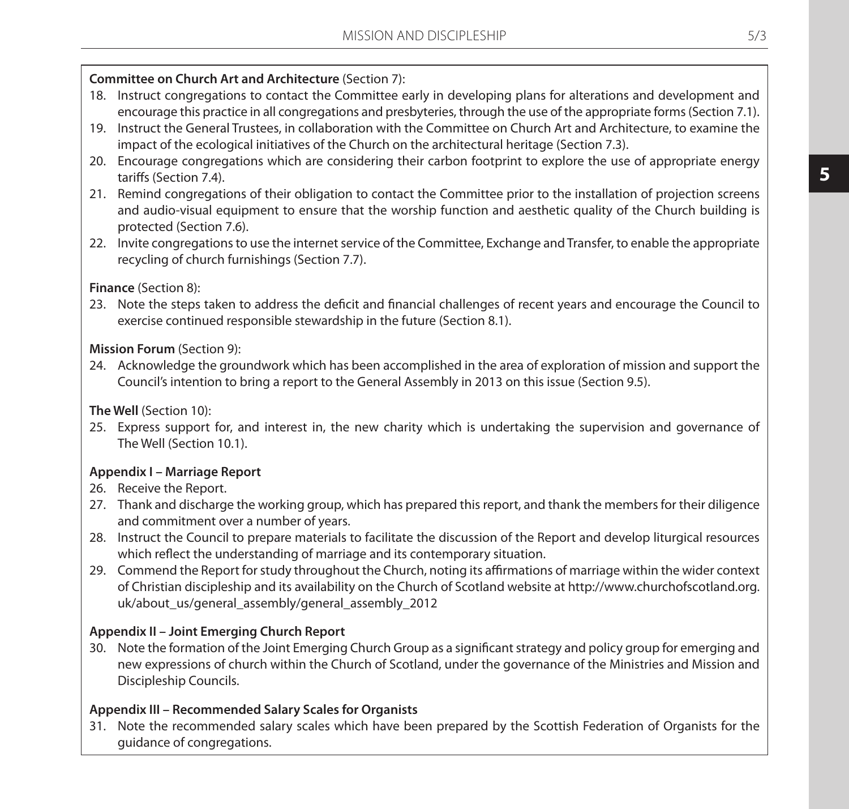# **Committee on Church Art and Architecture** (Section 7):

- 18. Instruct congregations to contact the Committee early in developing plans for alterations and development and encourage this practice in all congregations and presbyteries, through the use of the appropriate forms (Section 7.1).
- 19. Instruct the General Trustees, in collaboration with the Committee on Church Art and Architecture, to examine the impact of the ecological initiatives of the Church on the architectural heritage (Section 7.3).
- 20. Encourage congregations which are considering their carbon footprint to explore the use of appropriate energy tariffs (Section 7.4).
- 21. Remind congregations of their obligation to contact the Committee prior to the installation of projection screens and audio-visual equipment to ensure that the worship function and aesthetic quality of the Church building is protected (Section 7.6).
- 22. Invite congregations to use the internet service of the Committee, Exchange and Transfer, to enable the appropriate recycling of church furnishings (Section 7.7).

# **Finance** (Section 8):

23. Note the steps taken to address the deficit and financial challenges of recent years and encourage the Council to exercise continued responsible stewardship in the future (Section 8.1).

# **Mission Forum** (Section 9):

24. Acknowledge the groundwork which has been accomplished in the area of exploration of mission and support the Council's intention to bring a report to the General Assembly in 2013 on this issue (Section 9.5).

**The Well** (Section 10):

25. Express support for, and interest in, the new charity which is undertaking the supervision and governance of The Well (Section 10.1).

### **Appendix I – Marriage Report**

26. Receive the Report.

- 27. Thank and discharge the working group, which has prepared this report, and thank the members for their diligence and commitment over a number of years.
- 28. Instruct the Council to prepare materials to facilitate the discussion of the Report and develop liturgical resources which reflect the understanding of marriage and its contemporary situation.
- 29. Commend the Report for study throughout the Church, noting its affirmations of marriage within the wider context of Christian discipleship and its availability on the Church of Scotland website at http://www.churchofscotland.org. uk/about\_us/general\_assembly/general\_assembly\_2012

# **Appendix II – Joint Emerging Church Report**

30. Note the formation of the Joint Emerging Church Group as a significant strategy and policy group for emerging and new expressions of church within the Church of Scotland, under the governance of the Ministries and Mission and Discipleship Councils.

# **Appendix III – Recommended Salary Scales for Organists**

31. Note the recommended salary scales which have been prepared by the Scottish Federation of Organists for the guidance of congregations.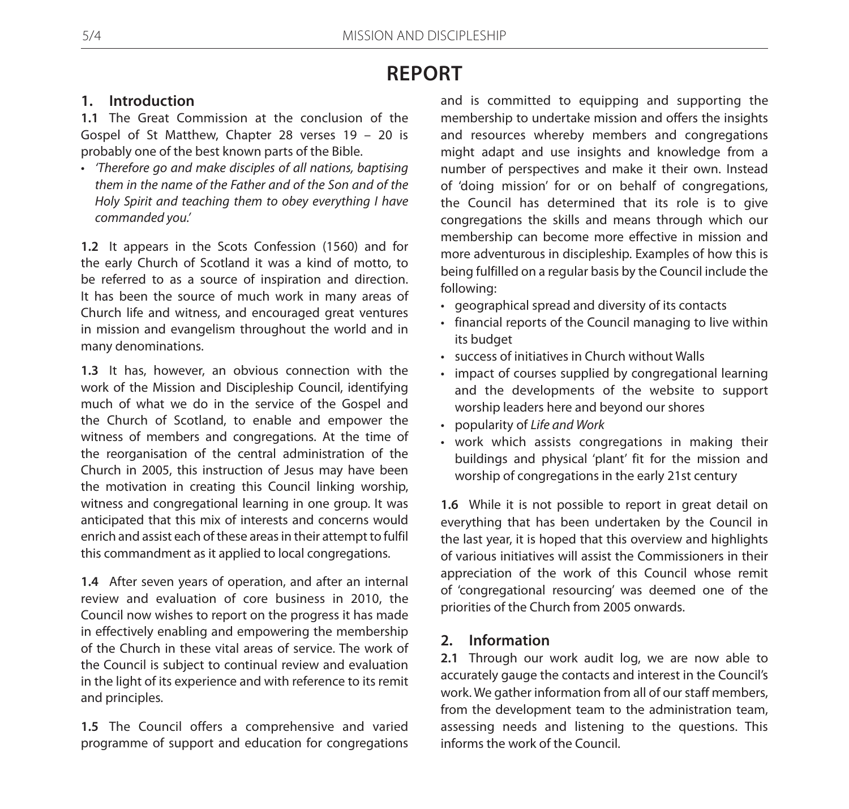# **REPORT**

# **1. Introduction**

**1.1** The Great Commission at the conclusion of the Gospel of St Matthew, Chapter 28 verses 19 – 20 is probably one of the best known parts of the Bible.

• *'Therefore go and make disciples of all nations, baptising them in the name of the Father and of the Son and of the Holy Spirit and teaching them to obey everything I have commanded you.'*

**1.2** It appears in the Scots Confession (1560) and for the early Church of Scotland it was a kind of motto, to be referred to as a source of inspiration and direction. It has been the source of much work in many areas of Church life and witness, and encouraged great ventures in mission and evangelism throughout the world and in many denominations.

**1.3** It has, however, an obvious connection with the work of the Mission and Discipleship Council, identifying much of what we do in the service of the Gospel and the Church of Scotland, to enable and empower the witness of members and congregations. At the time of the reorganisation of the central administration of the Church in 2005, this instruction of Jesus may have been the motivation in creating this Council linking worship, witness and congregational learning in one group. It was anticipated that this mix of interests and concerns would enrich and assist each of these areas in their attempt to fulfil this commandment as it applied to local congregations.

**1.4** After seven years of operation, and after an internal review and evaluation of core business in 2010, the Council now wishes to report on the progress it has made in effectively enabling and empowering the membership of the Church in these vital areas of service. The work of the Council is subject to continual review and evaluation in the light of its experience and with reference to its remit and principles.

**1.5** The Council offers a comprehensive and varied programme of support and education for congregations and is committed to equipping and supporting the membership to undertake mission and offers the insights and resources whereby members and congregations might adapt and use insights and knowledge from a number of perspectives and make it their own. Instead of 'doing mission' for or on behalf of congregations, the Council has determined that its role is to give congregations the skills and means through which our membership can become more effective in mission and more adventurous in discipleship. Examples of how this is being fulfilled on a regular basis by the Council include the following:

- • geographical spread and diversity of its contacts
- • financial reports of the Council managing to live within its budget
- • success of initiatives in Church without Walls
- impact of courses supplied by congregational learning and the developments of the website to support worship leaders here and beyond our shores
- • popularity of *Life and Work*
- • work which assists congregations in making their buildings and physical 'plant' fit for the mission and worship of congregations in the early 21st century

**1.6** While it is not possible to report in great detail on everything that has been undertaken by the Council in the last year, it is hoped that this overview and highlights of various initiatives will assist the Commissioners in their appreciation of the work of this Council whose remit of 'congregational resourcing' was deemed one of the priorities of the Church from 2005 onwards.

# **2. Information**

**2.1** Through our work audit log, we are now able to accurately gauge the contacts and interest in the Council's work. We gather information from all of our staff members, from the development team to the administration team, assessing needs and listening to the questions. This informs the work of the Council.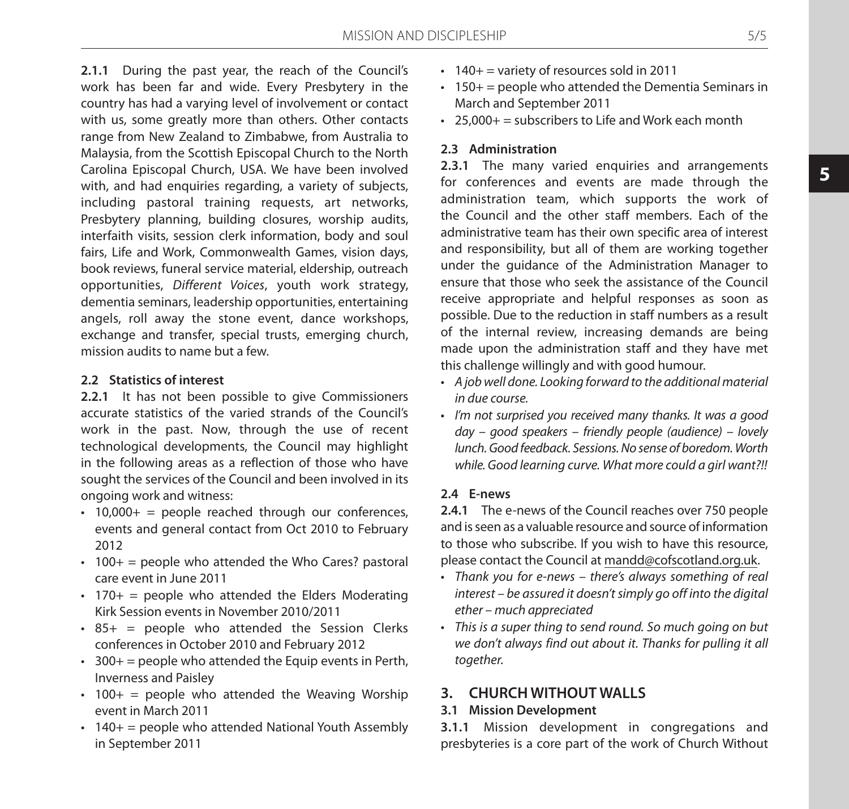**2.1.1** During the past year, the reach of the Council's work has been far and wide. Every Presbytery in the country has had a varying level of involvement or contact with us, some greatly more than others. Other contacts range from New Zealand to Zimbabwe, from Australia to Malaysia, from the Scottish Episcopal Church to the North Carolina Episcopal Church, USA. We have been involved with, and had enquiries regarding, a variety of subjects, including pastoral training requests, art networks, Presbytery planning, building closures, worship audits, interfaith visits, session clerk information, body and soul fairs, Life and Work, Commonwealth Games, vision days, book reviews, funeral service material, eldership, outreach opportunities, *Different Voices*, youth work strategy, dementia seminars, leadership opportunities, entertaining angels, roll away the stone event, dance workshops, exchange and transfer, special trusts, emerging church, mission audits to name but a few.

### **2.2 Statistics of interest**

**2.2.1** It has not been possible to give Commissioners accurate statistics of the varied strands of the Council's work in the past. Now, through the use of recent technological developments, the Council may highlight in the following areas as a reflection of those who have sought the services of the Council and been involved in its ongoing work and witness:

- $\cdot$  10,000+ = people reached through our conferences, events and general contact from Oct 2010 to February 2012
- $\cdot$  100+ = people who attended the Who Cares? pastoral care event in June 2011
- $\cdot$  170+ = people who attended the Elders Moderating Kirk Session events in November 2010/2011
- $\cdot$  85+ = people who attended the Session Clerks conferences in October 2010 and February 2012
- $\cdot$  300+ = people who attended the Equip events in Perth, Inverness and Paisley
- $\cdot$  100+ = people who attended the Weaving Worship event in March 2011
- $\cdot$  140+ = people who attended National Youth Assembly in September 2011
- $\cdot$  140+ = variety of resources sold in 2011
- $\cdot$  150+ = people who attended the Dementia Seminars in March and September 2011
- $\cdot$  25,000+ = subscribers to Life and Work each month

### **2.3 Administration**

**2.3.1** The many varied enquiries and arrangements for conferences and events are made through the administration team, which supports the work of the Council and the other staff members. Each of the administrative team has their own specific area of interest and responsibility, but all of them are working together under the guidance of the Administration Manager to ensure that those who seek the assistance of the Council receive appropriate and helpful responses as soon as possible. Due to the reduction in staff numbers as a result of the internal review, increasing demands are being made upon the administration staff and they have met this challenge willingly and with good humour.

- • *A job well done. Looking forward to the additional material in due course.*
- • *I'm not surprised you received many thanks. It was a good day – good speakers – friendly people (audience) – lovely lunch. Good feedback. Sessions. No sense of boredom. Worth while. Good learning curve. What more could a girl want?!!*

### **2.4 E-news**

**2.4.1** The e-news of the Council reaches over 750 people and is seen as a valuable resource and source of information to those who subscribe. If you wish to have this resource, please contact the Council at mandd@cofscotland.org.uk.

- • *Thank you for e-news there's always something of real interest – be assured it doesn't simply go off into the digital ether – much appreciated*
- • *This is a super thing to send round. So much going on but we don't always find out about it. Thanks for pulling it all together.*

# **3. CHURCH WITHOUT WALLS**

### **3.1 Mission Development**

**3.1.1** Mission development in congregations and presbyteries is a core part of the work of Church Without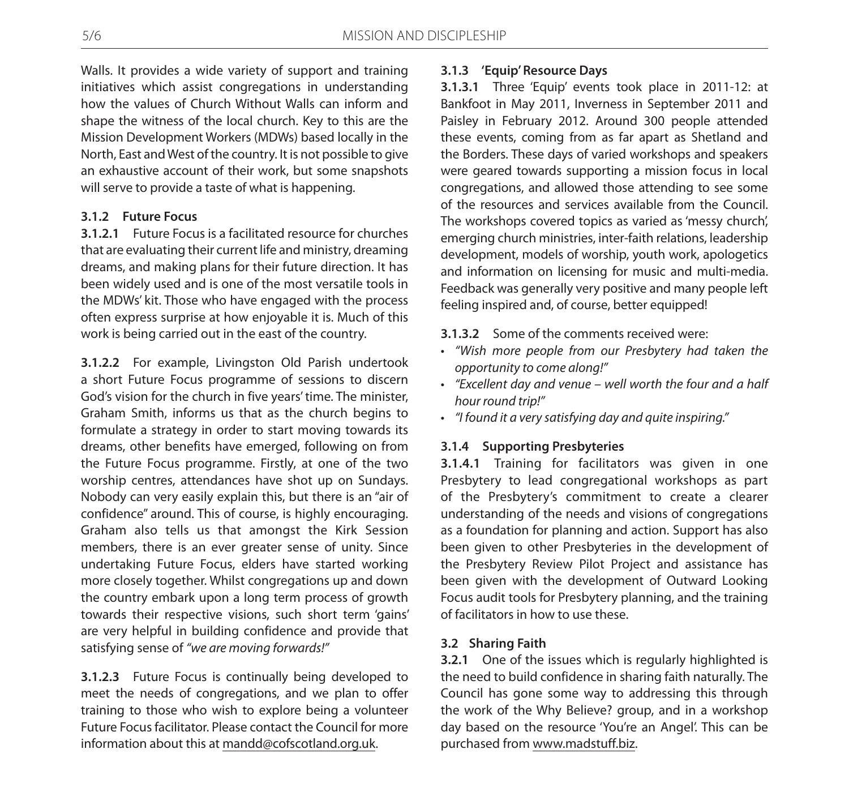Walls. It provides a wide variety of support and training initiatives which assist congregations in understanding how the values of Church Without Walls can inform and shape the witness of the local church. Key to this are the Mission Development Workers (MDWs) based locally in the North, East and West of the country. It is not possible to give an exhaustive account of their work, but some snapshots will serve to provide a taste of what is happening.

# **3.1.2 Future Focus**

**3.1.2.1** Future Focus is a facilitated resource for churches that are evaluating their current life and ministry, dreaming dreams, and making plans for their future direction. It has been widely used and is one of the most versatile tools in the MDWs' kit. Those who have engaged with the process often express surprise at how enjoyable it is. Much of this work is being carried out in the east of the country.

**3.1.2.2** For example, Livingston Old Parish undertook a short Future Focus programme of sessions to discern God's vision for the church in five years' time. The minister, Graham Smith, informs us that as the church begins to formulate a strategy in order to start moving towards its dreams, other benefits have emerged, following on from the Future Focus programme. Firstly, at one of the two worship centres, attendances have shot up on Sundays. Nobody can very easily explain this, but there is an "air of confidence" around. This of course, is highly encouraging. Graham also tells us that amongst the Kirk Session members, there is an ever greater sense of unity. Since undertaking Future Focus, elders have started working more closely together. Whilst congregations up and down the country embark upon a long term process of growth towards their respective visions, such short term 'gains' are very helpful in building confidence and provide that satisfying sense of *"we are moving forwards!"*

**3.1.2.3** Future Focus is continually being developed to meet the needs of congregations, and we plan to offer training to those who wish to explore being a volunteer Future Focus facilitator. Please contact the Council for more information about this at mandd@cofscotland.org.uk.

# **3.1.3 'Equip' Resource Days**

**3.1.3.1** Three 'Equip' events took place in 2011-12: at Bankfoot in May 2011, Inverness in September 2011 and Paisley in February 2012. Around 300 people attended these events, coming from as far apart as Shetland and the Borders. These days of varied workshops and speakers were geared towards supporting a mission focus in local congregations, and allowed those attending to see some of the resources and services available from the Council. The workshops covered topics as varied as 'messy church', emerging church ministries, inter-faith relations, leadership development, models of worship, youth work, apologetics and information on licensing for music and multi-media. Feedback was generally very positive and many people left feeling inspired and, of course, better equipped!

**3.1.3.2** Some of the comments received were:

- • *"Wish more people from our Presbytery had taken the opportunity to come along!"*
- • *"Excellent day and venue well worth the four and a half hour round trip!"*
- • *"I found it a very satisfying day and quite inspiring."*

# **3.1.4 Supporting Presbyteries**

**3.1.4.1** Training for facilitators was given in one Presbytery to lead congregational workshops as part of the Presbytery's commitment to create a clearer understanding of the needs and visions of congregations as a foundation for planning and action. Support has also been given to other Presbyteries in the development of the Presbytery Review Pilot Project and assistance has been given with the development of Outward Looking Focus audit tools for Presbytery planning, and the training of facilitators in how to use these.

### **3.2 Sharing Faith**

**3.2.1** One of the issues which is regularly highlighted is the need to build confidence in sharing faith naturally. The Council has gone some way to addressing this through the work of the Why Believe? group, and in a workshop day based on the resource 'You're an Angel'. This can be purchased from www.madstuff.biz.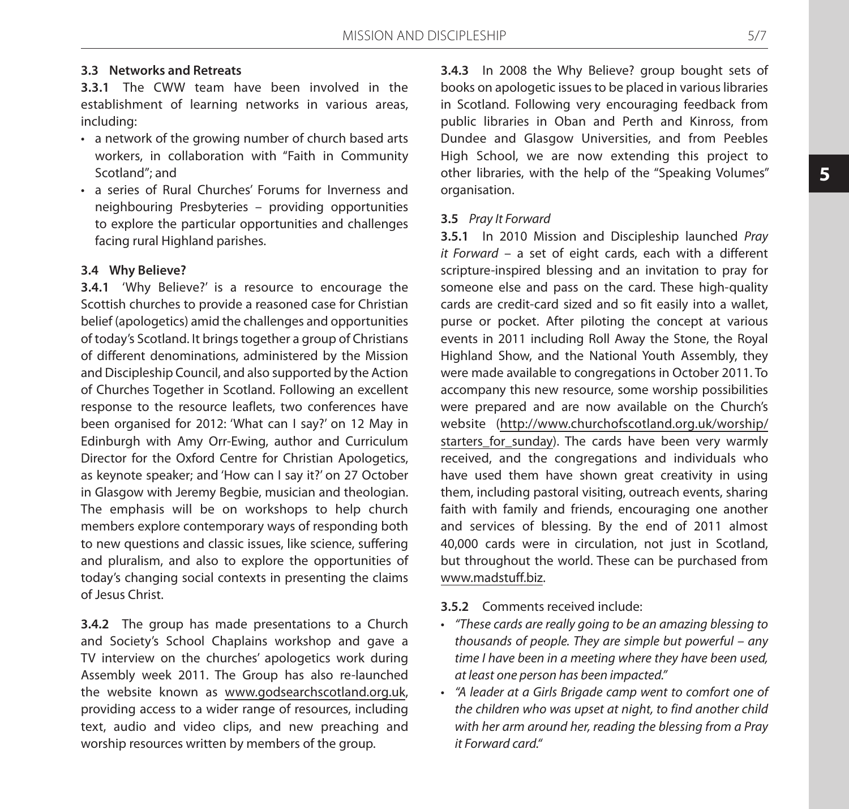# **3.3 Networks and Retreats**

**3.3.1** The CWW team have been involved in the establishment of learning networks in various areas, including:

- a network of the growing number of church based arts workers, in collaboration with "Faith in Community Scotland"; and
- a series of Rural Churches' Forums for Inverness and neighbouring Presbyteries – providing opportunities to explore the particular opportunities and challenges facing rural Highland parishes.

#### **3.4 Why Believe?**

**3.4.1** 'Why Believe?' is a resource to encourage the Scottish churches to provide a reasoned case for Christian belief (apologetics) amid the challenges and opportunities of today's Scotland. It brings together a group of Christians of different denominations, administered by the Mission and Discipleship Council, and also supported by the Action of Churches Together in Scotland. Following an excellent response to the resource leaflets, two conferences have been organised for 2012: 'What can I say?' on 12 May in Edinburgh with Amy Orr-Ewing, author and Curriculum Director for the Oxford Centre for Christian Apologetics, as keynote speaker; and 'How can I say it?' on 27 October in Glasgow with Jeremy Begbie, musician and theologian. The emphasis will be on workshops to help church members explore contemporary ways of responding both to new questions and classic issues, like science, suffering and pluralism, and also to explore the opportunities of today's changing social contexts in presenting the claims of Jesus Christ.

**3.4.2** The group has made presentations to a Church and Society's School Chaplains workshop and gave a TV interview on the churches' apologetics work during Assembly week 2011. The Group has also re-launched the website known as www.godsearchscotland.org.uk, providing access to a wider range of resources, including text, audio and video clips, and new preaching and worship resources written by members of the group.

**3.4.3** In 2008 the Why Believe? group bought sets of books on apologetic issues to be placed in various libraries in Scotland. Following very encouraging feedback from public libraries in Oban and Perth and Kinross, from Dundee and Glasgow Universities, and from Peebles High School, we are now extending this project to other libraries, with the help of the "Speaking Volumes" organisation.

#### **3.5** *Pray It Forward*

**3.5.1** In 2010 Mission and Discipleship launched *Pray it Forward* – a set of eight cards, each with a different scripture-inspired blessing and an invitation to pray for someone else and pass on the card. These high-quality cards are credit-card sized and so fit easily into a wallet, purse or pocket. After piloting the concept at various events in 2011 including Roll Away the Stone, the Royal Highland Show, and the National Youth Assembly, they were made available to congregations in October 2011. To accompany this new resource, some worship possibilities were prepared and are now available on the Church's website (http://www.churchofscotland.org.uk/worship/ starters\_for\_sunday). The cards have been very warmly received, and the congregations and individuals who have used them have shown great creativity in using them, including pastoral visiting, outreach events, sharing faith with family and friends, encouraging one another and services of blessing. By the end of 2011 almost 40,000 cards were in circulation, not just in Scotland, but throughout the world. These can be purchased from www.madstuff.biz.

**3.5.2** Comments received include:

- • *"These cards are really going to be an amazing blessing to thousands of people. They are simple but powerful – any time I have been in a meeting where they have been used, at least one person has been impacted."*
- • *"A leader at a Girls Brigade camp went to comfort one of the children who was upset at night, to find another child with her arm around her, reading the blessing from a Pray it Forward card."*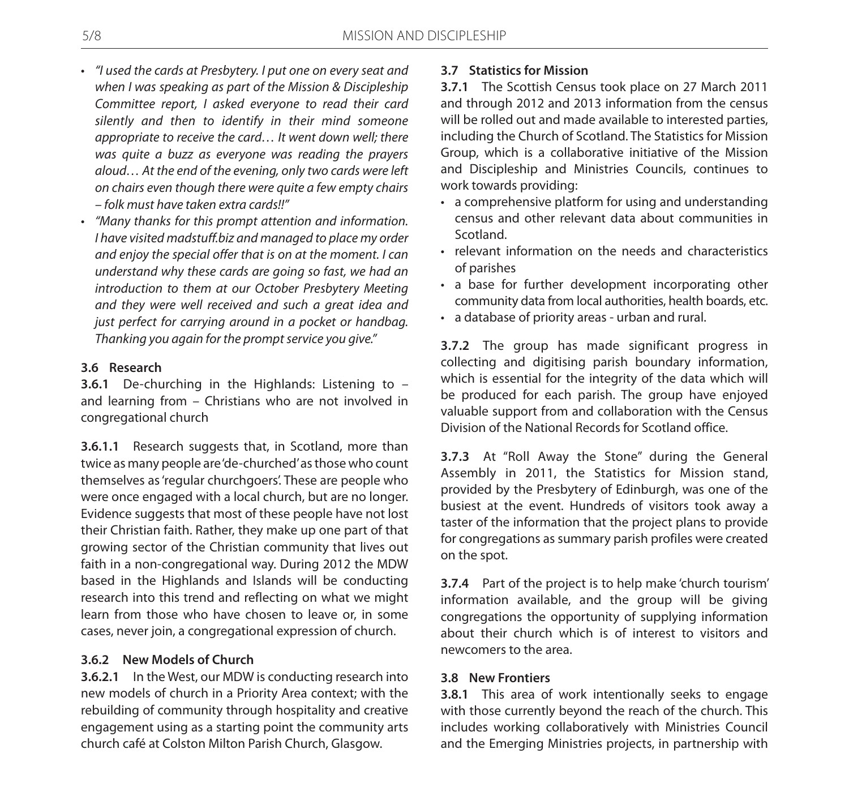- • *"I used the cards at Presbytery. I put one on every seat and when I was speaking as part of the Mission & Discipleship Committee report, I asked everyone to read their card silently and then to identify in their mind someone appropriate to receive the card… It went down well; there was quite a buzz as everyone was reading the prayers aloud… At the end of the evening, only two cards were left on chairs even though there were quite a few empty chairs – folk must have taken extra cards!!"*
- • *"Many thanks for this prompt attention and information. I have visited madstuff.biz and managed to place my order and enjoy the special offer that is on at the moment. I can understand why these cards are going so fast, we had an introduction to them at our October Presbytery Meeting and they were well received and such a great idea and just perfect for carrying around in a pocket or handbag. Thanking you again for the prompt service you give."*

### **3.6 Research**

**3.6.1** De-churching in the Highlands: Listening to – and learning from – Christians who are not involved in congregational church

**3.6.1.1** Research suggests that, in Scotland, more than twice as many people are 'de-churched' as those who count themselves as 'regular churchgoers'. These are people who were once engaged with a local church, but are no longer. Evidence suggests that most of these people have not lost their Christian faith. Rather, they make up one part of that growing sector of the Christian community that lives out faith in a non-congregational way. During 2012 the MDW based in the Highlands and Islands will be conducting research into this trend and reflecting on what we might learn from those who have chosen to leave or, in some cases, never join, a congregational expression of church.

### **3.6.2 New Models of Church**

**3.6.2.1** In the West, our MDW is conducting research into new models of church in a Priority Area context; with the rebuilding of community through hospitality and creative engagement using as a starting point the community arts church café at Colston Milton Parish Church, Glasgow.

# **3.7 Statistics for Mission**

**3.7.1** The Scottish Census took place on 27 March 2011 and through 2012 and 2013 information from the census will be rolled out and made available to interested parties, including the Church of Scotland. The Statistics for Mission Group, which is a collaborative initiative of the Mission and Discipleship and Ministries Councils, continues to work towards providing:

- a comprehensive platform for using and understanding census and other relevant data about communities in Scotland.
- relevant information on the needs and characteristics of parishes
- a base for further development incorporating other community data from local authorities, health boards, etc.
- • a database of priority areas urban and rural.

**3.7.2** The group has made significant progress in collecting and digitising parish boundary information, which is essential for the integrity of the data which will be produced for each parish. The group have enjoyed valuable support from and collaboration with the Census Division of the National Records for Scotland office.

**3.7.3** At "Roll Away the Stone" during the General Assembly in 2011, the Statistics for Mission stand, provided by the Presbytery of Edinburgh, was one of the busiest at the event. Hundreds of visitors took away a taster of the information that the project plans to provide for congregations as summary parish profiles were created on the spot.

**3.7.4** Part of the project is to help make 'church tourism' information available, and the group will be giving congregations the opportunity of supplying information about their church which is of interest to visitors and newcomers to the area.

### **3.8 New Frontiers**

**3.8.1** This area of work intentionally seeks to engage with those currently beyond the reach of the church. This includes working collaboratively with Ministries Council and the Emerging Ministries projects, in partnership with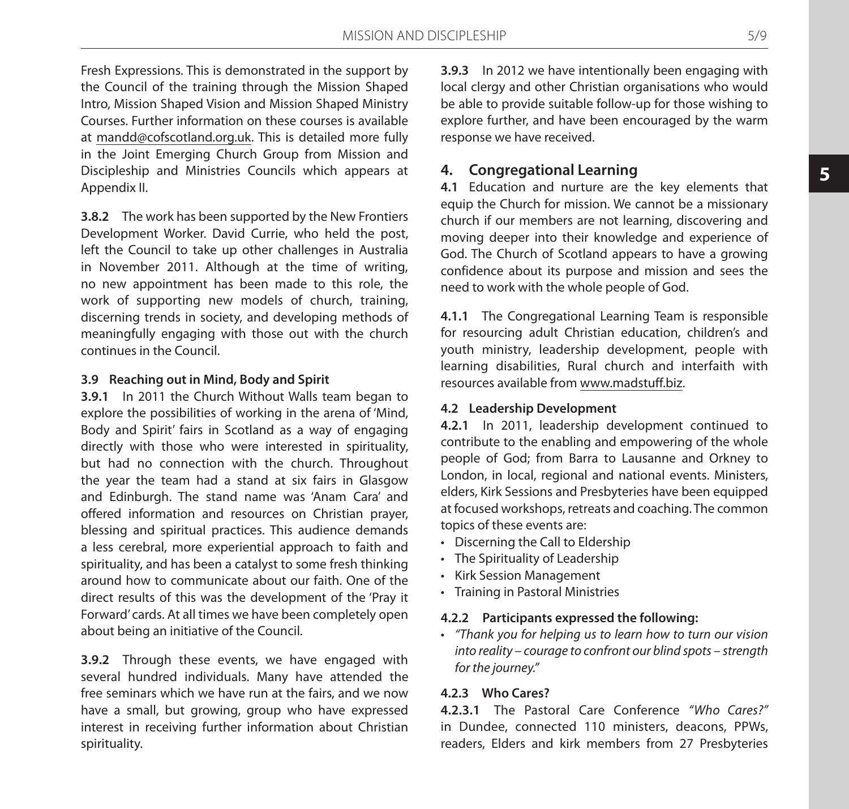Fresh Expressions. This is demonstrated in the support by the Council of the training through the Mission Shaped Intro, Mission Shaped Vision and Mission Shaped Ministry Courses. Further information on these courses is available at mandd@cofscotland.org.uk. This is detailed more fully in the Joint Emerging Church Group from Mission and Discipleship and Ministries Councils which appears at Appendix II.

**3.8.2** The work has been supported by the New Frontiers Development Worker. David Currie, who held the post, left the Council to take up other challenges in Australia in November 2011. Although at the time of writing, no new appointment has been made to this role, the work of supporting new models of church, training, discerning trends in society, and developing methods of meaningfully engaging with those out with the church continues in the Council.

### **3.9 Reaching out in Mind, Body and Spirit**

**3.9.1** In 2011 the Church Without Walls team began to explore the possibilities of working in the arena of 'Mind, Body and Spirit' fairs in Scotland as a way of engaging directly with those who were interested in spirituality, but had no connection with the church. Throughout the year the team had a stand at six fairs in Glasgow and Edinburgh. The stand name was 'Anam Cara' and offered information and resources on Christian prayer, blessing and spiritual practices. This audience demands a less cerebral, more experiential approach to faith and spirituality, and has been a catalyst to some fresh thinking around how to communicate about our faith. One of the direct results of this was the development of the 'Pray it Forward' cards. At all times we have been completely open about being an initiative of the Council.

**3.9.2** Through these events, we have engaged with several hundred individuals. Many have attended the free seminars which we have run at the fairs, and we now have a small, but growing, group who have expressed interest in receiving further information about Christian spirituality.

**3.9.3** In 2012 we have intentionally been engaging with local clergy and other Christian organisations who would be able to provide suitable follow-up for those wishing to explore further, and have been encouraged by the warm response we have received.

# **4. Congregational Learning**

**4.1** Education and nurture are the key elements that equip the Church for mission. We cannot be a missionary church if our members are not learning, discovering and moving deeper into their knowledge and experience of God. The Church of Scotland appears to have a growing confidence about its purpose and mission and sees the need to work with the whole people of God.

**4.1.1** The Congregational Learning Team is responsible for resourcing adult Christian education, children's and youth ministry, leadership development, people with learning disabilities, Rural church and interfaith with resources available from www.madstuff.biz.

### **4.2 Leadership Development**

**4.2.1** In 2011, leadership development continued to contribute to the enabling and empowering of the whole people of God; from Barra to Lausanne and Orkney to London, in local, regional and national events. Ministers, elders, Kirk Sessions and Presbyteries have been equipped at focused workshops, retreats and coaching. The common topics of these events are:

- • Discerning the Call to Eldership
- • The Spirituality of Leadership
- • Kirk Session Management
- • Training in Pastoral Ministries

### **4.2.2 Participants expressed the following:**

• *"Thank you for helping us to learn how to turn our vision into reality – courage to confront our blind spots – strength for the journey."*

### **4.2.3 Who Cares?**

**4.2.3.1** The Pastoral Care Conference *"Who Cares?"*  in Dundee, connected 110 ministers, deacons, PPWs, readers, Elders and kirk members from 27 Presbyteries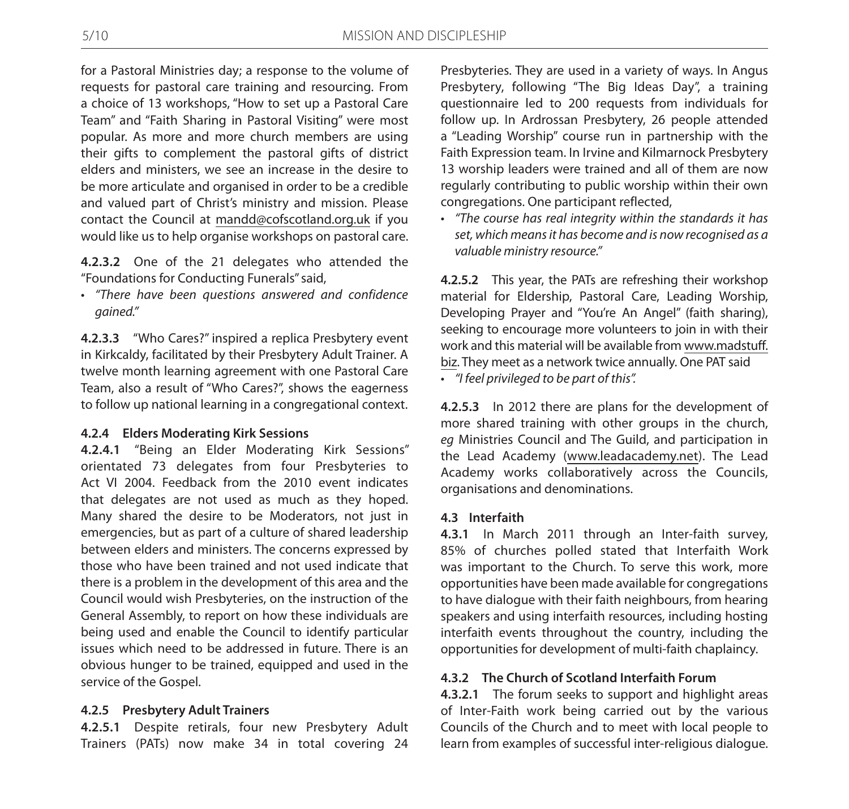for a Pastoral Ministries day; a response to the volume of requests for pastoral care training and resourcing. From a choice of 13 workshops, "How to set up a Pastoral Care Team" and "Faith Sharing in Pastoral Visiting" were most popular. As more and more church members are using their gifts to complement the pastoral gifts of district elders and ministers, we see an increase in the desire to be more articulate and organised in order to be a credible and valued part of Christ's ministry and mission. Please contact the Council at mandd@cofscotland.org.uk if you would like us to help organise workshops on pastoral care.

**4.2.3.2** One of the 21 delegates who attended the "Foundations for Conducting Funerals" said,

• *"There have been questions answered and confidence gained."*

**4.2.3.3** "Who Cares?" inspired a replica Presbytery event in Kirkcaldy, facilitated by their Presbytery Adult Trainer. A twelve month learning agreement with one Pastoral Care Team, also a result of "Who Cares?", shows the eagerness to follow up national learning in a congregational context.

### **4.2.4 Elders Moderating Kirk Sessions**

**4.2.4.1** "Being an Elder Moderating Kirk Sessions" orientated 73 delegates from four Presbyteries to Act VI 2004. Feedback from the 2010 event indicates that delegates are not used as much as they hoped. Many shared the desire to be Moderators, not just in emergencies, but as part of a culture of shared leadership between elders and ministers. The concerns expressed by those who have been trained and not used indicate that there is a problem in the development of this area and the Council would wish Presbyteries, on the instruction of the General Assembly, to report on how these individuals are being used and enable the Council to identify particular issues which need to be addressed in future. There is an obvious hunger to be trained, equipped and used in the service of the Gospel.

### **4.2.5 Presbytery Adult Trainers**

**4.2.5.1** Despite retirals, four new Presbytery Adult Trainers (PATs) now make 34 in total covering 24

Presbyteries. They are used in a variety of ways. In Angus Presbytery, following "The Big Ideas Day", a training questionnaire led to 200 requests from individuals for follow up. In Ardrossan Presbytery, 26 people attended a "Leading Worship" course run in partnership with the Faith Expression team. In Irvine and Kilmarnock Presbytery 13 worship leaders were trained and all of them are now regularly contributing to public worship within their own congregations. One participant reflected,

• *"The course has real integrity within the standards it has set, which means it has become and is now recognised as a valuable ministry resource."*

**4.2.5.2** This year, the PATs are refreshing their workshop material for Eldership, Pastoral Care, Leading Worship, Developing Prayer and "You're An Angel" (faith sharing), seeking to encourage more volunteers to join in with their work and this material will be available from www.madstuff. biz. They meet as a network twice annually. One PAT said

• *"I feel privileged to be part of this".*

**4.2.5.3** In 2012 there are plans for the development of more shared training with other groups in the church, *eg* Ministries Council and The Guild, and participation in the Lead Academy (www.leadacademy.net). The Lead Academy works collaboratively across the Councils, organisations and denominations.

### **4.3 Interfaith**

**4.3.1** In March 2011 through an Inter-faith survey, 85% of churches polled stated that Interfaith Work was important to the Church. To serve this work, more opportunities have been made available for congregations to have dialogue with their faith neighbours, from hearing speakers and using interfaith resources, including hosting interfaith events throughout the country, including the opportunities for development of multi-faith chaplaincy.

### **4.3.2 The Church of Scotland Interfaith Forum**

**4.3.2.1** The forum seeks to support and highlight areas of Inter-Faith work being carried out by the various Councils of the Church and to meet with local people to learn from examples of successful inter-religious dialogue.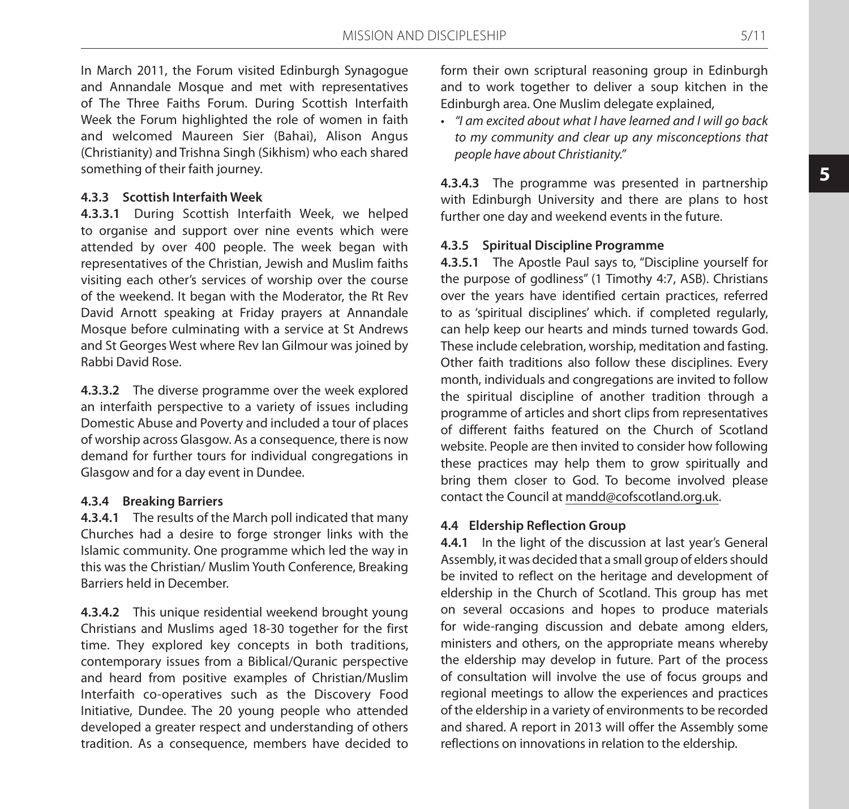In March 2011, the Forum visited Edinburgh Synagogue and Annandale Mosque and met with representatives of The Three Faiths Forum. During Scottish Interfaith Week the Forum highlighted the role of women in faith and welcomed Maureen Sier (Bahai), Alison Angus (Christianity) and Trishna Singh (Sikhism) who each shared something of their faith journey.

### **4.3.3 Scottish Interfaith Week**

**4.3.3.1** During Scottish Interfaith Week, we helped to organise and support over nine events which were attended by over 400 people. The week began with representatives of the Christian, Jewish and Muslim faiths visiting each other's services of worship over the course of the weekend. It began with the Moderator, the Rt Rev David Arnott speaking at Friday prayers at Annandale Mosque before culminating with a service at St Andrews and St Georges West where Rev Ian Gilmour was joined by Rabbi David Rose.

**4.3.3.2** The diverse programme over the week explored an interfaith perspective to a variety of issues including Domestic Abuse and Poverty and included a tour of places of worship across Glasgow. As a consequence, there is now demand for further tours for individual congregations in Glasgow and for a day event in Dundee.

### **4.3.4 Breaking Barriers**

**4.3.4.1** The results of the March poll indicated that many Churches had a desire to forge stronger links with the Islamic community. One programme which led the way in this was the Christian/ Muslim Youth Conference, Breaking Barriers held in December.

**4.3.4.2** This unique residential weekend brought young Christians and Muslims aged 18-30 together for the first time. They explored key concepts in both traditions, contemporary issues from a Biblical/Quranic perspective and heard from positive examples of Christian/Muslim Interfaith co-operatives such as the Discovery Food Initiative, Dundee. The 20 young people who attended developed a greater respect and understanding of others tradition. As a consequence, members have decided to

form their own scriptural reasoning group in Edinburgh and to work together to deliver a soup kitchen in the Edinburgh area. One Muslim delegate explained,

• *"I am excited about what I have learned and I will go back to my community and clear up any misconceptions that people have about Christianity."*

**4.3.4.3** The programme was presented in partnership with Edinburgh University and there are plans to host further one day and weekend events in the future.

### **4.3.5 Spiritual Discipline Programme**

**4.3.5.1** The Apostle Paul says to, "Discipline yourself for the purpose of godliness" (1 Timothy 4:7, ASB). Christians over the years have identified certain practices, referred to as 'spiritual disciplines' which. if completed regularly, can help keep our hearts and minds turned towards God. These include celebration, worship, meditation and fasting. Other faith traditions also follow these disciplines. Every month, individuals and congregations are invited to follow the spiritual discipline of another tradition through a programme of articles and short clips from representatives of different faiths featured on the Church of Scotland website. People are then invited to consider how following these practices may help them to grow spiritually and bring them closer to God. To become involved please contact the Council at mandd@cofscotland.org.uk.

#### **4.4 Eldership Reflection Group**

**4.4.1** In the light of the discussion at last year's General Assembly, it was decided that a small group of elders should be invited to reflect on the heritage and development of eldership in the Church of Scotland. This group has met on several occasions and hopes to produce materials for wide-ranging discussion and debate among elders, ministers and others, on the appropriate means whereby the eldership may develop in future. Part of the process of consultation will involve the use of focus groups and regional meetings to allow the experiences and practices of the eldership in a variety of environments to be recorded and shared. A report in 2013 will offer the Assembly some reflections on innovations in relation to the eldership.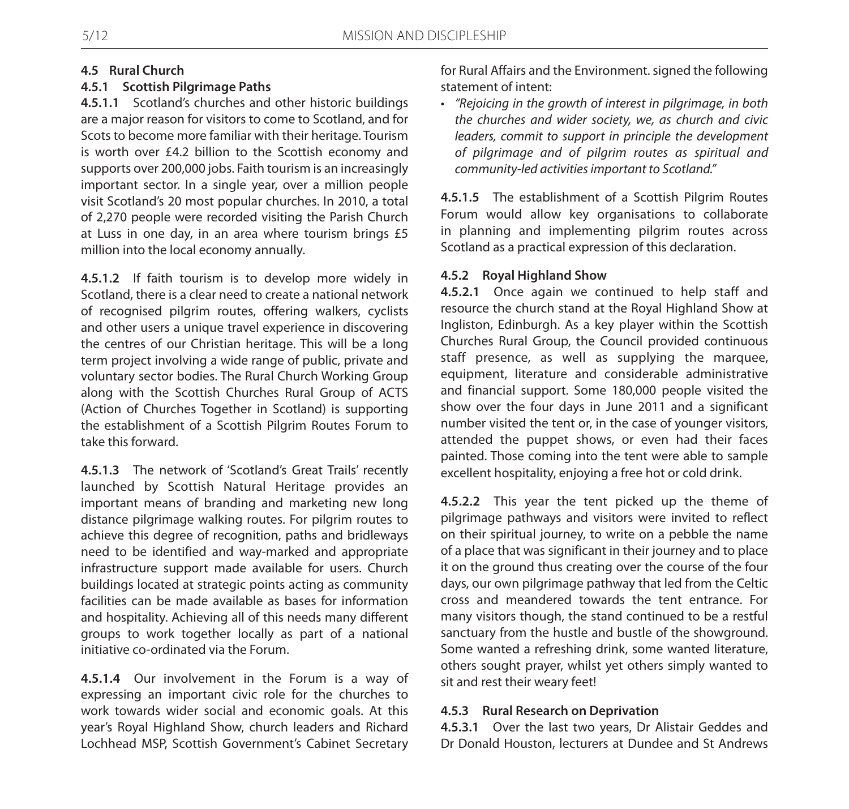# **4.5 Rural Church**

# **4.5.1 Scottish Pilgrimage Paths**

**4.5.1.1** Scotland's churches and other historic buildings are a major reason for visitors to come to Scotland, and for Scots to become more familiar with their heritage. Tourism is worth over £4.2 billion to the Scottish economy and supports over 200,000 jobs. Faith tourism is an increasingly important sector. In a single year, over a million people visit Scotland's 20 most popular churches. In 2010, a total of 2,270 people were recorded visiting the Parish Church at Luss in one day, in an area where tourism brings £5 million into the local economy annually.

**4.5.1.2** If faith tourism is to develop more widely in Scotland, there is a clear need to create a national network of recognised pilgrim routes, offering walkers, cyclists and other users a unique travel experience in discovering the centres of our Christian heritage. This will be a long term project involving a wide range of public, private and voluntary sector bodies. The Rural Church Working Group along with the Scottish Churches Rural Group of ACTS (Action of Churches Together in Scotland) is supporting the establishment of a Scottish Pilgrim Routes Forum to take this forward.

**4.5.1.3** The network of 'Scotland's Great Trails' recently launched by Scottish Natural Heritage provides an important means of branding and marketing new long distance pilgrimage walking routes. For pilgrim routes to achieve this degree of recognition, paths and bridleways need to be identified and way-marked and appropriate infrastructure support made available for users. Church buildings located at strategic points acting as community facilities can be made available as bases for information and hospitality. Achieving all of this needs many different groups to work together locally as part of a national initiative co-ordinated via the Forum.

**4.5.1.4** Our involvement in the Forum is a way of expressing an important civic role for the churches to work towards wider social and economic goals. At this year's Royal Highland Show, church leaders and Richard Lochhead MSP, Scottish Government's Cabinet Secretary for Rural Affairs and the Environment. signed the following statement of intent:

• *"Rejoicing in the growth of interest in pilgrimage, in both the churches and wider society, we, as church and civic leaders, commit to support in principle the development of pilgrimage and of pilgrim routes as spiritual and community-led activities important to Scotland."*

**4.5.1.5** The establishment of a Scottish Pilgrim Routes Forum would allow key organisations to collaborate in planning and implementing pilgrim routes across Scotland as a practical expression of this declaration.

### **4.5.2 Royal Highland Show**

**4.5.2.1** Once again we continued to help staff and resource the church stand at the Royal Highland Show at Ingliston, Edinburgh. As a key player within the Scottish Churches Rural Group, the Council provided continuous staff presence, as well as supplying the marquee, equipment, literature and considerable administrative and financial support. Some 180,000 people visited the show over the four days in June 2011 and a significant number visited the tent or, in the case of younger visitors, attended the puppet shows, or even had their faces painted. Those coming into the tent were able to sample excellent hospitality, enjoying a free hot or cold drink.

**4.5.2.2** This year the tent picked up the theme of pilgrimage pathways and visitors were invited to reflect on their spiritual journey, to write on a pebble the name of a place that was significant in their journey and to place it on the ground thus creating over the course of the four days, our own pilgrimage pathway that led from the Celtic cross and meandered towards the tent entrance. For many visitors though, the stand continued to be a restful sanctuary from the hustle and bustle of the showground. Some wanted a refreshing drink, some wanted literature, others sought prayer, whilst yet others simply wanted to sit and rest their weary feet!

# **4.5.3 Rural Research on Deprivation**

**4.5.3.1** Over the last two years, Dr Alistair Geddes and Dr Donald Houston, lecturers at Dundee and St Andrews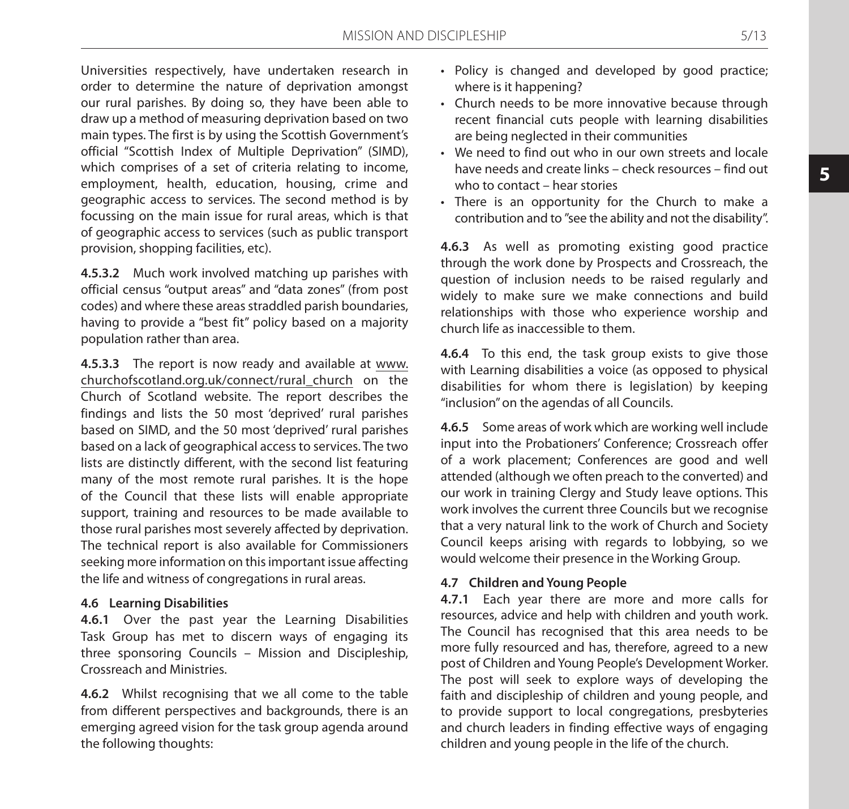Universities respectively, have undertaken research in order to determine the nature of deprivation amongst our rural parishes. By doing so, they have been able to draw up a method of measuring deprivation based on two main types. The first is by using the Scottish Government's official "Scottish Index of Multiple Deprivation" (SIMD), which comprises of a set of criteria relating to income, employment, health, education, housing, crime and geographic access to services. The second method is by focussing on the main issue for rural areas, which is that of geographic access to services (such as public transport provision, shopping facilities, etc).

**4.5.3.2** Much work involved matching up parishes with official census "output areas" and "data zones" (from post codes) and where these areas straddled parish boundaries, having to provide a "best fit" policy based on a majority population rather than area.

**4.5.3.3** The report is now ready and available at www. churchofscotland.org.uk/connect/rural\_church on the Church of Scotland website. The report describes the findings and lists the 50 most 'deprived' rural parishes based on SIMD, and the 50 most 'deprived' rural parishes based on a lack of geographical access to services. The two lists are distinctly different, with the second list featuring many of the most remote rural parishes. It is the hope of the Council that these lists will enable appropriate support, training and resources to be made available to those rural parishes most severely affected by deprivation. The technical report is also available for Commissioners seeking more information on this important issue affecting the life and witness of congregations in rural areas.

### **4.6 Learning Disabilities**

**4.6.1** Over the past year the Learning Disabilities Task Group has met to discern ways of engaging its three sponsoring Councils – Mission and Discipleship, Crossreach and Ministries.

**4.6.2** Whilst recognising that we all come to the table from different perspectives and backgrounds, there is an emerging agreed vision for the task group agenda around the following thoughts:

- Policy is changed and developed by good practice; where is it happening?
- Church needs to be more innovative because through recent financial cuts people with learning disabilities are being neglected in their communities
- We need to find out who in our own streets and locale have needs and create links – check resources – find out who to contact – hear stories
- There is an opportunity for the Church to make a contribution and to "see the ability and not the disability".

**4.6.3** As well as promoting existing good practice through the work done by Prospects and Crossreach, the question of inclusion needs to be raised regularly and widely to make sure we make connections and build relationships with those who experience worship and church life as inaccessible to them.

**4.6.4** To this end, the task group exists to give those with Learning disabilities a voice (as opposed to physical disabilities for whom there is legislation) by keeping "inclusion" on the agendas of all Councils.

**4.6.5** Some areas of work which are working well include input into the Probationers' Conference; Crossreach offer of a work placement; Conferences are good and well attended (although we often preach to the converted) and our work in training Clergy and Study leave options. This work involves the current three Councils but we recognise that a very natural link to the work of Church and Society Council keeps arising with regards to lobbying, so we would welcome their presence in the Working Group.

### **4.7 Children and Young People**

**4.7.1** Each year there are more and more calls for resources, advice and help with children and youth work. The Council has recognised that this area needs to be more fully resourced and has, therefore, agreed to a new post of Children and Young People's Development Worker. The post will seek to explore ways of developing the faith and discipleship of children and young people, and to provide support to local congregations, presbyteries and church leaders in finding effective ways of engaging children and young people in the life of the church.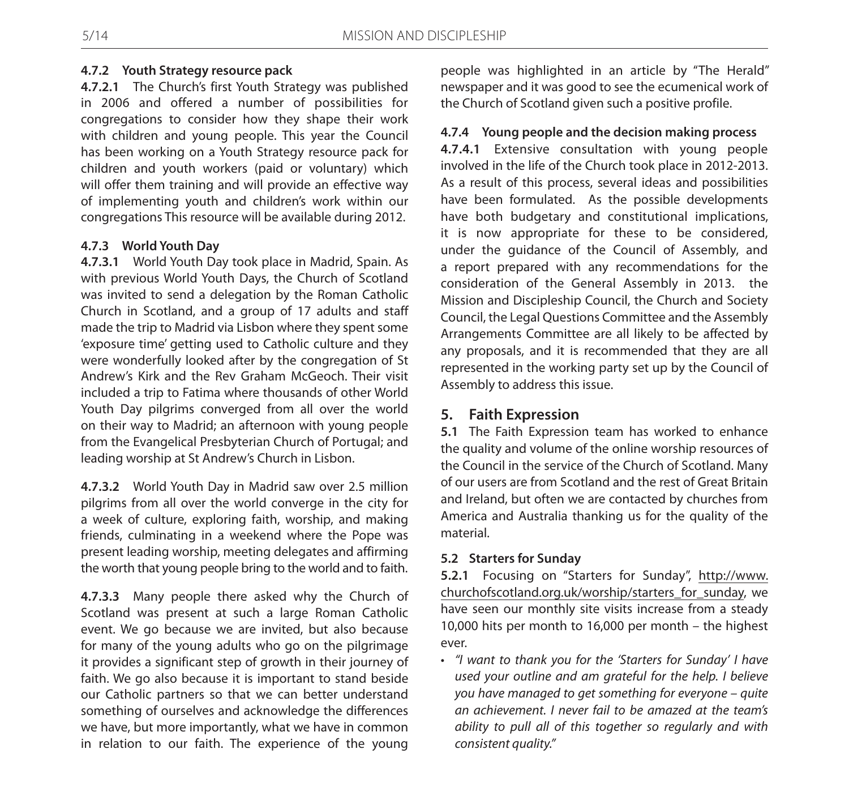### **4.7.2 Youth Strategy resource pack**

**4.7.2.1** The Church's first Youth Strategy was published in 2006 and offered a number of possibilities for congregations to consider how they shape their work with children and young people. This year the Council has been working on a Youth Strategy resource pack for children and youth workers (paid or voluntary) which will offer them training and will provide an effective way of implementing youth and children's work within our congregations This resource will be available during 2012.

### **4.7.3 World Youth Day**

**4.7.3.1** World Youth Day took place in Madrid, Spain. As with previous World Youth Days, the Church of Scotland was invited to send a delegation by the Roman Catholic Church in Scotland, and a group of 17 adults and staff made the trip to Madrid via Lisbon where they spent some 'exposure time' getting used to Catholic culture and they were wonderfully looked after by the congregation of St Andrew's Kirk and the Rev Graham McGeoch. Their visit included a trip to Fatima where thousands of other World Youth Day pilgrims converged from all over the world on their way to Madrid; an afternoon with young people from the Evangelical Presbyterian Church of Portugal; and leading worship at St Andrew's Church in Lisbon.

**4.7.3.2** World Youth Day in Madrid saw over 2.5 million pilgrims from all over the world converge in the city for a week of culture, exploring faith, worship, and making friends, culminating in a weekend where the Pope was present leading worship, meeting delegates and affirming the worth that young people bring to the world and to faith.

**4.7.3.3** Many people there asked why the Church of Scotland was present at such a large Roman Catholic event. We go because we are invited, but also because for many of the young adults who go on the pilgrimage it provides a significant step of growth in their journey of faith. We go also because it is important to stand beside our Catholic partners so that we can better understand something of ourselves and acknowledge the differences we have, but more importantly, what we have in common in relation to our faith. The experience of the young

people was highlighted in an article by "The Herald" newspaper and it was good to see the ecumenical work of the Church of Scotland given such a positive profile.

### **4.7.4 Young people and the decision making process**

**4.7.4.1** Extensive consultation with young people involved in the life of the Church took place in 2012-2013. As a result of this process, several ideas and possibilities have been formulated. As the possible developments have both budgetary and constitutional implications, it is now appropriate for these to be considered, under the guidance of the Council of Assembly, and a report prepared with any recommendations for the consideration of the General Assembly in 2013. the Mission and Discipleship Council, the Church and Society Council, the Legal Questions Committee and the Assembly Arrangements Committee are all likely to be affected by any proposals, and it is recommended that they are all represented in the working party set up by the Council of Assembly to address this issue.

# **5. Faith Expression**

**5.1** The Faith Expression team has worked to enhance the quality and volume of the online worship resources of the Council in the service of the Church of Scotland. Many of our users are from Scotland and the rest of Great Britain and Ireland, but often we are contacted by churches from America and Australia thanking us for the quality of the material.

### **5.2 Starters for Sunday**

**5.2.1** Focusing on "Starters for Sunday", http://www. churchofscotland.org.uk/worship/starters\_for\_sunday, we have seen our monthly site visits increase from a steady 10,000 hits per month to 16,000 per month – the highest ever.

• *"I want to thank you for the 'Starters for Sunday' I have used your outline and am grateful for the help. I believe you have managed to get something for everyone – quite an achievement. I never fail to be amazed at the team's ability to pull all of this together so regularly and with consistent quality."*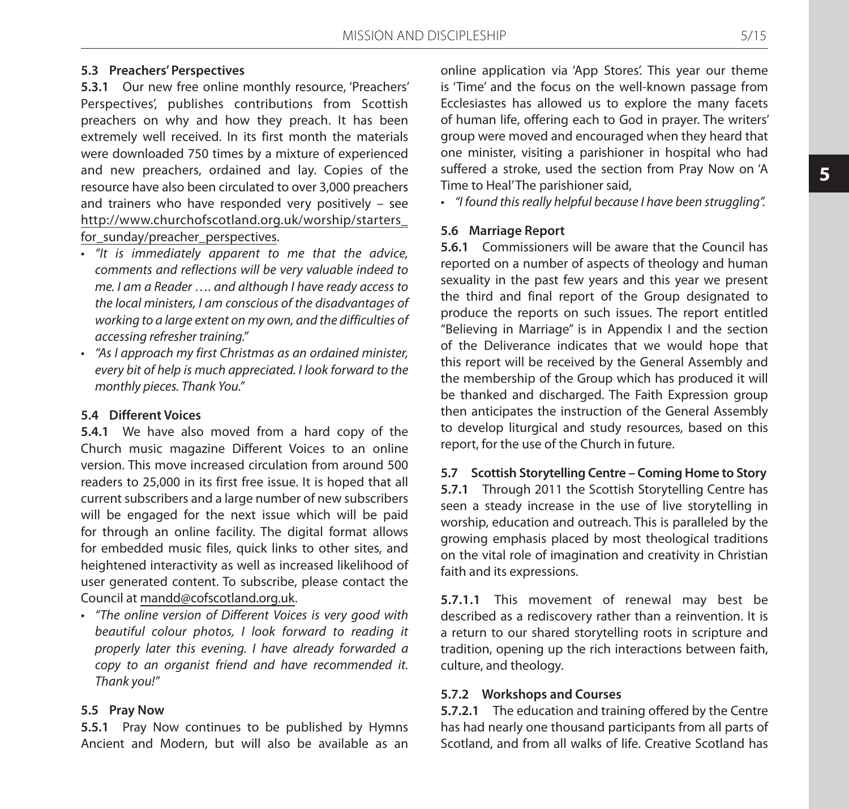# **5.3 Preachers' Perspectives**

**5.3.1** Our new free online monthly resource, 'Preachers' Perspectives', publishes contributions from Scottish preachers on why and how they preach. It has been extremely well received. In its first month the materials were downloaded 750 times by a mixture of experienced and new preachers, ordained and lay. Copies of the resource have also been circulated to over 3,000 preachers and trainers who have responded very positively – see http://www.churchofscotland.org.uk/worship/starters\_ for\_sunday/preacher\_perspectives.

- • *"It is immediately apparent to me that the advice, comments and reflections will be very valuable indeed to me. I am a Reader …. and although I have ready access to the local ministers, I am conscious of the disadvantages of working to a large extent on my own, and the difficulties of accessing refresher training."*
- • *"As I approach my first Christmas as an ordained minister, every bit of help is much appreciated. I look forward to the monthly pieces. Thank You."*

#### **5.4 Different Voices**

**5.4.1** We have also moved from a hard copy of the Church music magazine Different Voices to an online version. This move increased circulation from around 500 readers to 25,000 in its first free issue. It is hoped that all current subscribers and a large number of new subscribers will be engaged for the next issue which will be paid for through an online facility. The digital format allows for embedded music files, quick links to other sites, and heightened interactivity as well as increased likelihood of user generated content. To subscribe, please contact the Council at mandd@cofscotland.org.uk.

• *"The online version of Different Voices is very good with beautiful colour photos, I look forward to reading it properly later this evening. I have already forwarded a copy to an organist friend and have recommended it. Thank you!"*

### **5.5 Pray Now**

**5.5.1** Pray Now continues to be published by Hymns Ancient and Modern, but will also be available as an online application via 'App Stores'. This year our theme is 'Time' and the focus on the well-known passage from Ecclesiastes has allowed us to explore the many facets of human life, offering each to God in prayer. The writers' group were moved and encouraged when they heard that one minister, visiting a parishioner in hospital who had suffered a stroke, used the section from Pray Now on 'A Time to Heal' The parishioner said,

• *"I found this really helpful because I have been struggling".*

### **5.6 Marriage Report**

**5.6.1** Commissioners will be aware that the Council has reported on a number of aspects of theology and human sexuality in the past few years and this year we present the third and final report of the Group designated to produce the reports on such issues. The report entitled "Believing in Marriage" is in Appendix I and the section of the Deliverance indicates that we would hope that this report will be received by the General Assembly and the membership of the Group which has produced it will be thanked and discharged. The Faith Expression group then anticipates the instruction of the General Assembly to develop liturgical and study resources, based on this report, for the use of the Church in future.

### **5.7 Scottish Storytelling Centre – Coming Home to Story**

**5.7.1** Through 2011 the Scottish Storytelling Centre has seen a steady increase in the use of live storytelling in worship, education and outreach. This is paralleled by the growing emphasis placed by most theological traditions on the vital role of imagination and creativity in Christian faith and its expressions.

**5.7.1.1** This movement of renewal may best be described as a rediscovery rather than a reinvention. It is a return to our shared storytelling roots in scripture and tradition, opening up the rich interactions between faith, culture, and theology.

### **5.7.2 Workshops and Courses**

**5.7.2.1** The education and training offered by the Centre has had nearly one thousand participants from all parts of Scotland, and from all walks of life. Creative Scotland has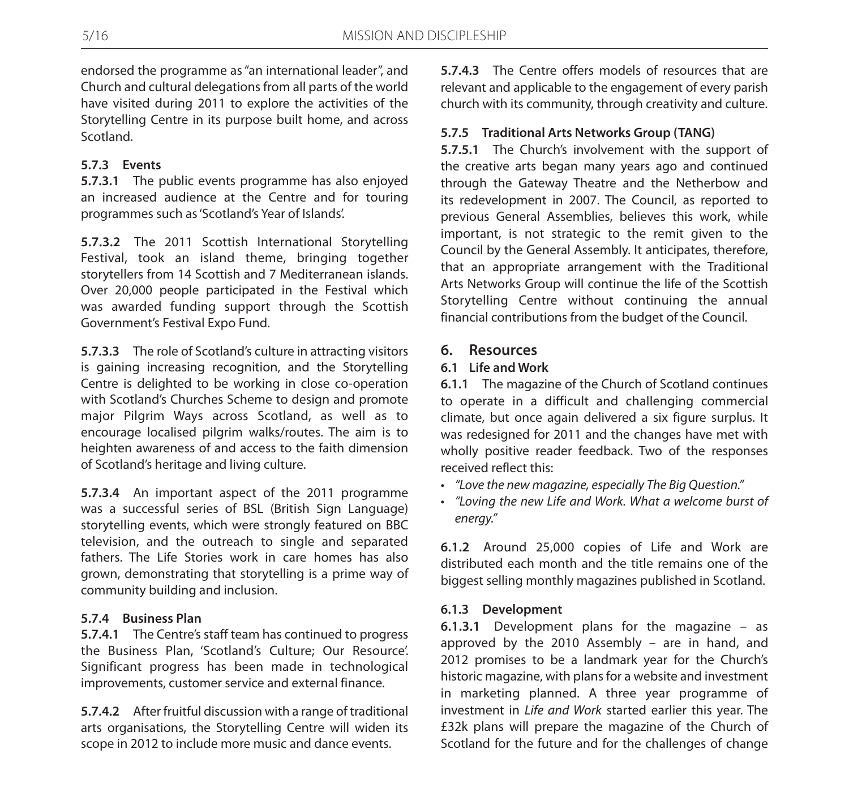endorsed the programme as "an international leader", and Church and cultural delegations from all parts of the world have visited during 2011 to explore the activities of the Storytelling Centre in its purpose built home, and across Scotland.

# **5.7.3 Events**

**5.7.3.1** The public events programme has also enjoyed an increased audience at the Centre and for touring programmes such as 'Scotland's Year of Islands'.

**5.7.3.2** The 2011 Scottish International Storytelling Festival, took an island theme, bringing together storytellers from 14 Scottish and 7 Mediterranean islands. Over 20,000 people participated in the Festival which was awarded funding support through the Scottish Government's Festival Expo Fund.

**5.7.3.3** The role of Scotland's culture in attracting visitors is gaining increasing recognition, and the Storytelling Centre is delighted to be working in close co-operation with Scotland's Churches Scheme to design and promote major Pilgrim Ways across Scotland, as well as to encourage localised pilgrim walks/routes. The aim is to heighten awareness of and access to the faith dimension of Scotland's heritage and living culture.

**5.7.3.4** An important aspect of the 2011 programme was a successful series of BSL (British Sign Language) storytelling events, which were strongly featured on BBC television, and the outreach to single and separated fathers. The Life Stories work in care homes has also grown, demonstrating that storytelling is a prime way of community building and inclusion.

# **5.7.4 Business Plan**

**5.7.4.1** The Centre's staff team has continued to progress the Business Plan, 'Scotland's Culture; Our Resource'. Significant progress has been made in technological improvements, customer service and external finance.

**5.7.4.2** After fruitful discussion with a range of traditional arts organisations, the Storytelling Centre will widen its scope in 2012 to include more music and dance events.

**5.7.4.3** The Centre offers models of resources that are relevant and applicable to the engagement of every parish church with its community, through creativity and culture.

# **5.7.5 Traditional Arts Networks Group (TANG)**

**5.7.5.1** The Church's involvement with the support of the creative arts began many years ago and continued through the Gateway Theatre and the Netherbow and its redevelopment in 2007. The Council, as reported to previous General Assemblies, believes this work, while important, is not strategic to the remit given to the Council by the General Assembly. It anticipates, therefore, that an appropriate arrangement with the Traditional Arts Networks Group will continue the life of the Scottish Storytelling Centre without continuing the annual financial contributions from the budget of the Council.

# **6. Resources**

# **6.1 Life and Work**

**6.1.1** The magazine of the Church of Scotland continues to operate in a difficult and challenging commercial climate, but once again delivered a six figure surplus. It was redesigned for 2011 and the changes have met with wholly positive reader feedback. Two of the responses received reflect this:

- • *"Love the new magazine, especially The Big Question."*
- • *"Loving the new Life and Work. What a welcome burst of energy."*

**6.1.2** Around 25,000 copies of Life and Work are distributed each month and the title remains one of the biggest selling monthly magazines published in Scotland.

# **6.1.3 Development**

**6.1.3.1** Development plans for the magazine – as approved by the 2010 Assembly – are in hand, and 2012 promises to be a landmark year for the Church's historic magazine, with plans for a website and investment in marketing planned. A three year programme of investment in *Life and Work* started earlier this year. The £32k plans will prepare the magazine of the Church of Scotland for the future and for the challenges of change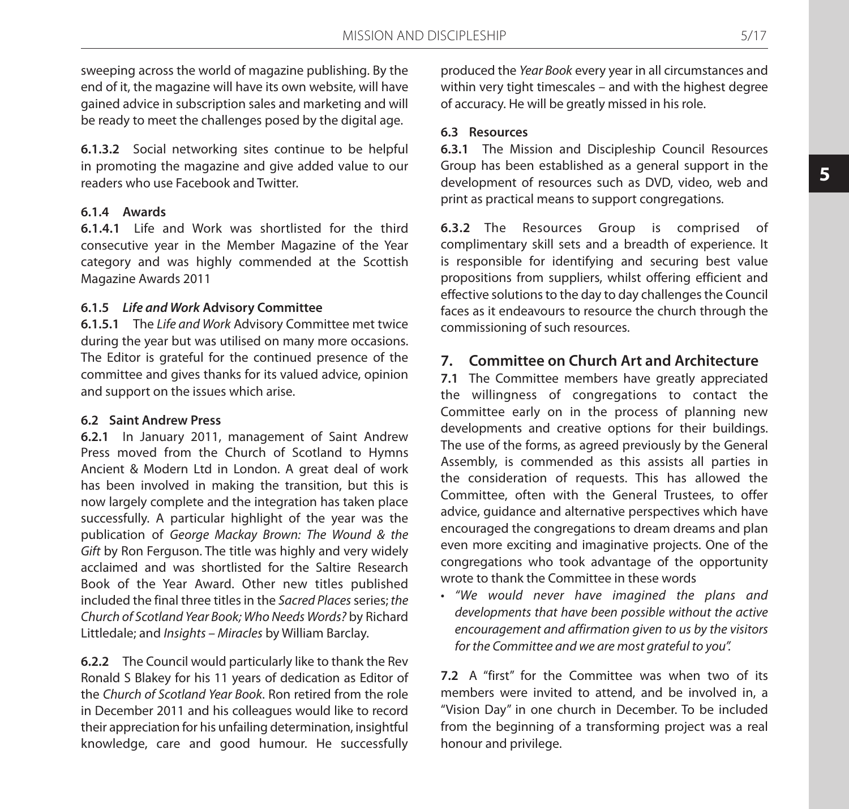sweeping across the world of magazine publishing. By the end of it, the magazine will have its own website, will have gained advice in subscription sales and marketing and will be ready to meet the challenges posed by the digital age.

**6.1.3.2** Social networking sites continue to be helpful in promoting the magazine and give added value to our readers who use Facebook and Twitter.

### **6.1.4 Awards**

**6.1.4.1** Life and Work was shortlisted for the third consecutive year in the Member Magazine of the Year category and was highly commended at the Scottish Magazine Awards 2011

### **6.1.5** *Life and Work* **Advisory Committee**

**6.1.5.1** The *Life and Work* Advisory Committee met twice during the year but was utilised on many more occasions. The Editor is grateful for the continued presence of the committee and gives thanks for its valued advice, opinion and support on the issues which arise.

### **6.2 Saint Andrew Press**

**6.2.1** In January 2011, management of Saint Andrew Press moved from the Church of Scotland to Hymns Ancient & Modern Ltd in London. A great deal of work has been involved in making the transition, but this is now largely complete and the integration has taken place successfully. A particular highlight of the year was the publication of *George Mackay Brown: The Wound & the Gift* by Ron Ferguson. The title was highly and very widely acclaimed and was shortlisted for the Saltire Research Book of the Year Award. Other new titles published included the final three titles in the *Sacred Places* series; *the Church of Scotland Year Book; Who Needs Words?* by Richard Littledale; and *Insights – Miracles* by William Barclay.

**6.2.2** The Council would particularly like to thank the Rev Ronald S Blakey for his 11 years of dedication as Editor of the *Church of Scotland Year Book*. Ron retired from the role in December 2011 and his colleagues would like to record their appreciation for his unfailing determination, insightful knowledge, care and good humour. He successfully

produced the *Year Book* every year in all circumstances and within very tight timescales – and with the highest degree of accuracy. He will be greatly missed in his role.

### **6.3 Resources**

**6.3.1** The Mission and Discipleship Council Resources Group has been established as a general support in the development of resources such as DVD, video, web and print as practical means to support congregations.

**6.3.2** The Resources Group is comprised of complimentary skill sets and a breadth of experience. It is responsible for identifying and securing best value propositions from suppliers, whilst offering efficient and effective solutions to the day to day challenges the Council faces as it endeavours to resource the church through the commissioning of such resources.

# **7. Committee on Church Art and Architecture**

**7.1** The Committee members have greatly appreciated the willingness of congregations to contact the Committee early on in the process of planning new developments and creative options for their buildings. The use of the forms, as agreed previously by the General Assembly, is commended as this assists all parties in the consideration of requests. This has allowed the Committee, often with the General Trustees, to offer advice, guidance and alternative perspectives which have encouraged the congregations to dream dreams and plan even more exciting and imaginative projects. One of the congregations who took advantage of the opportunity wrote to thank the Committee in these words

• *"We would never have imagined the plans and developments that have been possible without the active encouragement and affirmation given to us by the visitors for the Committee and we are most grateful to you".*

**7.2** A "first" for the Committee was when two of its members were invited to attend, and be involved in, a "Vision Day" in one church in December. To be included from the beginning of a transforming project was a real honour and privilege.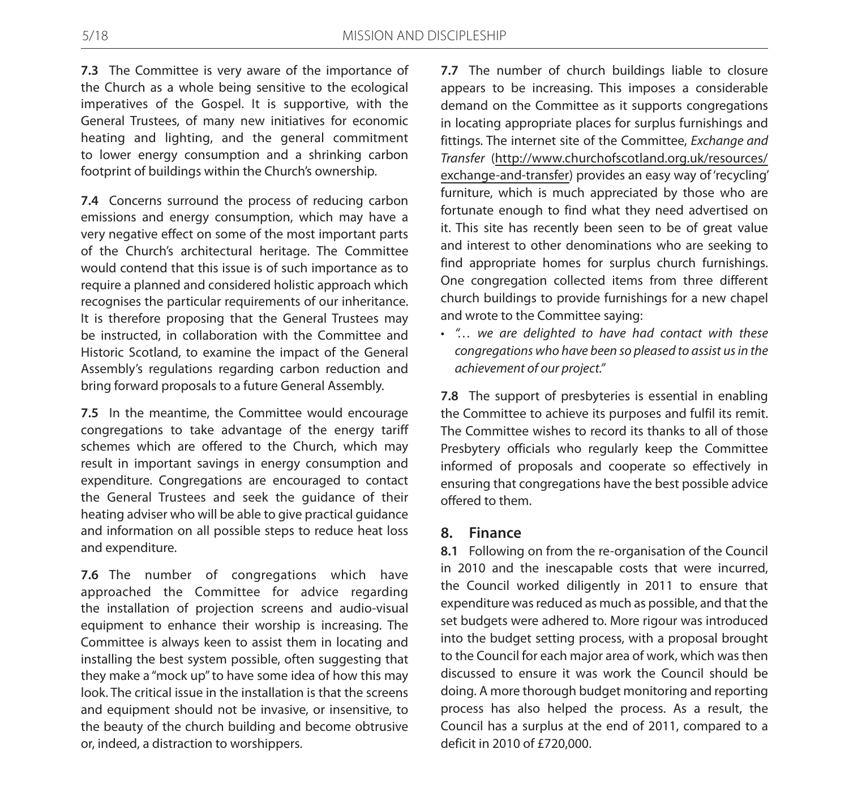**7.3** The Committee is very aware of the importance of the Church as a whole being sensitive to the ecological imperatives of the Gospel. It is supportive, with the General Trustees, of many new initiatives for economic heating and lighting, and the general commitment to lower energy consumption and a shrinking carbon footprint of buildings within the Church's ownership.

**7.4** Concerns surround the process of reducing carbon emissions and energy consumption, which may have a very negative effect on some of the most important parts of the Church's architectural heritage. The Committee would contend that this issue is of such importance as to require a planned and considered holistic approach which recognises the particular requirements of our inheritance. It is therefore proposing that the General Trustees may be instructed, in collaboration with the Committee and Historic Scotland, to examine the impact of the General Assembly's regulations regarding carbon reduction and bring forward proposals to a future General Assembly.

**7.5** In the meantime, the Committee would encourage congregations to take advantage of the energy tariff schemes which are offered to the Church, which may result in important savings in energy consumption and expenditure. Congregations are encouraged to contact the General Trustees and seek the guidance of their heating adviser who will be able to give practical guidance and information on all possible steps to reduce heat loss and expenditure.

**7.6** The number of congregations which have approached the Committee for advice regarding the installation of projection screens and audio-visual equipment to enhance their worship is increasing. The Committee is always keen to assist them in locating and installing the best system possible, often suggesting that they make a "mock up" to have some idea of how this may look. The critical issue in the installation is that the screens and equipment should not be invasive, or insensitive, to the beauty of the church building and become obtrusive or, indeed, a distraction to worshippers.

**7.7** The number of church buildings liable to closure appears to be increasing. This imposes a considerable demand on the Committee as it supports congregations in locating appropriate places for surplus furnishings and fittings. The internet site of the Committee, *Exchange and Transfer* (http://www.churchofscotland.org.uk/resources/ exchange-and-transfer) provides an easy way of 'recycling' furniture, which is much appreciated by those who are fortunate enough to find what they need advertised on it. This site has recently been seen to be of great value and interest to other denominations who are seeking to find appropriate homes for surplus church furnishings. One congregation collected items from three different church buildings to provide furnishings for a new chapel and wrote to the Committee saying:

• *"… we are delighted to have had contact with these congregations who have been so pleased to assist us in the achievement of our project."*

**7.8** The support of presbyteries is essential in enabling the Committee to achieve its purposes and fulfil its remit. The Committee wishes to record its thanks to all of those Presbytery officials who regularly keep the Committee informed of proposals and cooperate so effectively in ensuring that congregations have the best possible advice offered to them.

### **8. Finance**

**8.1** Following on from the re-organisation of the Council in 2010 and the inescapable costs that were incurred, the Council worked diligently in 2011 to ensure that expenditure was reduced as much as possible, and that the set budgets were adhered to. More rigour was introduced into the budget setting process, with a proposal brought to the Council for each major area of work, which was then discussed to ensure it was work the Council should be doing. A more thorough budget monitoring and reporting process has also helped the process. As a result, the Council has a surplus at the end of 2011, compared to a deficit in 2010 of £720,000.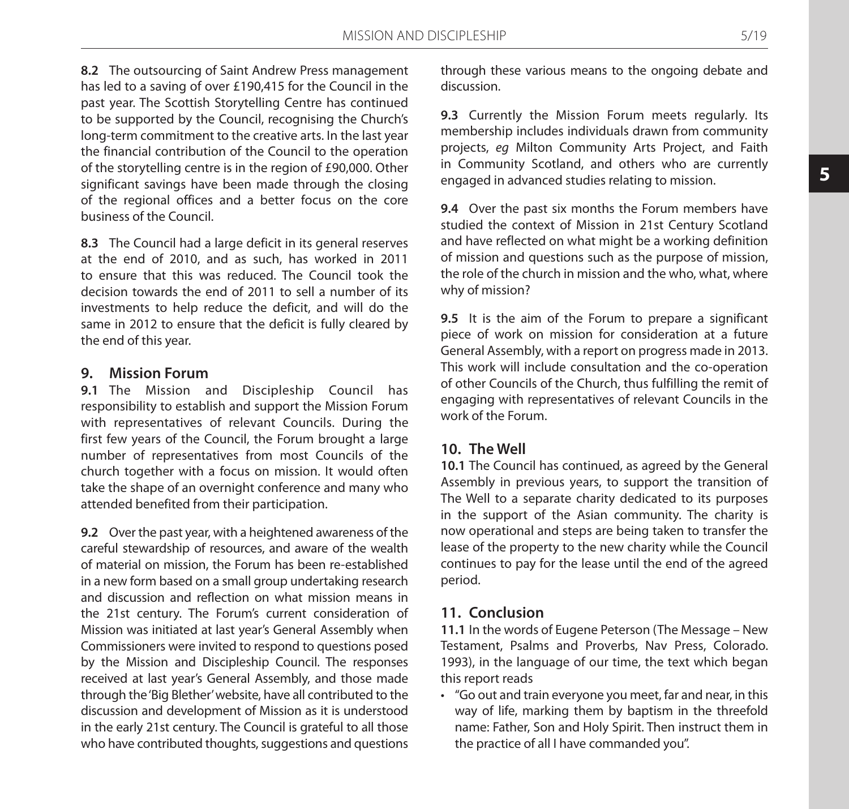**8.2** The outsourcing of Saint Andrew Press management has led to a saving of over £190,415 for the Council in the past year. The Scottish Storytelling Centre has continued to be supported by the Council, recognising the Church's long-term commitment to the creative arts. In the last year the financial contribution of the Council to the operation of the storytelling centre is in the region of £90,000. Other significant savings have been made through the closing of the regional offices and a better focus on the core business of the Council.

**8.3** The Council had a large deficit in its general reserves at the end of 2010, and as such, has worked in 2011 to ensure that this was reduced. The Council took the decision towards the end of 2011 to sell a number of its investments to help reduce the deficit, and will do the same in 2012 to ensure that the deficit is fully cleared by the end of this year.

# **9. Mission Forum**

**9.1** The Mission and Discipleship Council has responsibility to establish and support the Mission Forum with representatives of relevant Councils. During the first few years of the Council, the Forum brought a large number of representatives from most Councils of the church together with a focus on mission. It would often take the shape of an overnight conference and many who attended benefited from their participation.

**9.2** Over the past year, with a heightened awareness of the careful stewardship of resources, and aware of the wealth of material on mission, the Forum has been re-established in a new form based on a small group undertaking research and discussion and reflection on what mission means in the 21st century. The Forum's current consideration of Mission was initiated at last year's General Assembly when Commissioners were invited to respond to questions posed by the Mission and Discipleship Council. The responses received at last year's General Assembly, and those made through the 'Big Blether' website, have all contributed to the discussion and development of Mission as it is understood in the early 21st century. The Council is grateful to all those who have contributed thoughts, suggestions and questions through these various means to the ongoing debate and discussion.

**9.3** Currently the Mission Forum meets regularly. Its membership includes individuals drawn from community projects, *eg* Milton Community Arts Project, and Faith in Community Scotland, and others who are currently engaged in advanced studies relating to mission.

**9.4** Over the past six months the Forum members have studied the context of Mission in 21st Century Scotland and have reflected on what might be a working definition of mission and questions such as the purpose of mission, the role of the church in mission and the who, what, where why of mission?

**9.5** It is the aim of the Forum to prepare a significant piece of work on mission for consideration at a future General Assembly, with a report on progress made in 2013. This work will include consultation and the co-operation of other Councils of the Church, thus fulfilling the remit of engaging with representatives of relevant Councils in the work of the Forum.

# **10. The Well**

**10.1** The Council has continued, as agreed by the General Assembly in previous years, to support the transition of The Well to a separate charity dedicated to its purposes in the support of the Asian community. The charity is now operational and steps are being taken to transfer the lease of the property to the new charity while the Council continues to pay for the lease until the end of the agreed period.

# **11. Conclusion**

**11.1** In the words of Eugene Peterson (The Message – New Testament, Psalms and Proverbs, Nav Press, Colorado. 1993), in the language of our time, the text which began this report reads

• "Go out and train everyone you meet, far and near, in this way of life, marking them by baptism in the threefold name: Father, Son and Holy Spirit. Then instruct them in the practice of all I have commanded you".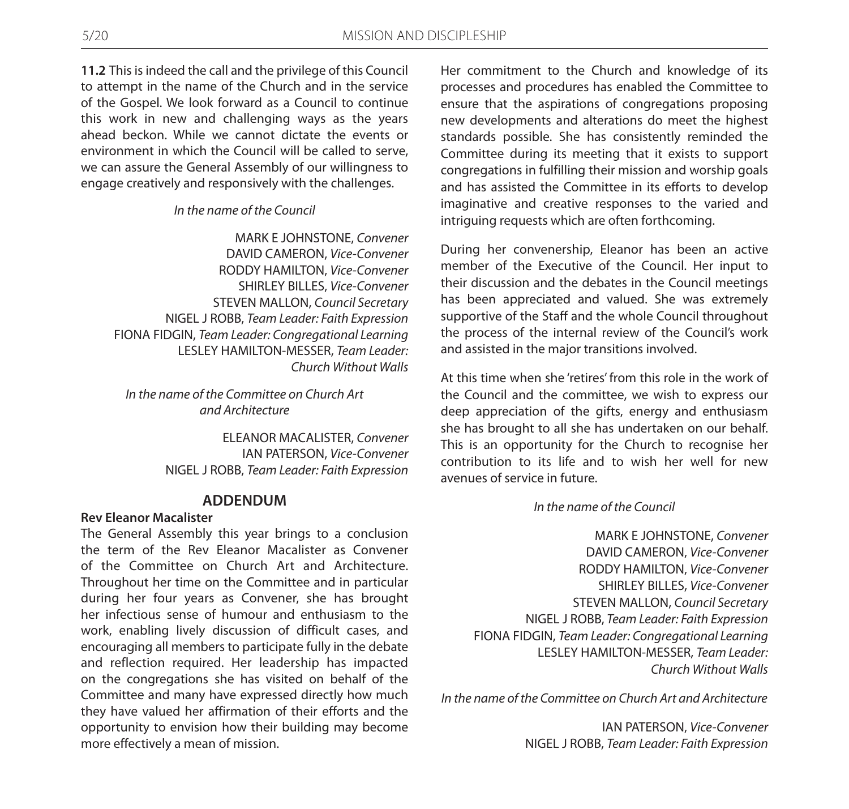**11.2** This is indeed the call and the privilege of this Council to attempt in the name of the Church and in the service of the Gospel. We look forward as a Council to continue this work in new and challenging ways as the years ahead beckon. While we cannot dictate the events or environment in which the Council will be called to serve, we can assure the General Assembly of our willingness to engage creatively and responsively with the challenges.

#### *In the name of the Council*

MARK E JOHNSTONE, *Convener* DAVID CAMERON, *Vice-Convener* RODDY HAMILTON, *Vice-Convener* SHIRLEY BILLES, *Vice-Convener* STEVEN MALLON, *Council Secretary* NIGEL J ROBB, *Team Leader: Faith Expression* FIONA FIDGIN, *Team Leader: Congregational Learning* LESLEY HAMILTON-MESSER, *Team Leader: Church Without Walls*

*In the name of the Committee on Church Art and Architecture*

> ELEANOR MACALISTER, *Convener* IAN PATERSON, *Vice-Convener* NIGEL J ROBB, *Team Leader: Faith Expression*

### **ADDENDUM**

#### **Rev Eleanor Macalister**

The General Assembly this year brings to a conclusion the term of the Rev Eleanor Macalister as Convener of the Committee on Church Art and Architecture. Throughout her time on the Committee and in particular during her four years as Convener, she has brought her infectious sense of humour and enthusiasm to the work, enabling lively discussion of difficult cases, and encouraging all members to participate fully in the debate and reflection required. Her leadership has impacted on the congregations she has visited on behalf of the Committee and many have expressed directly how much they have valued her affirmation of their efforts and the opportunity to envision how their building may become more effectively a mean of mission.

Her commitment to the Church and knowledge of its processes and procedures has enabled the Committee to ensure that the aspirations of congregations proposing new developments and alterations do meet the highest standards possible. She has consistently reminded the Committee during its meeting that it exists to support congregations in fulfilling their mission and worship goals and has assisted the Committee in its efforts to develop imaginative and creative responses to the varied and intriguing requests which are often forthcoming.

During her convenership, Eleanor has been an active member of the Executive of the Council. Her input to their discussion and the debates in the Council meetings has been appreciated and valued. She was extremely supportive of the Staff and the whole Council throughout the process of the internal review of the Council's work and assisted in the major transitions involved.

At this time when she 'retires' from this role in the work of the Council and the committee, we wish to express our deep appreciation of the gifts, energy and enthusiasm she has brought to all she has undertaken on our behalf. This is an opportunity for the Church to recognise her contribution to its life and to wish her well for new avenues of service in future.

#### *In the name of the Council*

MARK E JOHNSTONE, *Convener* DAVID CAMERON, *Vice-Convener* RODDY HAMILTON, *Vice-Convener* SHIRLEY BILLES, *Vice-Convener* STEVEN MALLON, *Council Secretary* NIGEL J ROBB, *Team Leader: Faith Expression* FIONA FIDGIN, *Team Leader: Congregational Learning* LESLEY HAMILTON-MESSER, *Team Leader: Church Without Walls*

*In the name of the Committee on Church Art and Architecture*

IAN PATERSON, *Vice-Convener* NIGEL J ROBB, *Team Leader: Faith Expression*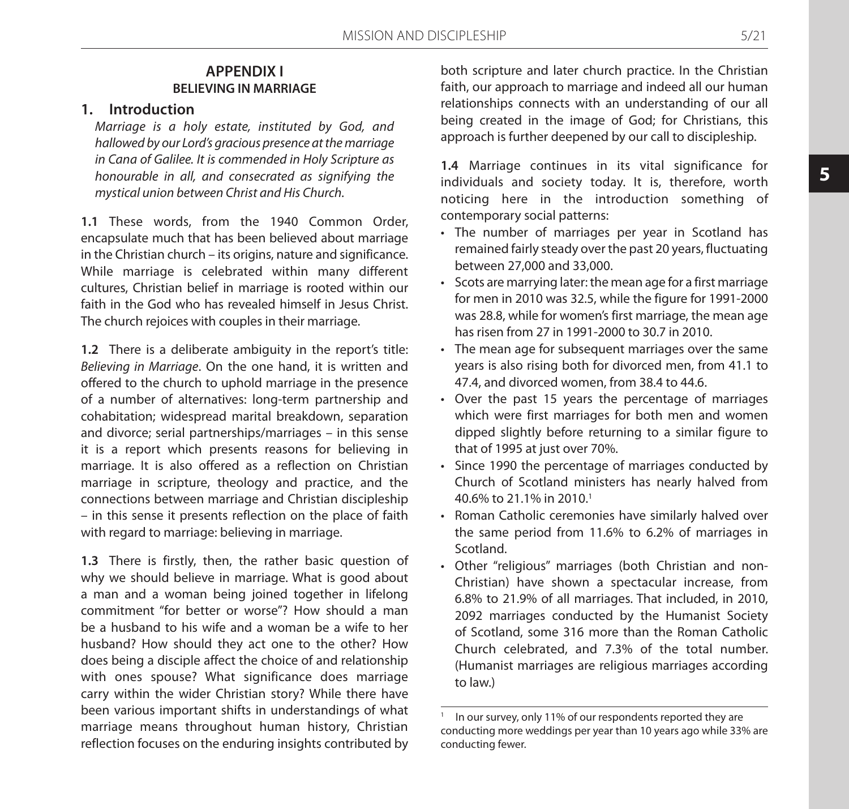# **APPENDIX I BELIEVING IN MARRIAGE**

### **1. Introduction**

*Marriage is a holy estate, instituted by God, and hallowed by our Lord's gracious presence at the marriage in Cana of Galilee. It is commended in Holy Scripture as honourable in all, and consecrated as signifying the mystical union between Christ and His Church.*

**1.1** These words, from the 1940 Common Order, encapsulate much that has been believed about marriage in the Christian church – its origins, nature and significance. While marriage is celebrated within many different cultures, Christian belief in marriage is rooted within our faith in the God who has revealed himself in Jesus Christ. The church rejoices with couples in their marriage.

**1.2** There is a deliberate ambiguity in the report's title: *Believing in Marriage*. On the one hand, it is written and offered to the church to uphold marriage in the presence of a number of alternatives: long-term partnership and cohabitation; widespread marital breakdown, separation and divorce; serial partnerships/marriages – in this sense it is a report which presents reasons for believing in marriage. It is also offered as a reflection on Christian marriage in scripture, theology and practice, and the connections between marriage and Christian discipleship – in this sense it presents reflection on the place of faith with regard to marriage: believing in marriage.

**1.3** There is firstly, then, the rather basic question of why we should believe in marriage. What is good about a man and a woman being joined together in lifelong commitment "for better or worse"? How should a man be a husband to his wife and a woman be a wife to her husband? How should they act one to the other? How does being a disciple affect the choice of and relationship with ones spouse? What significance does marriage carry within the wider Christian story? While there have been various important shifts in understandings of what marriage means throughout human history, Christian reflection focuses on the enduring insights contributed by

both scripture and later church practice. In the Christian faith, our approach to marriage and indeed all our human relationships connects with an understanding of our all being created in the image of God; for Christians, this approach is further deepened by our call to discipleship.

**1.4** Marriage continues in its vital significance for individuals and society today. It is, therefore, worth noticing here in the introduction something of contemporary social patterns:

- The number of marriages per year in Scotland has remained fairly steady over the past 20 years, fluctuating between 27,000 and 33,000.
- • Scots are marrying later: the mean age for a first marriage for men in 2010 was 32.5, while the figure for 1991-2000 was 28.8, while for women's first marriage, the mean age has risen from 27 in 1991-2000 to 30.7 in 2010.
- The mean age for subsequent marriages over the same years is also rising both for divorced men, from 41.1 to 47.4, and divorced women, from 38.4 to 44.6.
- • Over the past 15 years the percentage of marriages which were first marriages for both men and women dipped slightly before returning to a similar figure to that of 1995 at just over 70%.
- • Since 1990 the percentage of marriages conducted by Church of Scotland ministers has nearly halved from 40.6% to 21.1% in 2010.1
- Roman Catholic ceremonies have similarly halved over the same period from 11.6% to 6.2% of marriages in Scotland.
- Other "religious" marriages (both Christian and non-Christian) have shown a spectacular increase, from 6.8% to 21.9% of all marriages. That included, in 2010, 2092 marriages conducted by the Humanist Society of Scotland, some 316 more than the Roman Catholic Church celebrated, and 7.3% of the total number. (Humanist marriages are religious marriages according to law.)

In our survey, only 11% of our respondents reported they are conducting more weddings per year than 10 years ago while 33% are conducting fewer.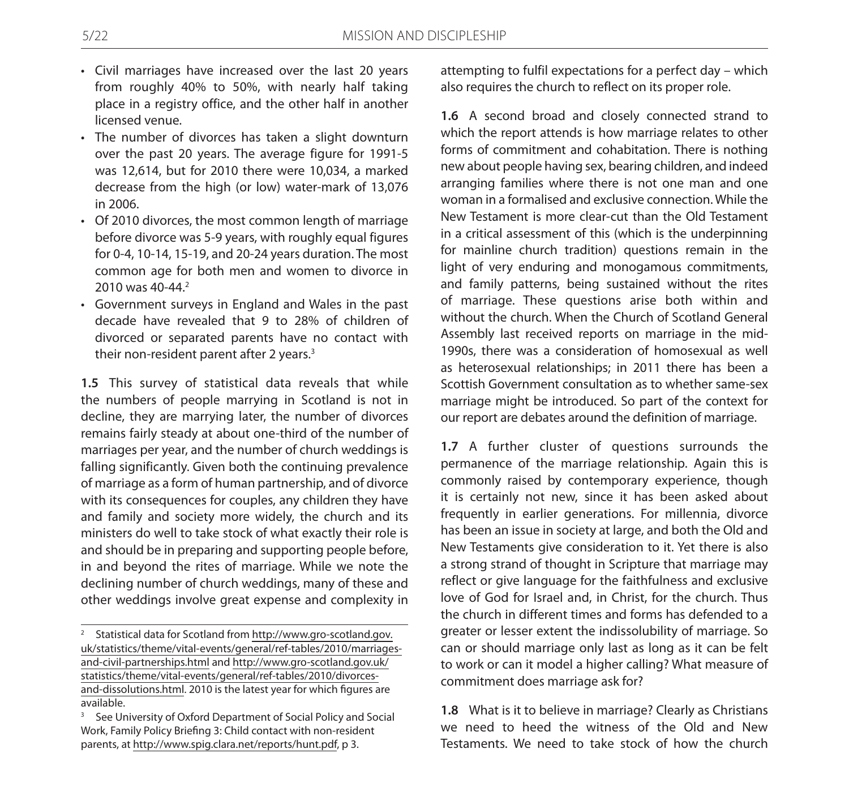- Civil marriages have increased over the last 20 years from roughly 40% to 50%, with nearly half taking place in a registry office, and the other half in another licensed venue.
- The number of divorces has taken a slight downturn over the past 20 years. The average figure for 1991-5 was 12,614, but for 2010 there were 10,034, a marked decrease from the high (or low) water-mark of 13,076 in 2006.
- • Of 2010 divorces, the most common length of marriage before divorce was 5-9 years, with roughly equal figures for 0-4, 10-14, 15-19, and 20-24 years duration. The most common age for both men and women to divorce in 2010 was 40-44.<sup>2</sup>
- • Government surveys in England and Wales in the past decade have revealed that 9 to 28% of children of divorced or separated parents have no contact with their non-resident parent after 2 years.<sup>3</sup>

**1.5** This survey of statistical data reveals that while the numbers of people marrying in Scotland is not in decline, they are marrying later, the number of divorces remains fairly steady at about one-third of the number of marriages per year, and the number of church weddings is falling significantly. Given both the continuing prevalence of marriage as a form of human partnership, and of divorce with its consequences for couples, any children they have and family and society more widely, the church and its ministers do well to take stock of what exactly their role is and should be in preparing and supporting people before, in and beyond the rites of marriage. While we note the declining number of church weddings, many of these and other weddings involve great expense and complexity in

attempting to fulfil expectations for a perfect day – which also requires the church to reflect on its proper role.

**1.6** A second broad and closely connected strand to which the report attends is how marriage relates to other forms of commitment and cohabitation. There is nothing new about people having sex, bearing children, and indeed arranging families where there is not one man and one woman in a formalised and exclusive connection. While the New Testament is more clear-cut than the Old Testament in a critical assessment of this (which is the underpinning for mainline church tradition) questions remain in the light of very enduring and monogamous commitments, and family patterns, being sustained without the rites of marriage. These questions arise both within and without the church. When the Church of Scotland General Assembly last received reports on marriage in the mid-1990s, there was a consideration of homosexual as well as heterosexual relationships; in 2011 there has been a Scottish Government consultation as to whether same-sex marriage might be introduced. So part of the context for our report are debates around the definition of marriage.

**1.7** A further cluster of questions surrounds the permanence of the marriage relationship. Again this is commonly raised by contemporary experience, though it is certainly not new, since it has been asked about frequently in earlier generations. For millennia, divorce has been an issue in society at large, and both the Old and New Testaments give consideration to it. Yet there is also a strong strand of thought in Scripture that marriage may reflect or give language for the faithfulness and exclusive love of God for Israel and, in Christ, for the church. Thus the church in different times and forms has defended to a greater or lesser extent the indissolubility of marriage. So can or should marriage only last as long as it can be felt to work or can it model a higher calling? What measure of commitment does marriage ask for?

**1.8** What is it to believe in marriage? Clearly as Christians we need to heed the witness of the Old and New Testaments. We need to take stock of how the church

<sup>2</sup> Statistical data for Scotland from http://www.gro-scotland.gov. uk/statistics/theme/vital-events/general/ref-tables/2010/marriagesand-civil-partnerships.html and http://www.gro-scotland.gov.uk/ statistics/theme/vital-events/general/ref-tables/2010/divorcesand-dissolutions.html. 2010 is the latest year for which figures are available.

<sup>3</sup> See University of Oxford Department of Social Policy and Social Work, Family Policy Briefing 3: Child contact with non-resident parents, at http://www.spig.clara.net/reports/hunt.pdf, p 3.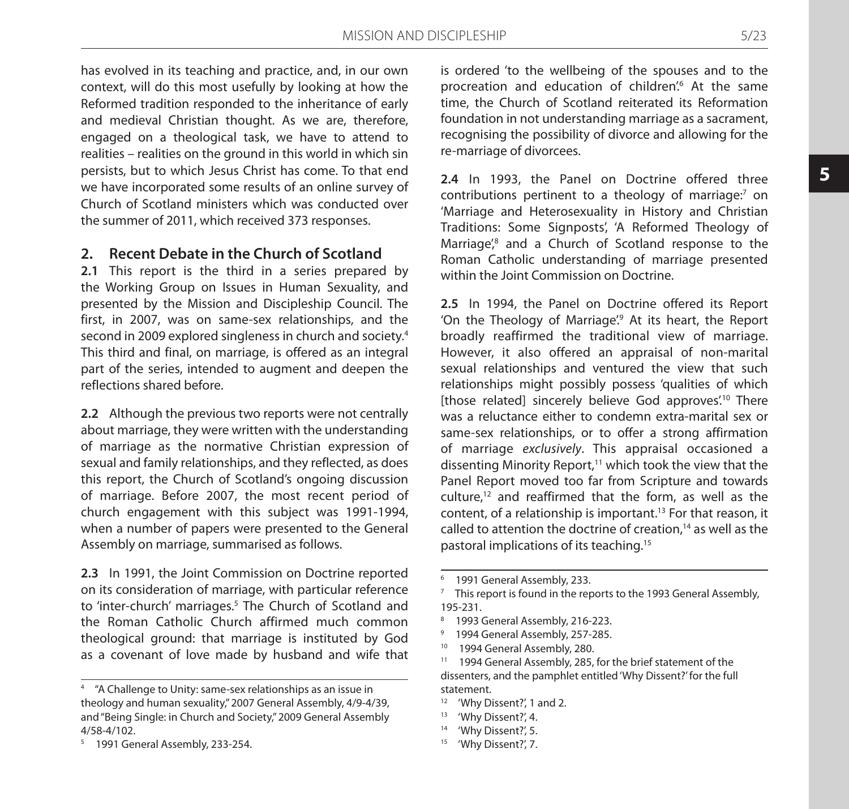has evolved in its teaching and practice, and, in our own context, will do this most usefully by looking at how the Reformed tradition responded to the inheritance of early and medieval Christian thought. As we are, therefore, engaged on a theological task, we have to attend to realities – realities on the ground in this world in which sin persists, but to which Jesus Christ has come. To that end we have incorporated some results of an online survey of Church of Scotland ministers which was conducted over the summer of 2011, which received 373 responses.

### **2. Recent Debate in the Church of Scotland**

**2.1** This report is the third in a series prepared by the Working Group on Issues in Human Sexuality, and presented by the Mission and Discipleship Council. The first, in 2007, was on same-sex relationships, and the second in 2009 explored singleness in church and society.4 This third and final, on marriage, is offered as an integral part of the series, intended to augment and deepen the reflections shared before.

**2.2** Although the previous two reports were not centrally about marriage, they were written with the understanding of marriage as the normative Christian expression of sexual and family relationships, and they reflected, as does this report, the Church of Scotland's ongoing discussion of marriage. Before 2007, the most recent period of church engagement with this subject was 1991-1994, when a number of papers were presented to the General Assembly on marriage, summarised as follows.

**2.3** In 1991, the Joint Commission on Doctrine reported on its consideration of marriage, with particular reference to 'inter-church' marriages.<sup>5</sup> The Church of Scotland and the Roman Catholic Church affirmed much common theological ground: that marriage is instituted by God as a covenant of love made by husband and wife that is ordered 'to the wellbeing of the spouses and to the procreation and education of children<sup>'</sup>. At the same time, the Church of Scotland reiterated its Reformation foundation in not understanding marriage as a sacrament, recognising the possibility of divorce and allowing for the re-marriage of divorcees.

**2.4** In 1993, the Panel on Doctrine offered three contributions pertinent to a theology of marriage:7 on 'Marriage and Heterosexuality in History and Christian Traditions: Some Signposts', 'A Reformed Theology of Marriage<sup>'</sup>,<sup>8</sup> and a Church of Scotland response to the Roman Catholic understanding of marriage presented within the Joint Commission on Doctrine.

**2.5** In 1994, the Panel on Doctrine offered its Report 'On the Theology of Marriage<sup>'</sup> At its heart, the Report broadly reaffirmed the traditional view of marriage. However, it also offered an appraisal of non-marital sexual relationships and ventured the view that such relationships might possibly possess 'qualities of which [those related] sincerely believe God approves<sup>'10</sup> There was a reluctance either to condemn extra-marital sex or same-sex relationships, or to offer a strong affirmation of marriage *exclusively*. This appraisal occasioned a dissenting Minority Report, $11$  which took the view that the Panel Report moved too far from Scripture and towards culture.<sup>12</sup> and reaffirmed that the form, as well as the content, of a relationship is important.<sup>13</sup> For that reason, it called to attention the doctrine of creation,<sup>14</sup> as well as the pastoral implications of its teaching.15

- <sup>9</sup> 1994 General Assembly, 257-285.
- <sup>10</sup> 1994 General Assembly, 280.

<sup>11</sup> 1994 General Assembly, 285, for the brief statement of the dissenters, and the pamphlet entitled 'Why Dissent?' for the full statement.

- <sup>12</sup> 'Why Dissent?', 1 and 2.
- <sup>13</sup> 'Why Dissent?', 4.
- <sup>14</sup> 'Why Dissent?', 5.
- <sup>15</sup> 'Why Dissent?', 7.

<sup>4</sup> "A Challenge to Unity: same-sex relationships as an issue in theology and human sexuality," 2007 General Assembly, 4/9-4/39, and "Being Single: in Church and Society," 2009 General Assembly 4/58-4/102.

<sup>&</sup>lt;sup>5</sup> 1991 General Assembly, 233-254.

<sup>1991</sup> General Assembly, 233.

 $7$  This report is found in the reports to the 1993 General Assembly, 195-231.

<sup>8</sup> 1993 General Assembly, 216-223.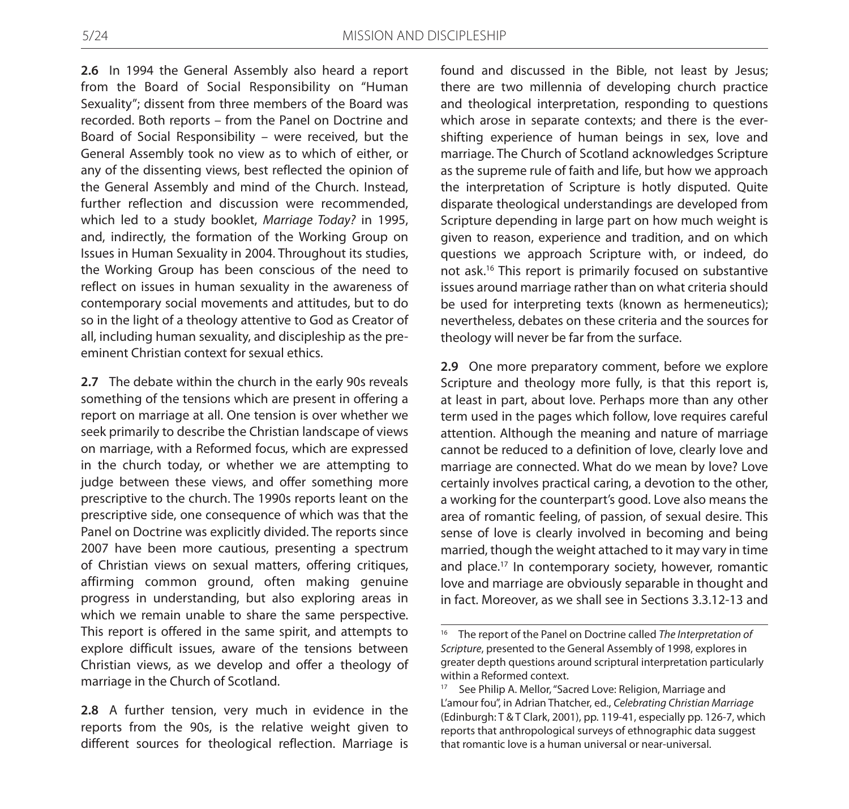**2.6** In 1994 the General Assembly also heard a report from the Board of Social Responsibility on "Human Sexuality"; dissent from three members of the Board was recorded. Both reports – from the Panel on Doctrine and Board of Social Responsibility – were received, but the General Assembly took no view as to which of either, or any of the dissenting views, best reflected the opinion of the General Assembly and mind of the Church. Instead, further reflection and discussion were recommended, which led to a study booklet, *Marriage Today?* in 1995, and, indirectly, the formation of the Working Group on Issues in Human Sexuality in 2004. Throughout its studies, the Working Group has been conscious of the need to reflect on issues in human sexuality in the awareness of contemporary social movements and attitudes, but to do so in the light of a theology attentive to God as Creator of all, including human sexuality, and discipleship as the preeminent Christian context for sexual ethics.

**2.7** The debate within the church in the early 90s reveals something of the tensions which are present in offering a report on marriage at all. One tension is over whether we seek primarily to describe the Christian landscape of views on marriage, with a Reformed focus, which are expressed in the church today, or whether we are attempting to judge between these views, and offer something more prescriptive to the church. The 1990s reports leant on the prescriptive side, one consequence of which was that the Panel on Doctrine was explicitly divided. The reports since 2007 have been more cautious, presenting a spectrum of Christian views on sexual matters, offering critiques, affirming common ground, often making genuine progress in understanding, but also exploring areas in which we remain unable to share the same perspective. This report is offered in the same spirit, and attempts to explore difficult issues, aware of the tensions between Christian views, as we develop and offer a theology of marriage in the Church of Scotland.

**2.8** A further tension, very much in evidence in the reports from the 90s, is the relative weight given to different sources for theological reflection. Marriage is

found and discussed in the Bible, not least by Jesus; there are two millennia of developing church practice and theological interpretation, responding to questions which arose in separate contexts; and there is the evershifting experience of human beings in sex, love and marriage. The Church of Scotland acknowledges Scripture as the supreme rule of faith and life, but how we approach the interpretation of Scripture is hotly disputed. Quite disparate theological understandings are developed from Scripture depending in large part on how much weight is given to reason, experience and tradition, and on which questions we approach Scripture with, or indeed, do not ask.16 This report is primarily focused on substantive issues around marriage rather than on what criteria should be used for interpreting texts (known as hermeneutics); nevertheless, debates on these criteria and the sources for theology will never be far from the surface.

**2.9** One more preparatory comment, before we explore Scripture and theology more fully, is that this report is, at least in part, about love. Perhaps more than any other term used in the pages which follow, love requires careful attention. Although the meaning and nature of marriage cannot be reduced to a definition of love, clearly love and marriage are connected. What do we mean by love? Love certainly involves practical caring, a devotion to the other, a working for the counterpart's good. Love also means the area of romantic feeling, of passion, of sexual desire. This sense of love is clearly involved in becoming and being married, though the weight attached to it may vary in time and place.<sup>17</sup> In contemporary society, however, romantic love and marriage are obviously separable in thought and in fact. Moreover, as we shall see in Sections 3.3.12-13 and

<sup>16</sup> The report of the Panel on Doctrine called *The Interpretation of Scripture*, presented to the General Assembly of 1998, explores in greater depth questions around scriptural interpretation particularly within a Reformed context.

<sup>&</sup>lt;sup>17</sup> See Philip A. Mellor, "Sacred Love: Religion, Marriage and L'amour fou", in Adrian Thatcher, ed., *Celebrating Christian Marriage* (Edinburgh: T & T Clark, 2001), pp. 119-41, especially pp. 126-7, which reports that anthropological surveys of ethnographic data suggest that romantic love is a human universal or near-universal.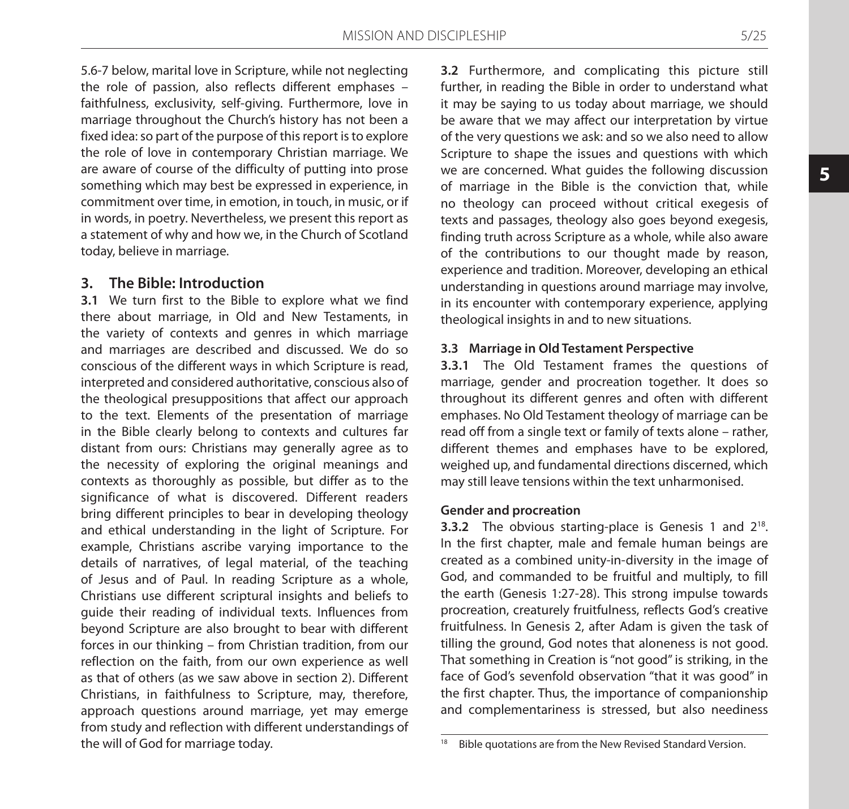5.6-7 below, marital love in Scripture, while not neglecting the role of passion, also reflects different emphases – faithfulness, exclusivity, self-giving. Furthermore, love in marriage throughout the Church's history has not been a fixed idea: so part of the purpose of this report is to explore the role of love in contemporary Christian marriage. We are aware of course of the difficulty of putting into prose something which may best be expressed in experience, in commitment over time, in emotion, in touch, in music, or if in words, in poetry. Nevertheless, we present this report as a statement of why and how we, in the Church of Scotland today, believe in marriage.

### **3. The Bible: Introduction**

**3.1** We turn first to the Bible to explore what we find there about marriage, in Old and New Testaments, in the variety of contexts and genres in which marriage and marriages are described and discussed. We do so conscious of the different ways in which Scripture is read, interpreted and considered authoritative, conscious also of the theological presuppositions that affect our approach to the text. Elements of the presentation of marriage in the Bible clearly belong to contexts and cultures far distant from ours: Christians may generally agree as to the necessity of exploring the original meanings and contexts as thoroughly as possible, but differ as to the significance of what is discovered. Different readers bring different principles to bear in developing theology and ethical understanding in the light of Scripture. For example, Christians ascribe varying importance to the details of narratives, of legal material, of the teaching of Jesus and of Paul. In reading Scripture as a whole, Christians use different scriptural insights and beliefs to guide their reading of individual texts. Influences from beyond Scripture are also brought to bear with different forces in our thinking – from Christian tradition, from our reflection on the faith, from our own experience as well as that of others (as we saw above in section 2). Different Christians, in faithfulness to Scripture, may, therefore, approach questions around marriage, yet may emerge from study and reflection with different understandings of the will of God for marriage today.

**3.2** Furthermore, and complicating this picture still further, in reading the Bible in order to understand what it may be saying to us today about marriage, we should be aware that we may affect our interpretation by virtue of the very questions we ask: and so we also need to allow Scripture to shape the issues and questions with which we are concerned. What guides the following discussion of marriage in the Bible is the conviction that, while no theology can proceed without critical exegesis of texts and passages, theology also goes beyond exegesis, finding truth across Scripture as a whole, while also aware of the contributions to our thought made by reason, experience and tradition. Moreover, developing an ethical understanding in questions around marriage may involve, in its encounter with contemporary experience, applying theological insights in and to new situations.

#### **3.3 Marriage in Old Testament Perspective**

**3.3.1** The Old Testament frames the questions of marriage, gender and procreation together. It does so throughout its different genres and often with different emphases. No Old Testament theology of marriage can be read off from a single text or family of texts alone – rather, different themes and emphases have to be explored, weighed up, and fundamental directions discerned, which may still leave tensions within the text unharmonised.

#### **Gender and procreation**

**3.3.2** The obvious starting-place is Genesis 1 and 2<sup>18</sup>. In the first chapter, male and female human beings are created as a combined unity-in-diversity in the image of God, and commanded to be fruitful and multiply, to fill the earth (Genesis 1:27-28). This strong impulse towards procreation, creaturely fruitfulness, reflects God's creative fruitfulness. In Genesis 2, after Adam is given the task of tilling the ground, God notes that aloneness is not good. That something in Creation is "not good" is striking, in the face of God's sevenfold observation "that it was good" in the first chapter. Thus, the importance of companionship and complementariness is stressed, but also neediness

<sup>&</sup>lt;sup>18</sup> Bible quotations are from the New Revised Standard Version.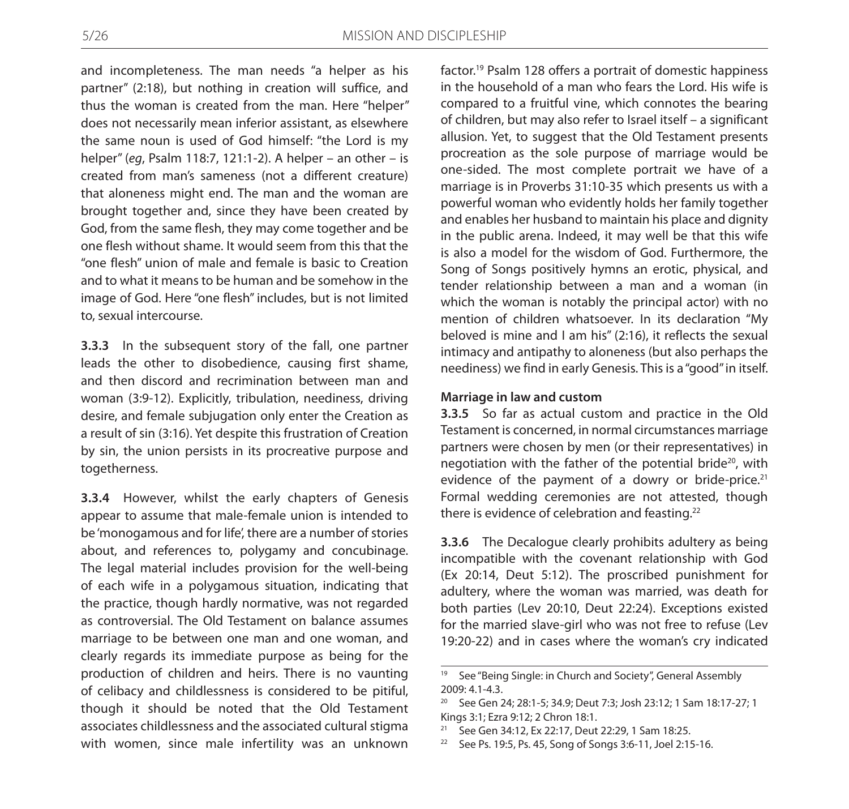and incompleteness. The man needs "a helper as his partner" (2:18), but nothing in creation will suffice, and thus the woman is created from the man. Here "helper" does not necessarily mean inferior assistant, as elsewhere the same noun is used of God himself: "the Lord is my helper" (*eg*, Psalm 118:7, 121:1-2). A helper – an other – is created from man's sameness (not a different creature) that aloneness might end. The man and the woman are brought together and, since they have been created by God, from the same flesh, they may come together and be one flesh without shame. It would seem from this that the "one flesh" union of male and female is basic to Creation and to what it means to be human and be somehow in the image of God. Here "one flesh" includes, but is not limited to, sexual intercourse.

**3.3.3** In the subsequent story of the fall, one partner leads the other to disobedience, causing first shame, and then discord and recrimination between man and woman (3:9-12). Explicitly, tribulation, neediness, driving desire, and female subjugation only enter the Creation as a result of sin (3:16). Yet despite this frustration of Creation by sin, the union persists in its procreative purpose and togetherness.

**3.3.4** However, whilst the early chapters of Genesis appear to assume that male-female union is intended to be 'monogamous and for life', there are a number of stories about, and references to, polygamy and concubinage. The legal material includes provision for the well-being of each wife in a polygamous situation, indicating that the practice, though hardly normative, was not regarded as controversial. The Old Testament on balance assumes marriage to be between one man and one woman, and clearly regards its immediate purpose as being for the production of children and heirs. There is no vaunting of celibacy and childlessness is considered to be pitiful, though it should be noted that the Old Testament associates childlessness and the associated cultural stigma with women, since male infertility was an unknown

factor.19 Psalm 128 offers a portrait of domestic happiness in the household of a man who fears the Lord. His wife is compared to a fruitful vine, which connotes the bearing of children, but may also refer to Israel itself – a significant allusion. Yet, to suggest that the Old Testament presents procreation as the sole purpose of marriage would be one-sided. The most complete portrait we have of a marriage is in Proverbs 31:10-35 which presents us with a powerful woman who evidently holds her family together and enables her husband to maintain his place and dignity in the public arena. Indeed, it may well be that this wife is also a model for the wisdom of God. Furthermore, the Song of Songs positively hymns an erotic, physical, and tender relationship between a man and a woman (in which the woman is notably the principal actor) with no mention of children whatsoever. In its declaration "My beloved is mine and I am his" (2:16), it reflects the sexual intimacy and antipathy to aloneness (but also perhaps the neediness) we find in early Genesis. This is a "good" in itself.

#### **Marriage in law and custom**

**3.3.5** So far as actual custom and practice in the Old Testament is concerned, in normal circumstances marriage partners were chosen by men (or their representatives) in negotiation with the father of the potential bride<sup>20</sup>, with evidence of the payment of a dowry or bride-price. $21$ Formal wedding ceremonies are not attested, though there is evidence of celebration and feasting.<sup>22</sup>

**3.3.6** The Decalogue clearly prohibits adultery as being incompatible with the covenant relationship with God (Ex 20:14, Deut 5:12). The proscribed punishment for adultery, where the woman was married, was death for both parties (Lev 20:10, Deut 22:24). Exceptions existed for the married slave-girl who was not free to refuse (Lev 19:20-22) and in cases where the woman's cry indicated

<sup>&</sup>lt;sup>19</sup> See "Being Single: in Church and Society", General Assembly 2009: 4.1-4.3.

<sup>20</sup> See Gen 24; 28:1-5; 34.9; Deut 7:3; Josh 23:12; 1 Sam 18:17-27; 1 Kings 3:1; Ezra 9:12; 2 Chron 18:1.

<sup>21</sup> See Gen 34:12, Ex 22:17, Deut 22:29, 1 Sam 18:25.

<sup>22</sup> See Ps. 19:5, Ps. 45, Song of Songs 3:6-11, Joel 2:15-16.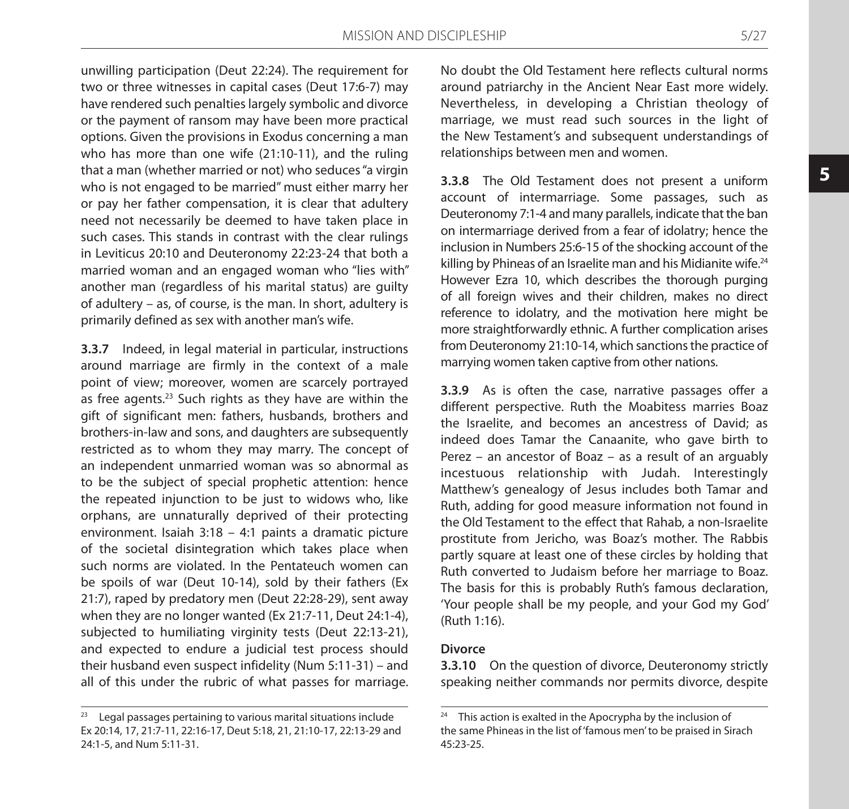unwilling participation (Deut 22:24). The requirement for two or three witnesses in capital cases (Deut 17:6-7) may have rendered such penalties largely symbolic and divorce or the payment of ransom may have been more practical options. Given the provisions in Exodus concerning a man who has more than one wife (21:10-11), and the ruling that a man (whether married or not) who seduces "a virgin who is not engaged to be married" must either marry her or pay her father compensation, it is clear that adultery need not necessarily be deemed to have taken place in such cases. This stands in contrast with the clear rulings in Leviticus 20:10 and Deuteronomy 22:23-24 that both a married woman and an engaged woman who "lies with" another man (regardless of his marital status) are guilty of adultery – as, of course, is the man. In short, adultery is primarily defined as sex with another man's wife.

**3.3.7** Indeed, in legal material in particular, instructions around marriage are firmly in the context of a male point of view; moreover, women are scarcely portrayed as free agents.23 Such rights as they have are within the gift of significant men: fathers, husbands, brothers and brothers-in-law and sons, and daughters are subsequently restricted as to whom they may marry. The concept of an independent unmarried woman was so abnormal as to be the subject of special prophetic attention: hence the repeated injunction to be just to widows who, like orphans, are unnaturally deprived of their protecting environment. Isaiah 3:18 – 4:1 paints a dramatic picture of the societal disintegration which takes place when such norms are violated. In the Pentateuch women can be spoils of war (Deut 10-14), sold by their fathers (Ex 21:7), raped by predatory men (Deut 22:28-29), sent away when they are no longer wanted (Ex 21:7-11, Deut 24:1-4), subjected to humiliating virginity tests (Deut 22:13-21), and expected to endure a judicial test process should their husband even suspect infidelity (Num 5:11-31) – and all of this under the rubric of what passes for marriage.

No doubt the Old Testament here reflects cultural norms around patriarchy in the Ancient Near East more widely. Nevertheless, in developing a Christian theology of marriage, we must read such sources in the light of the New Testament's and subsequent understandings of relationships between men and women.

**3.3.8** The Old Testament does not present a uniform account of intermarriage. Some passages, such as Deuteronomy 7:1-4 and many parallels, indicate that the ban on intermarriage derived from a fear of idolatry; hence the inclusion in Numbers 25:6-15 of the shocking account of the killing by Phineas of an Israelite man and his Midianite wife.<sup>24</sup> However Ezra 10, which describes the thorough purging of all foreign wives and their children, makes no direct reference to idolatry, and the motivation here might be more straightforwardly ethnic. A further complication arises from Deuteronomy 21:10-14, which sanctions the practice of marrying women taken captive from other nations.

**3.3.9** As is often the case, narrative passages offer a different perspective. Ruth the Moabitess marries Boaz the Israelite, and becomes an ancestress of David; as indeed does Tamar the Canaanite, who gave birth to Perez – an ancestor of Boaz – as a result of an arguably incestuous relationship with Judah. Interestingly Matthew's genealogy of Jesus includes both Tamar and Ruth, adding for good measure information not found in the Old Testament to the effect that Rahab, a non-Israelite prostitute from Jericho, was Boaz's mother. The Rabbis partly square at least one of these circles by holding that Ruth converted to Judaism before her marriage to Boaz. The basis for this is probably Ruth's famous declaration, 'Your people shall be my people, and your God my God' (Ruth 1:16).

#### **Divorce**

**3.3.10** On the question of divorce, Deuteronomy strictly speaking neither commands nor permits divorce, despite

<sup>&</sup>lt;sup>23</sup> Legal passages pertaining to various marital situations include Ex 20:14, 17, 21:7-11, 22:16-17, Deut 5:18, 21, 21:10-17, 22:13-29 and 24:1-5, and Num 5:11-31.

 $24$  This action is exalted in the Apocrypha by the inclusion of the same Phineas in the list of 'famous men' to be praised in Sirach 45:23-25.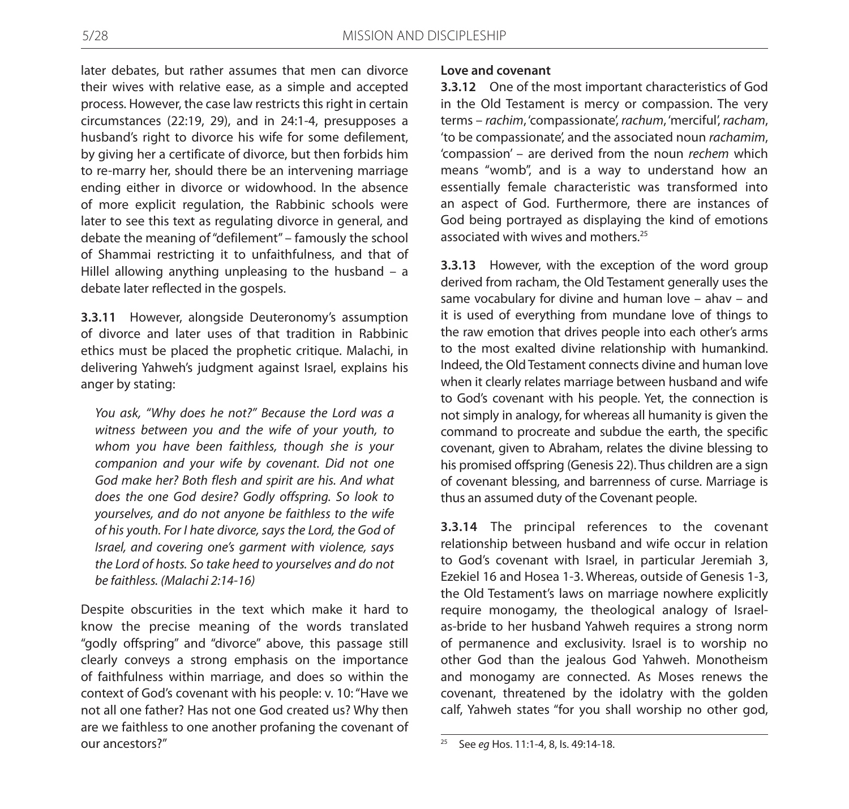later debates, but rather assumes that men can divorce their wives with relative ease, as a simple and accepted process. However, the case law restricts this right in certain circumstances (22:19, 29), and in 24:1-4, presupposes a husband's right to divorce his wife for some defilement, by giving her a certificate of divorce, but then forbids him to re-marry her, should there be an intervening marriage ending either in divorce or widowhood. In the absence of more explicit regulation, the Rabbinic schools were later to see this text as regulating divorce in general, and debate the meaning of "defilement" – famously the school of Shammai restricting it to unfaithfulness, and that of Hillel allowing anything unpleasing to the husband – a debate later reflected in the gospels.

**3.3.11** However, alongside Deuteronomy's assumption of divorce and later uses of that tradition in Rabbinic ethics must be placed the prophetic critique. Malachi, in delivering Yahweh's judgment against Israel, explains his anger by stating:

*You ask, "Why does he not?" Because the Lord was a witness between you and the wife of your youth, to whom you have been faithless, though she is your companion and your wife by covenant. Did not one God make her? Both flesh and spirit are his. And what does the one God desire? Godly offspring. So look to yourselves, and do not anyone be faithless to the wife of his youth. For I hate divorce, says the Lord, the God of Israel, and covering one's garment with violence, says the Lord of hosts. So take heed to yourselves and do not be faithless. (Malachi 2:14-16)*

Despite obscurities in the text which make it hard to know the precise meaning of the words translated "godly offspring" and "divorce" above, this passage still clearly conveys a strong emphasis on the importance of faithfulness within marriage, and does so within the context of God's covenant with his people: v. 10: "Have we not all one father? Has not one God created us? Why then are we faithless to one another profaning the covenant of our ancestors?"

#### **Love and covenant**

**3.3.12** One of the most important characteristics of God in the Old Testament is mercy or compassion. The very terms – *rachim*, 'compassionate', *rachum*, 'merciful', *racham*, 'to be compassionate', and the associated noun *rachamim*, 'compassion' – are derived from the noun *rechem* which means "womb", and is a way to understand how an essentially female characteristic was transformed into an aspect of God. Furthermore, there are instances of God being portrayed as displaying the kind of emotions associated with wives and mothers.<sup>25</sup>

**3.3.13** However, with the exception of the word group derived from racham, the Old Testament generally uses the same vocabulary for divine and human love – ahav – and it is used of everything from mundane love of things to the raw emotion that drives people into each other's arms to the most exalted divine relationship with humankind. Indeed, the Old Testament connects divine and human love when it clearly relates marriage between husband and wife to God's covenant with his people. Yet, the connection is not simply in analogy, for whereas all humanity is given the command to procreate and subdue the earth, the specific covenant, given to Abraham, relates the divine blessing to his promised offspring (Genesis 22). Thus children are a sign of covenant blessing, and barrenness of curse. Marriage is thus an assumed duty of the Covenant people.

**3.3.14** The principal references to the covenant relationship between husband and wife occur in relation to God's covenant with Israel, in particular Jeremiah 3, Ezekiel 16 and Hosea 1-3. Whereas, outside of Genesis 1-3, the Old Testament's laws on marriage nowhere explicitly require monogamy, the theological analogy of Israelas-bride to her husband Yahweh requires a strong norm of permanence and exclusivity. Israel is to worship no other God than the jealous God Yahweh. Monotheism and monogamy are connected. As Moses renews the covenant, threatened by the idolatry with the golden calf, Yahweh states "for you shall worship no other god,

<sup>25</sup> See *eg* Hos. 11:1-4, 8, Is. 49:14-18.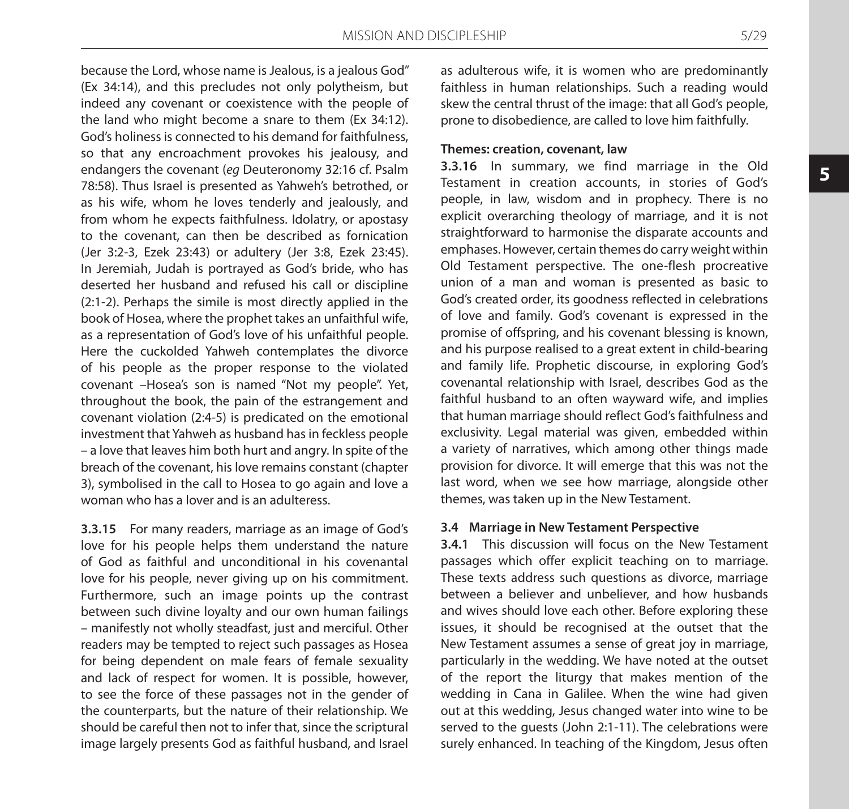because the Lord, whose name is Jealous, is a jealous God" (Ex 34:14), and this precludes not only polytheism, but indeed any covenant or coexistence with the people of the land who might become a snare to them (Ex 34:12). God's holiness is connected to his demand for faithfulness, so that any encroachment provokes his jealousy, and endangers the covenant (*eg* Deuteronomy 32:16 cf. Psalm 78:58). Thus Israel is presented as Yahweh's betrothed, or as his wife, whom he loves tenderly and jealously, and from whom he expects faithfulness. Idolatry, or apostasy to the covenant, can then be described as fornication (Jer 3:2-3, Ezek 23:43) or adultery (Jer 3:8, Ezek 23:45). In Jeremiah, Judah is portrayed as God's bride, who has deserted her husband and refused his call or discipline (2:1-2). Perhaps the simile is most directly applied in the book of Hosea, where the prophet takes an unfaithful wife, as a representation of God's love of his unfaithful people. Here the cuckolded Yahweh contemplates the divorce of his people as the proper response to the violated covenant –Hosea's son is named "Not my people". Yet, throughout the book, the pain of the estrangement and covenant violation (2:4-5) is predicated on the emotional investment that Yahweh as husband has in feckless people – a love that leaves him both hurt and angry. In spite of the breach of the covenant, his love remains constant (chapter 3), symbolised in the call to Hosea to go again and love a woman who has a lover and is an adulteress.

**3.3.15** For many readers, marriage as an image of God's love for his people helps them understand the nature of God as faithful and unconditional in his covenantal love for his people, never giving up on his commitment. Furthermore, such an image points up the contrast between such divine loyalty and our own human failings – manifestly not wholly steadfast, just and merciful. Other readers may be tempted to reject such passages as Hosea for being dependent on male fears of female sexuality and lack of respect for women. It is possible, however, to see the force of these passages not in the gender of the counterparts, but the nature of their relationship. We should be careful then not to infer that, since the scriptural image largely presents God as faithful husband, and Israel

as adulterous wife, it is women who are predominantly faithless in human relationships. Such a reading would skew the central thrust of the image: that all God's people, prone to disobedience, are called to love him faithfully.

### **Themes: creation, covenant, law**

**3.3.16** In summary, we find marriage in the Old Testament in creation accounts, in stories of God's people, in law, wisdom and in prophecy. There is no explicit overarching theology of marriage, and it is not straightforward to harmonise the disparate accounts and emphases. However, certain themes do carry weight within Old Testament perspective. The one-flesh procreative union of a man and woman is presented as basic to God's created order, its goodness reflected in celebrations of love and family. God's covenant is expressed in the promise of offspring, and his covenant blessing is known, and his purpose realised to a great extent in child-bearing and family life. Prophetic discourse, in exploring God's covenantal relationship with Israel, describes God as the faithful husband to an often wayward wife, and implies that human marriage should reflect God's faithfulness and exclusivity. Legal material was given, embedded within a variety of narratives, which among other things made provision for divorce. It will emerge that this was not the last word, when we see how marriage, alongside other themes, was taken up in the New Testament.

#### **3.4 Marriage in New Testament Perspective**

**3.4.1** This discussion will focus on the New Testament passages which offer explicit teaching on to marriage. These texts address such questions as divorce, marriage between a believer and unbeliever, and how husbands and wives should love each other. Before exploring these issues, it should be recognised at the outset that the New Testament assumes a sense of great joy in marriage, particularly in the wedding. We have noted at the outset of the report the liturgy that makes mention of the wedding in Cana in Galilee. When the wine had given out at this wedding, Jesus changed water into wine to be served to the guests (John 2:1-11). The celebrations were surely enhanced. In teaching of the Kingdom, Jesus often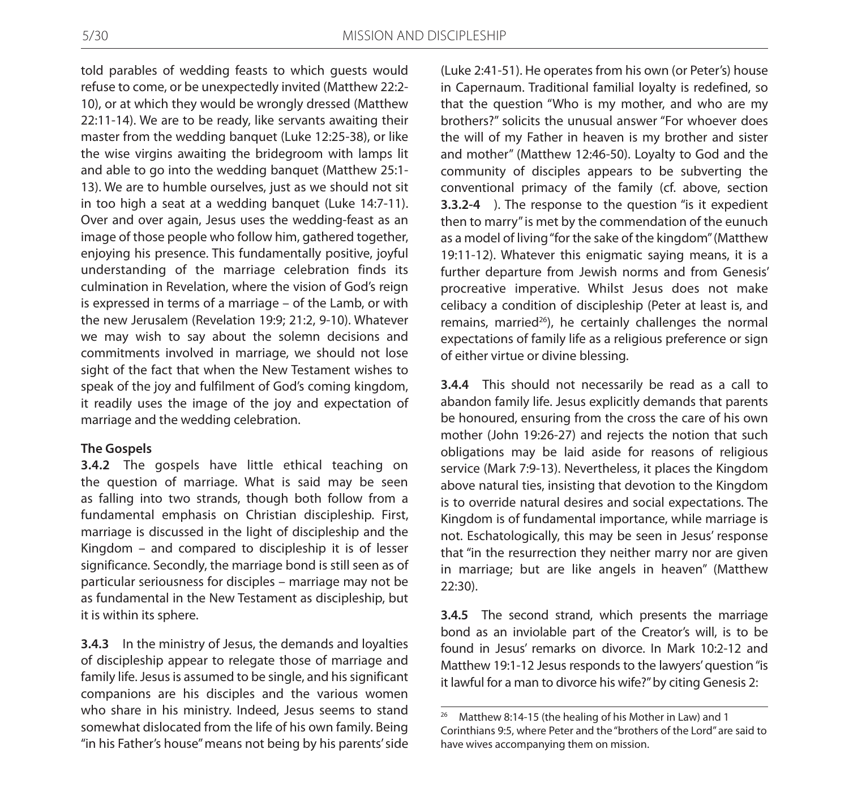told parables of wedding feasts to which guests would refuse to come, or be unexpectedly invited (Matthew 22:2- 10), or at which they would be wrongly dressed (Matthew 22:11-14). We are to be ready, like servants awaiting their master from the wedding banquet (Luke 12:25-38), or like the wise virgins awaiting the bridegroom with lamps lit and able to go into the wedding banquet (Matthew 25:1- 13). We are to humble ourselves, just as we should not sit in too high a seat at a wedding banquet (Luke 14:7-11). Over and over again, Jesus uses the wedding-feast as an image of those people who follow him, gathered together, enjoying his presence. This fundamentally positive, joyful understanding of the marriage celebration finds its culmination in Revelation, where the vision of God's reign is expressed in terms of a marriage – of the Lamb, or with the new Jerusalem (Revelation 19:9; 21:2, 9-10). Whatever we may wish to say about the solemn decisions and commitments involved in marriage, we should not lose sight of the fact that when the New Testament wishes to speak of the joy and fulfilment of God's coming kingdom, it readily uses the image of the joy and expectation of marriage and the wedding celebration.

### **The Gospels**

**3.4.2** The gospels have little ethical teaching on the question of marriage. What is said may be seen as falling into two strands, though both follow from a fundamental emphasis on Christian discipleship. First, marriage is discussed in the light of discipleship and the Kingdom – and compared to discipleship it is of lesser significance. Secondly, the marriage bond is still seen as of particular seriousness for disciples – marriage may not be as fundamental in the New Testament as discipleship, but it is within its sphere.

**3.4.3** In the ministry of Jesus, the demands and loyalties of discipleship appear to relegate those of marriage and family life. Jesus is assumed to be single, and his significant companions are his disciples and the various women who share in his ministry. Indeed, Jesus seems to stand somewhat dislocated from the life of his own family. Being "in his Father's house" means not being by his parents' side

(Luke 2:41-51). He operates from his own (or Peter's) house in Capernaum. Traditional familial loyalty is redefined, so that the question "Who is my mother, and who are my brothers?" solicits the unusual answer "For whoever does the will of my Father in heaven is my brother and sister and mother" (Matthew 12:46-50). Loyalty to God and the community of disciples appears to be subverting the conventional primacy of the family (cf. above, section **3.3.2-4** ). The response to the question "is it expedient then to marry" is met by the commendation of the eunuch as a model of living "for the sake of the kingdom" (Matthew 19:11-12). Whatever this enigmatic saying means, it is a further departure from Jewish norms and from Genesis' procreative imperative. Whilst Jesus does not make celibacy a condition of discipleship (Peter at least is, and remains, married $^{26}$ ), he certainly challenges the normal expectations of family life as a religious preference or sign of either virtue or divine blessing.

**3.4.4** This should not necessarily be read as a call to abandon family life. Jesus explicitly demands that parents be honoured, ensuring from the cross the care of his own mother (John 19:26-27) and rejects the notion that such obligations may be laid aside for reasons of religious service (Mark 7:9-13). Nevertheless, it places the Kingdom above natural ties, insisting that devotion to the Kingdom is to override natural desires and social expectations. The Kingdom is of fundamental importance, while marriage is not. Eschatologically, this may be seen in Jesus' response that "in the resurrection they neither marry nor are given in marriage; but are like angels in heaven" (Matthew 22:30).

**3.4.5** The second strand, which presents the marriage bond as an inviolable part of the Creator's will, is to be found in Jesus' remarks on divorce. In Mark 10:2-12 and Matthew 19:1-12 Jesus responds to the lawyers' question "is it lawful for a man to divorce his wife?" by citing Genesis 2:

<sup>&</sup>lt;sup>26</sup> Matthew 8:14-15 (the healing of his Mother in Law) and 1 Corinthians 9:5, where Peter and the "brothers of the Lord" are said to have wives accompanying them on mission.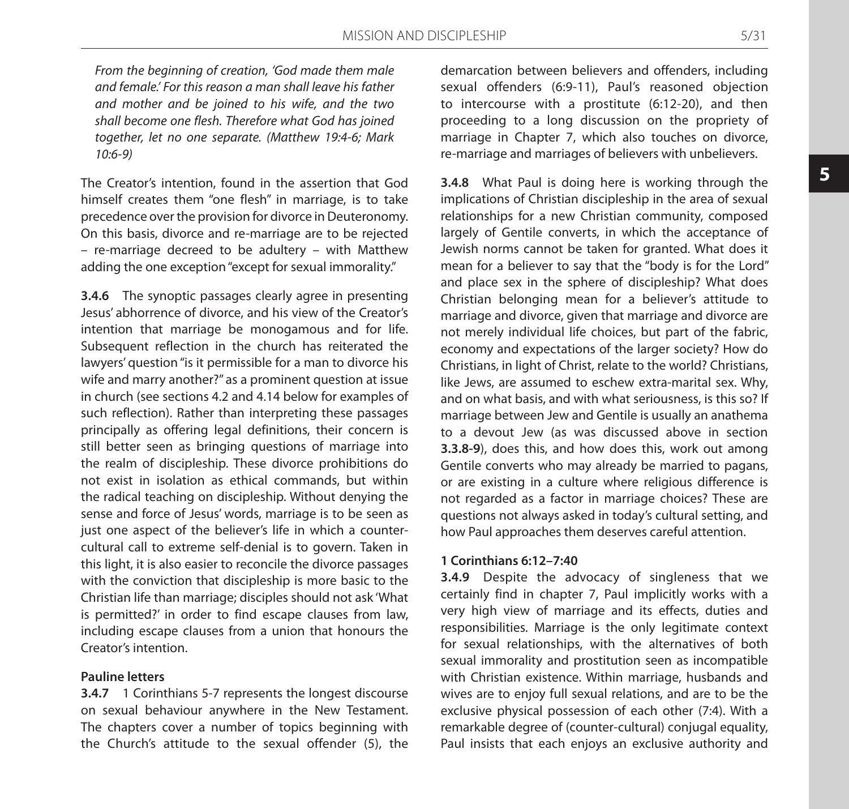*From the beginning of creation, 'God made them male and female.' For this reason a man shall leave his father and mother and be joined to his wife, and the two shall become one flesh. Therefore what God has joined together, let no one separate. (Matthew 19:4-6; Mark 10:6-9)*

The Creator's intention, found in the assertion that God himself creates them "one flesh" in marriage, is to take precedence over the provision for divorce in Deuteronomy. On this basis, divorce and re-marriage are to be rejected – re-marriage decreed to be adultery – with Matthew adding the one exception "except for sexual immorality."

**3.4.6** The synoptic passages clearly agree in presenting Jesus' abhorrence of divorce, and his view of the Creator's intention that marriage be monogamous and for life. Subsequent reflection in the church has reiterated the lawyers' question "is it permissible for a man to divorce his wife and marry another?" as a prominent question at issue in church (see sections 4.2 and 4.14 below for examples of such reflection). Rather than interpreting these passages principally as offering legal definitions, their concern is still better seen as bringing questions of marriage into the realm of discipleship. These divorce prohibitions do not exist in isolation as ethical commands, but within the radical teaching on discipleship. Without denying the sense and force of Jesus' words, marriage is to be seen as just one aspect of the believer's life in which a countercultural call to extreme self-denial is to govern. Taken in this light, it is also easier to reconcile the divorce passages with the conviction that discipleship is more basic to the Christian life than marriage; disciples should not ask 'What is permitted?' in order to find escape clauses from law, including escape clauses from a union that honours the Creator's intention.

#### **Pauline letters**

**3.4.7** 1 Corinthians 5-7 represents the longest discourse on sexual behaviour anywhere in the New Testament. The chapters cover a number of topics beginning with the Church's attitude to the sexual offender (5), the demarcation between believers and offenders, including sexual offenders (6:9-11), Paul's reasoned objection to intercourse with a prostitute (6:12-20), and then proceeding to a long discussion on the propriety of marriage in Chapter 7, which also touches on divorce, re-marriage and marriages of believers with unbelievers.

**3.4.8** What Paul is doing here is working through the implications of Christian discipleship in the area of sexual relationships for a new Christian community, composed largely of Gentile converts, in which the acceptance of Jewish norms cannot be taken for granted. What does it mean for a believer to say that the "body is for the Lord" and place sex in the sphere of discipleship? What does Christian belonging mean for a believer's attitude to marriage and divorce, given that marriage and divorce are not merely individual life choices, but part of the fabric, economy and expectations of the larger society? How do Christians, in light of Christ, relate to the world? Christians, like Jews, are assumed to eschew extra-marital sex. Why, and on what basis, and with what seriousness, is this so? If marriage between Jew and Gentile is usually an anathema to a devout Jew (as was discussed above in section **3.3.8-9**), does this, and how does this, work out among Gentile converts who may already be married to pagans, or are existing in a culture where religious difference is not regarded as a factor in marriage choices? These are questions not always asked in today's cultural setting, and how Paul approaches them deserves careful attention.

#### **1 Corinthians 6:12–7:40**

**3.4.9** Despite the advocacy of singleness that we certainly find in chapter 7, Paul implicitly works with a very high view of marriage and its effects, duties and responsibilities. Marriage is the only legitimate context for sexual relationships, with the alternatives of both sexual immorality and prostitution seen as incompatible with Christian existence. Within marriage, husbands and wives are to enjoy full sexual relations, and are to be the exclusive physical possession of each other (7:4). With a remarkable degree of (counter-cultural) conjugal equality, Paul insists that each enjoys an exclusive authority and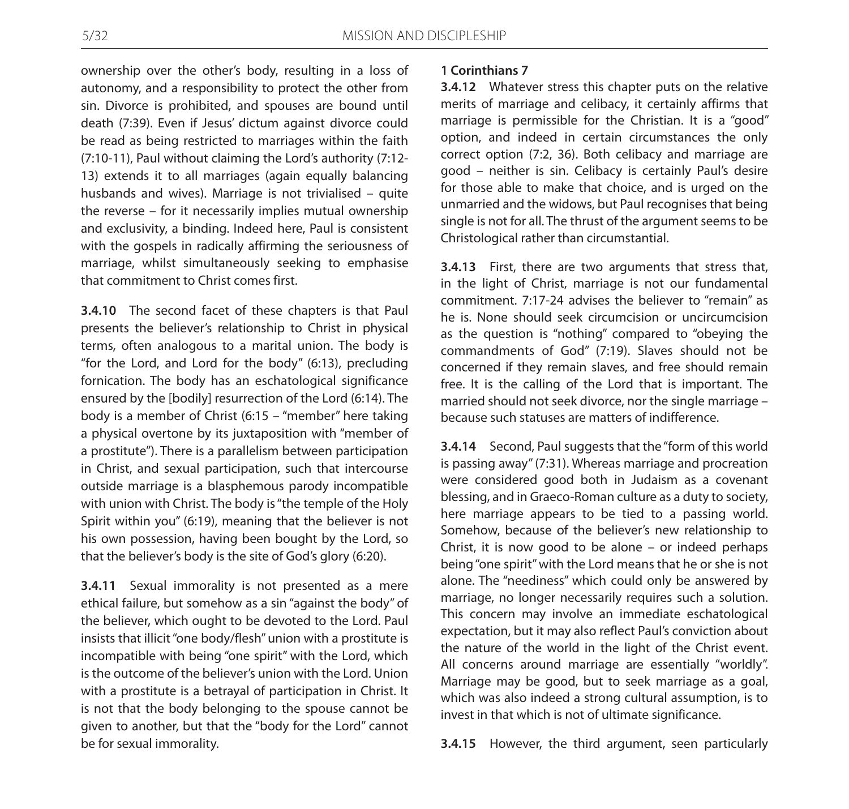ownership over the other's body, resulting in a loss of autonomy, and a responsibility to protect the other from sin. Divorce is prohibited, and spouses are bound until death (7:39). Even if Jesus' dictum against divorce could be read as being restricted to marriages within the faith (7:10-11), Paul without claiming the Lord's authority (7:12- 13) extends it to all marriages (again equally balancing husbands and wives). Marriage is not trivialised – quite the reverse – for it necessarily implies mutual ownership and exclusivity, a binding. Indeed here, Paul is consistent with the gospels in radically affirming the seriousness of marriage, whilst simultaneously seeking to emphasise that commitment to Christ comes first.

**3.4.10** The second facet of these chapters is that Paul presents the believer's relationship to Christ in physical terms, often analogous to a marital union. The body is "for the Lord, and Lord for the body" (6:13), precluding fornication. The body has an eschatological significance ensured by the [bodily] resurrection of the Lord (6:14). The body is a member of Christ (6:15 – "member" here taking a physical overtone by its juxtaposition with "member of a prostitute"). There is a parallelism between participation in Christ, and sexual participation, such that intercourse outside marriage is a blasphemous parody incompatible with union with Christ. The body is "the temple of the Holy Spirit within you" (6:19), meaning that the believer is not his own possession, having been bought by the Lord, so that the believer's body is the site of God's glory (6:20).

**3.4.11** Sexual immorality is not presented as a mere ethical failure, but somehow as a sin "against the body" of the believer, which ought to be devoted to the Lord. Paul insists that illicit "one body/flesh" union with a prostitute is incompatible with being "one spirit" with the Lord, which is the outcome of the believer's union with the Lord. Union with a prostitute is a betrayal of participation in Christ. It is not that the body belonging to the spouse cannot be given to another, but that the "body for the Lord" cannot be for sexual immorality.

### **1 Corinthians 7**

**3.4.12** Whatever stress this chapter puts on the relative merits of marriage and celibacy, it certainly affirms that marriage is permissible for the Christian. It is a "good" option, and indeed in certain circumstances the only correct option (7:2, 36). Both celibacy and marriage are good – neither is sin. Celibacy is certainly Paul's desire for those able to make that choice, and is urged on the unmarried and the widows, but Paul recognises that being single is not for all. The thrust of the argument seems to be Christological rather than circumstantial.

**3.4.13** First, there are two arguments that stress that, in the light of Christ, marriage is not our fundamental commitment. 7:17-24 advises the believer to "remain" as he is. None should seek circumcision or uncircumcision as the question is "nothing" compared to "obeying the commandments of God" (7:19). Slaves should not be concerned if they remain slaves, and free should remain free. It is the calling of the Lord that is important. The married should not seek divorce, nor the single marriage – because such statuses are matters of indifference.

**3.4.14** Second, Paul suggests that the "form of this world is passing away" (7:31). Whereas marriage and procreation were considered good both in Judaism as a covenant blessing, and in Graeco-Roman culture as a duty to society, here marriage appears to be tied to a passing world. Somehow, because of the believer's new relationship to Christ, it is now good to be alone – or indeed perhaps being "one spirit" with the Lord means that he or she is not alone. The "neediness" which could only be answered by marriage, no longer necessarily requires such a solution. This concern may involve an immediate eschatological expectation, but it may also reflect Paul's conviction about the nature of the world in the light of the Christ event. All concerns around marriage are essentially "worldly". Marriage may be good, but to seek marriage as a goal, which was also indeed a strong cultural assumption, is to invest in that which is not of ultimate significance.

**3.4.15** However, the third argument, seen particularly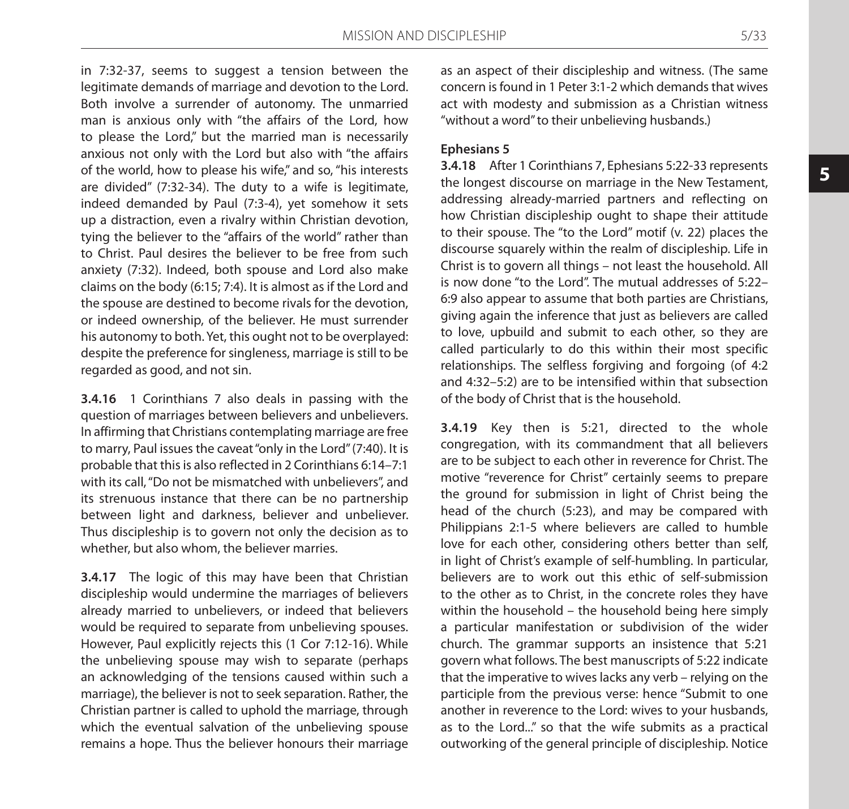in 7:32-37, seems to suggest a tension between the legitimate demands of marriage and devotion to the Lord. Both involve a surrender of autonomy. The unmarried man is anxious only with "the affairs of the Lord, how to please the Lord," but the married man is necessarily anxious not only with the Lord but also with "the affairs of the world, how to please his wife," and so, "his interests are divided" (7:32-34). The duty to a wife is legitimate, indeed demanded by Paul (7:3-4), yet somehow it sets up a distraction, even a rivalry within Christian devotion, tying the believer to the "affairs of the world" rather than to Christ. Paul desires the believer to be free from such anxiety (7:32). Indeed, both spouse and Lord also make claims on the body (6:15; 7:4). It is almost as if the Lord and the spouse are destined to become rivals for the devotion, or indeed ownership, of the believer. He must surrender his autonomy to both. Yet, this ought not to be overplayed: despite the preference for singleness, marriage is still to be regarded as good, and not sin.

**3.4.16** 1 Corinthians 7 also deals in passing with the question of marriages between believers and unbelievers. In affirming that Christians contemplating marriage are free to marry, Paul issues the caveat "only in the Lord" (7:40). It is probable that this is also reflected in 2 Corinthians 6:14–7:1 with its call, "Do not be mismatched with unbelievers", and its strenuous instance that there can be no partnership between light and darkness, believer and unbeliever. Thus discipleship is to govern not only the decision as to whether, but also whom, the believer marries.

**3.4.17** The logic of this may have been that Christian discipleship would undermine the marriages of believers already married to unbelievers, or indeed that believers would be required to separate from unbelieving spouses. However, Paul explicitly rejects this (1 Cor 7:12-16). While the unbelieving spouse may wish to separate (perhaps an acknowledging of the tensions caused within such a marriage), the believer is not to seek separation. Rather, the Christian partner is called to uphold the marriage, through which the eventual salvation of the unbelieving spouse remains a hope. Thus the believer honours their marriage as an aspect of their discipleship and witness. (The same concern is found in 1 Peter 3:1-2 which demands that wives act with modesty and submission as a Christian witness "without a word" to their unbelieving husbands.)

### **Ephesians 5**

**3.4.18** After 1 Corinthians 7, Ephesians 5:22-33 represents the longest discourse on marriage in the New Testament, addressing already-married partners and reflecting on how Christian discipleship ought to shape their attitude to their spouse. The "to the Lord" motif (v. 22) places the discourse squarely within the realm of discipleship. Life in Christ is to govern all things – not least the household. All is now done "to the Lord". The mutual addresses of 5:22– 6:9 also appear to assume that both parties are Christians, giving again the inference that just as believers are called to love, upbuild and submit to each other, so they are called particularly to do this within their most specific relationships. The selfless forgiving and forgoing (of 4:2 and 4:32–5:2) are to be intensified within that subsection of the body of Christ that is the household.

**3.4.19** Key then is 5:21, directed to the whole congregation, with its commandment that all believers are to be subject to each other in reverence for Christ. The motive "reverence for Christ" certainly seems to prepare the ground for submission in light of Christ being the head of the church (5:23), and may be compared with Philippians 2:1-5 where believers are called to humble love for each other, considering others better than self, in light of Christ's example of self-humbling. In particular, believers are to work out this ethic of self-submission to the other as to Christ, in the concrete roles they have within the household – the household being here simply a particular manifestation or subdivision of the wider church. The grammar supports an insistence that 5:21 govern what follows. The best manuscripts of 5:22 indicate that the imperative to wives lacks any verb – relying on the participle from the previous verse: hence "Submit to one another in reverence to the Lord: wives to your husbands, as to the Lord..." so that the wife submits as a practical outworking of the general principle of discipleship. Notice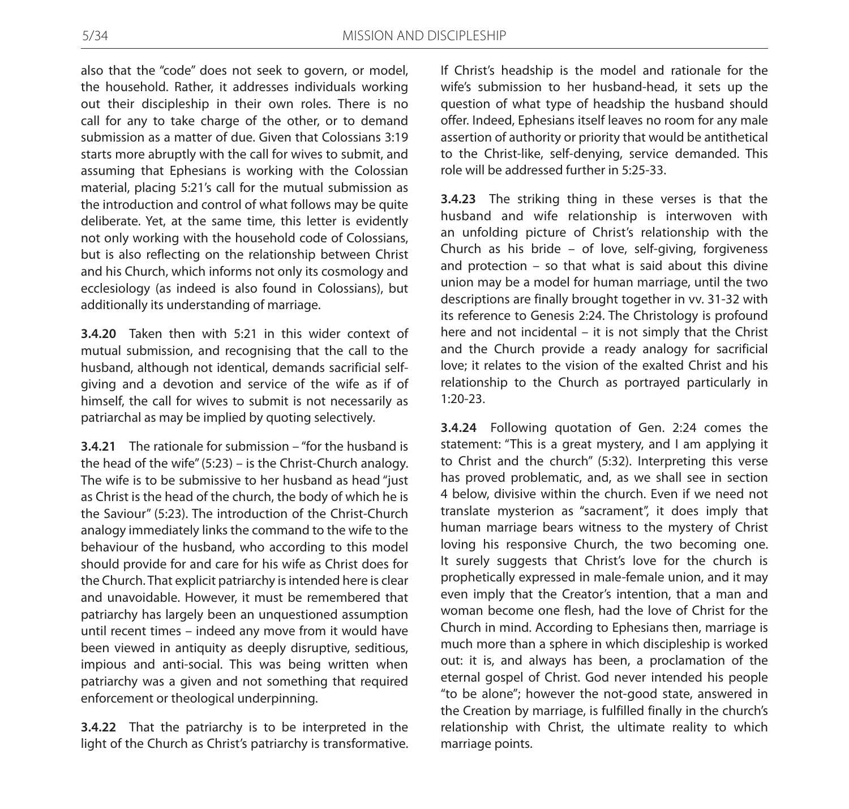also that the "code" does not seek to govern, or model, the household. Rather, it addresses individuals working out their discipleship in their own roles. There is no call for any to take charge of the other, or to demand submission as a matter of due. Given that Colossians 3:19 starts more abruptly with the call for wives to submit, and assuming that Ephesians is working with the Colossian material, placing 5:21's call for the mutual submission as the introduction and control of what follows may be quite deliberate. Yet, at the same time, this letter is evidently not only working with the household code of Colossians, but is also reflecting on the relationship between Christ and his Church, which informs not only its cosmology and ecclesiology (as indeed is also found in Colossians), but additionally its understanding of marriage.

**3.4.20** Taken then with 5:21 in this wider context of mutual submission, and recognising that the call to the husband, although not identical, demands sacrificial selfgiving and a devotion and service of the wife as if of himself, the call for wives to submit is not necessarily as patriarchal as may be implied by quoting selectively.

**3.4.21** The rationale for submission – "for the husband is the head of the wife" (5:23) – is the Christ-Church analogy. The wife is to be submissive to her husband as head "just as Christ is the head of the church, the body of which he is the Saviour" (5:23). The introduction of the Christ-Church analogy immediately links the command to the wife to the behaviour of the husband, who according to this model should provide for and care for his wife as Christ does for the Church. That explicit patriarchy is intended here is clear and unavoidable. However, it must be remembered that patriarchy has largely been an unquestioned assumption until recent times – indeed any move from it would have been viewed in antiquity as deeply disruptive, seditious, impious and anti-social. This was being written when patriarchy was a given and not something that required enforcement or theological underpinning.

**3.4.22** That the patriarchy is to be interpreted in the light of the Church as Christ's patriarchy is transformative.

If Christ's headship is the model and rationale for the wife's submission to her husband-head, it sets up the question of what type of headship the husband should offer. Indeed, Ephesians itself leaves no room for any male assertion of authority or priority that would be antithetical to the Christ-like, self-denying, service demanded. This role will be addressed further in 5:25-33.

**3.4.23** The striking thing in these verses is that the husband and wife relationship is interwoven with an unfolding picture of Christ's relationship with the Church as his bride – of love, self-giving, forgiveness and protection – so that what is said about this divine union may be a model for human marriage, until the two descriptions are finally brought together in vv. 31-32 with its reference to Genesis 2:24. The Christology is profound here and not incidental – it is not simply that the Christ and the Church provide a ready analogy for sacrificial love; it relates to the vision of the exalted Christ and his relationship to the Church as portrayed particularly in 1:20-23.

**3.4.24** Following quotation of Gen. 2:24 comes the statement: "This is a great mystery, and I am applying it to Christ and the church" (5:32). Interpreting this verse has proved problematic, and, as we shall see in section 4 below, divisive within the church. Even if we need not translate mysterion as "sacrament", it does imply that human marriage bears witness to the mystery of Christ loving his responsive Church, the two becoming one. It surely suggests that Christ's love for the church is prophetically expressed in male-female union, and it may even imply that the Creator's intention, that a man and woman become one flesh, had the love of Christ for the Church in mind. According to Ephesians then, marriage is much more than a sphere in which discipleship is worked out: it is, and always has been, a proclamation of the eternal gospel of Christ. God never intended his people "to be alone"; however the not-good state, answered in the Creation by marriage, is fulfilled finally in the church's relationship with Christ, the ultimate reality to which marriage points.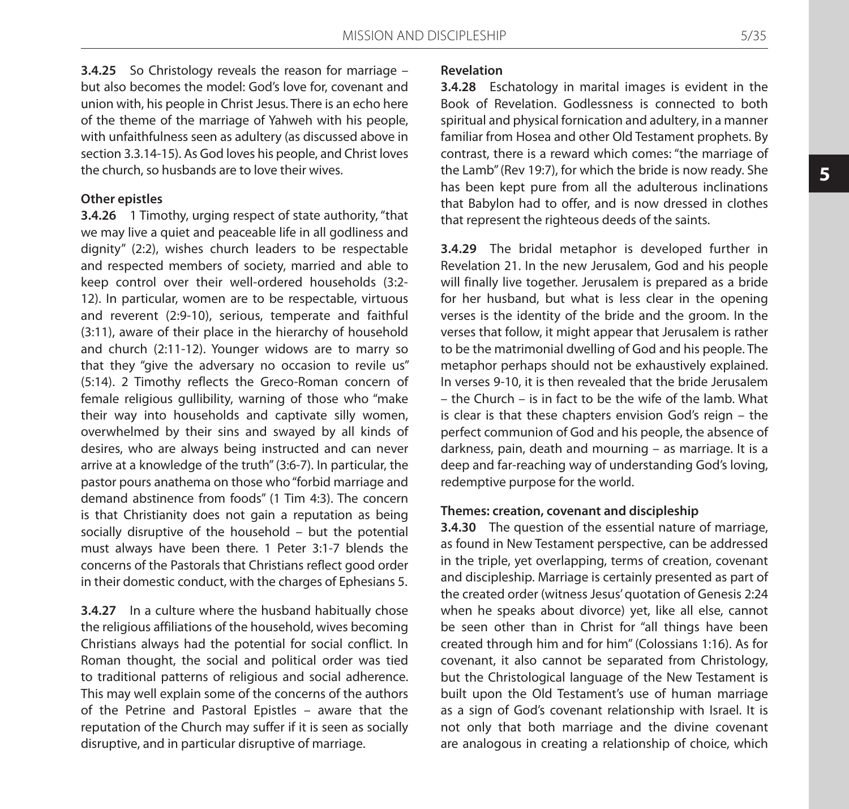**3.4.25** So Christology reveals the reason for marriage – but also becomes the model: God's love for, covenant and union with, his people in Christ Jesus. There is an echo here of the theme of the marriage of Yahweh with his people, with unfaithfulness seen as adultery (as discussed above in section 3.3.14-15). As God loves his people, and Christ loves the church, so husbands are to love their wives.

### **Other epistles**

**3.4.26** 1 Timothy, urging respect of state authority, "that we may live a quiet and peaceable life in all godliness and dignity" (2:2), wishes church leaders to be respectable and respected members of society, married and able to keep control over their well-ordered households (3:2- 12). In particular, women are to be respectable, virtuous and reverent (2:9-10), serious, temperate and faithful (3:11), aware of their place in the hierarchy of household and church (2:11-12). Younger widows are to marry so that they "give the adversary no occasion to revile us" (5:14). 2 Timothy reflects the Greco-Roman concern of female religious gullibility, warning of those who "make their way into households and captivate silly women, overwhelmed by their sins and swayed by all kinds of desires, who are always being instructed and can never arrive at a knowledge of the truth" (3:6-7). In particular, the pastor pours anathema on those who "forbid marriage and demand abstinence from foods" (1 Tim 4:3). The concern is that Christianity does not gain a reputation as being socially disruptive of the household – but the potential must always have been there. 1 Peter 3:1-7 blends the concerns of the Pastorals that Christians reflect good order in their domestic conduct, with the charges of Ephesians 5.

**3.4.27** In a culture where the husband habitually chose the religious affiliations of the household, wives becoming Christians always had the potential for social conflict. In Roman thought, the social and political order was tied to traditional patterns of religious and social adherence. This may well explain some of the concerns of the authors of the Petrine and Pastoral Epistles – aware that the reputation of the Church may suffer if it is seen as socially disruptive, and in particular disruptive of marriage.

### **Revelation**

**3.4.28** Eschatology in marital images is evident in the Book of Revelation. Godlessness is connected to both spiritual and physical fornication and adultery, in a manner familiar from Hosea and other Old Testament prophets. By contrast, there is a reward which comes: "the marriage of the Lamb" (Rev 19:7), for which the bride is now ready. She has been kept pure from all the adulterous inclinations that Babylon had to offer, and is now dressed in clothes that represent the righteous deeds of the saints.

**3.4.29** The bridal metaphor is developed further in Revelation 21. In the new Jerusalem, God and his people will finally live together. Jerusalem is prepared as a bride for her husband, but what is less clear in the opening verses is the identity of the bride and the groom. In the verses that follow, it might appear that Jerusalem is rather to be the matrimonial dwelling of God and his people. The metaphor perhaps should not be exhaustively explained. In verses 9-10, it is then revealed that the bride Jerusalem – the Church – is in fact to be the wife of the lamb. What is clear is that these chapters envision God's reign – the perfect communion of God and his people, the absence of darkness, pain, death and mourning – as marriage. It is a deep and far-reaching way of understanding God's loving, redemptive purpose for the world.

#### **Themes: creation, covenant and discipleship**

**3.4.30** The question of the essential nature of marriage, as found in New Testament perspective, can be addressed in the triple, yet overlapping, terms of creation, covenant and discipleship. Marriage is certainly presented as part of the created order (witness Jesus' quotation of Genesis 2:24 when he speaks about divorce) yet, like all else, cannot be seen other than in Christ for "all things have been created through him and for him" (Colossians 1:16). As for covenant, it also cannot be separated from Christology, but the Christological language of the New Testament is built upon the Old Testament's use of human marriage as a sign of God's covenant relationship with Israel. It is not only that both marriage and the divine covenant are analogous in creating a relationship of choice, which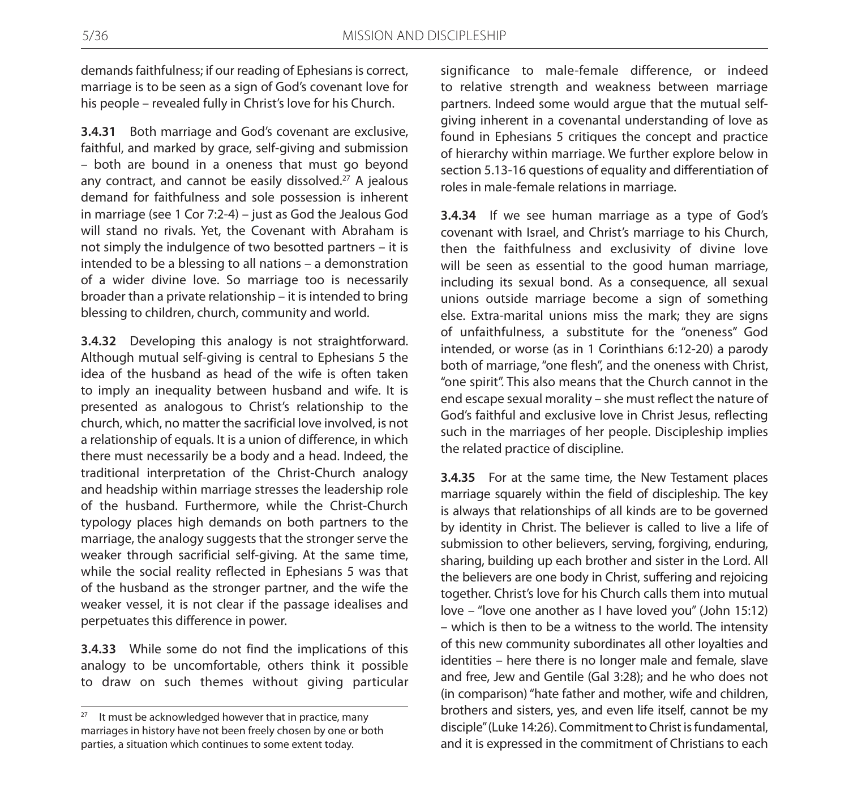demands faithfulness; if our reading of Ephesians is correct, marriage is to be seen as a sign of God's covenant love for his people – revealed fully in Christ's love for his Church.

**3.4.31** Both marriage and God's covenant are exclusive, faithful, and marked by grace, self-giving and submission – both are bound in a oneness that must go beyond any contract, and cannot be easily dissolved.<sup>27</sup> A jealous demand for faithfulness and sole possession is inherent in marriage (see 1 Cor 7:2-4) – just as God the Jealous God will stand no rivals. Yet, the Covenant with Abraham is not simply the indulgence of two besotted partners – it is intended to be a blessing to all nations – a demonstration of a wider divine love. So marriage too is necessarily broader than a private relationship – it is intended to bring blessing to children, church, community and world.

**3.4.32** Developing this analogy is not straightforward. Although mutual self-giving is central to Ephesians 5 the idea of the husband as head of the wife is often taken to imply an inequality between husband and wife. It is presented as analogous to Christ's relationship to the church, which, no matter the sacrificial love involved, is not a relationship of equals. It is a union of difference, in which there must necessarily be a body and a head. Indeed, the traditional interpretation of the Christ-Church analogy and headship within marriage stresses the leadership role of the husband. Furthermore, while the Christ-Church typology places high demands on both partners to the marriage, the analogy suggests that the stronger serve the weaker through sacrificial self-giving. At the same time, while the social reality reflected in Ephesians 5 was that of the husband as the stronger partner, and the wife the weaker vessel, it is not clear if the passage idealises and perpetuates this difference in power.

**3.4.33** While some do not find the implications of this analogy to be uncomfortable, others think it possible to draw on such themes without giving particular

significance to male-female difference, or indeed to relative strength and weakness between marriage partners. Indeed some would argue that the mutual selfgiving inherent in a covenantal understanding of love as found in Ephesians 5 critiques the concept and practice of hierarchy within marriage. We further explore below in section 5.13-16 questions of equality and differentiation of roles in male-female relations in marriage.

**3.4.34** If we see human marriage as a type of God's covenant with Israel, and Christ's marriage to his Church, then the faithfulness and exclusivity of divine love will be seen as essential to the good human marriage, including its sexual bond. As a consequence, all sexual unions outside marriage become a sign of something else. Extra-marital unions miss the mark; they are signs of unfaithfulness, a substitute for the "oneness" God intended, or worse (as in 1 Corinthians 6:12-20) a parody both of marriage, "one flesh", and the oneness with Christ, "one spirit". This also means that the Church cannot in the end escape sexual morality – she must reflect the nature of God's faithful and exclusive love in Christ Jesus, reflecting such in the marriages of her people. Discipleship implies the related practice of discipline.

**3.4.35** For at the same time, the New Testament places marriage squarely within the field of discipleship. The key is always that relationships of all kinds are to be governed by identity in Christ. The believer is called to live a life of submission to other believers, serving, forgiving, enduring, sharing, building up each brother and sister in the Lord. All the believers are one body in Christ, suffering and rejoicing together. Christ's love for his Church calls them into mutual love – "love one another as I have loved you" (John 15:12) – which is then to be a witness to the world. The intensity of this new community subordinates all other loyalties and identities – here there is no longer male and female, slave and free, Jew and Gentile (Gal 3:28); and he who does not (in comparison) "hate father and mother, wife and children, brothers and sisters, yes, and even life itself, cannot be my disciple" (Luke 14:26). Commitment to Christ is fundamental, and it is expressed in the commitment of Christians to each

 $27$  It must be acknowledged however that in practice, many marriages in history have not been freely chosen by one or both parties, a situation which continues to some extent today.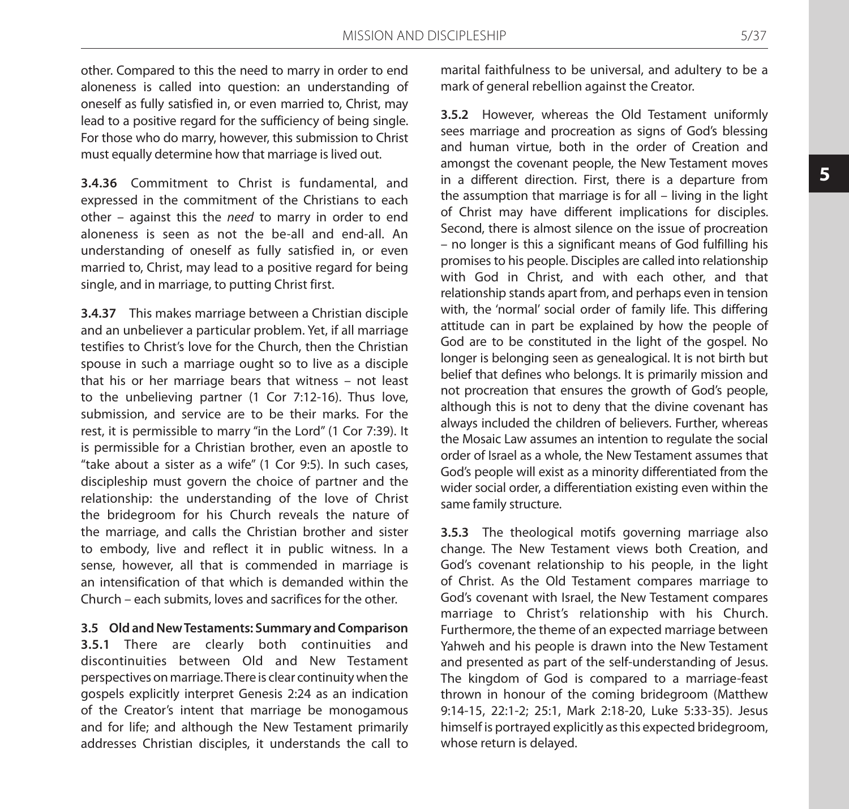other. Compared to this the need to marry in order to end aloneness is called into question: an understanding of oneself as fully satisfied in, or even married to, Christ, may lead to a positive regard for the sufficiency of being single. For those who do marry, however, this submission to Christ must equally determine how that marriage is lived out.

**3.4.36** Commitment to Christ is fundamental, and expressed in the commitment of the Christians to each other – against this the *need* to marry in order to end aloneness is seen as not the be-all and end-all. An understanding of oneself as fully satisfied in, or even married to, Christ, may lead to a positive regard for being single, and in marriage, to putting Christ first.

**3.4.37** This makes marriage between a Christian disciple and an unbeliever a particular problem. Yet, if all marriage testifies to Christ's love for the Church, then the Christian spouse in such a marriage ought so to live as a disciple that his or her marriage bears that witness – not least to the unbelieving partner (1 Cor 7:12-16). Thus love, submission, and service are to be their marks. For the rest, it is permissible to marry "in the Lord" (1 Cor 7:39). It is permissible for a Christian brother, even an apostle to "take about a sister as a wife" (1 Cor 9:5). In such cases, discipleship must govern the choice of partner and the relationship: the understanding of the love of Christ the bridegroom for his Church reveals the nature of the marriage, and calls the Christian brother and sister to embody, live and reflect it in public witness. In a sense, however, all that is commended in marriage is an intensification of that which is demanded within the Church – each submits, loves and sacrifices for the other.

**3.5 Old and New Testaments: Summary and Comparison 3.5.1** There are clearly both continuities and discontinuities between Old and New Testament perspectives on marriage. There is clear continuity when the gospels explicitly interpret Genesis 2:24 as an indication of the Creator's intent that marriage be monogamous and for life; and although the New Testament primarily addresses Christian disciples, it understands the call to

marital faithfulness to be universal, and adultery to be a mark of general rebellion against the Creator.

**3.5.2** However, whereas the Old Testament uniformly sees marriage and procreation as signs of God's blessing and human virtue, both in the order of Creation and amongst the covenant people, the New Testament moves in a different direction. First, there is a departure from the assumption that marriage is for all – living in the light of Christ may have different implications for disciples. Second, there is almost silence on the issue of procreation – no longer is this a significant means of God fulfilling his promises to his people. Disciples are called into relationship with God in Christ, and with each other, and that relationship stands apart from, and perhaps even in tension with, the 'normal' social order of family life. This differing attitude can in part be explained by how the people of God are to be constituted in the light of the gospel. No longer is belonging seen as genealogical. It is not birth but belief that defines who belongs. It is primarily mission and not procreation that ensures the growth of God's people, although this is not to deny that the divine covenant has always included the children of believers. Further, whereas the Mosaic Law assumes an intention to regulate the social order of Israel as a whole, the New Testament assumes that God's people will exist as a minority differentiated from the wider social order, a differentiation existing even within the same family structure.

**3.5.3** The theological motifs governing marriage also change. The New Testament views both Creation, and God's covenant relationship to his people, in the light of Christ. As the Old Testament compares marriage to God's covenant with Israel, the New Testament compares marriage to Christ's relationship with his Church. Furthermore, the theme of an expected marriage between Yahweh and his people is drawn into the New Testament and presented as part of the self-understanding of Jesus. The kingdom of God is compared to a marriage-feast thrown in honour of the coming bridegroom (Matthew 9:14-15, 22:1-2; 25:1, Mark 2:18-20, Luke 5:33-35). Jesus himself is portrayed explicitly as this expected bridegroom, whose return is delayed.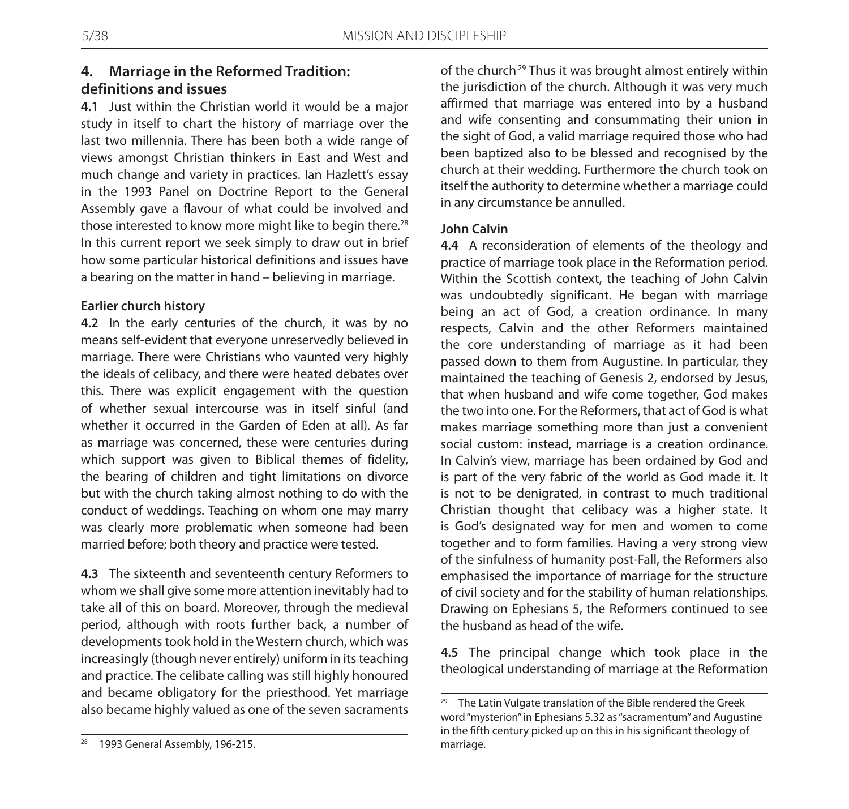# **4. Marriage in the Reformed Tradition: definitions and issues**

**4.1** Just within the Christian world it would be a major study in itself to chart the history of marriage over the last two millennia. There has been both a wide range of views amongst Christian thinkers in East and West and much change and variety in practices. Ian Hazlett's essay in the 1993 Panel on Doctrine Report to the General Assembly gave a flavour of what could be involved and those interested to know more might like to begin there.<sup>28</sup> In this current report we seek simply to draw out in brief how some particular historical definitions and issues have a bearing on the matter in hand – believing in marriage.

### **Earlier church history**

**4.2** In the early centuries of the church, it was by no means self-evident that everyone unreservedly believed in marriage. There were Christians who vaunted very highly the ideals of celibacy, and there were heated debates over this. There was explicit engagement with the question of whether sexual intercourse was in itself sinful (and whether it occurred in the Garden of Eden at all). As far as marriage was concerned, these were centuries during which support was given to Biblical themes of fidelity, the bearing of children and tight limitations on divorce but with the church taking almost nothing to do with the conduct of weddings. Teaching on whom one may marry was clearly more problematic when someone had been married before; both theory and practice were tested.

**4.3** The sixteenth and seventeenth century Reformers to whom we shall give some more attention inevitably had to take all of this on board. Moreover, through the medieval period, although with roots further back, a number of developments took hold in the Western church, which was increasingly (though never entirely) uniform in its teaching and practice. The celibate calling was still highly honoured and became obligatory for the priesthood. Yet marriage also became highly valued as one of the seven sacraments

of the church.<sup>29</sup> Thus it was brought almost entirely within the jurisdiction of the church. Although it was very much affirmed that marriage was entered into by a husband and wife consenting and consummating their union in the sight of God, a valid marriage required those who had been baptized also to be blessed and recognised by the church at their wedding. Furthermore the church took on itself the authority to determine whether a marriage could in any circumstance be annulled.

### **John Calvin**

**4.4** A reconsideration of elements of the theology and practice of marriage took place in the Reformation period. Within the Scottish context, the teaching of John Calvin was undoubtedly significant. He began with marriage being an act of God, a creation ordinance. In many respects, Calvin and the other Reformers maintained the core understanding of marriage as it had been passed down to them from Augustine. In particular, they maintained the teaching of Genesis 2, endorsed by Jesus, that when husband and wife come together, God makes the two into one. For the Reformers, that act of God is what makes marriage something more than just a convenient social custom: instead, marriage is a creation ordinance. In Calvin's view, marriage has been ordained by God and is part of the very fabric of the world as God made it. It is not to be denigrated, in contrast to much traditional Christian thought that celibacy was a higher state. It is God's designated way for men and women to come together and to form families. Having a very strong view of the sinfulness of humanity post-Fall, the Reformers also emphasised the importance of marriage for the structure of civil society and for the stability of human relationships. Drawing on Ephesians 5, the Reformers continued to see the husband as head of the wife.

**4.5** The principal change which took place in the theological understanding of marriage at the Reformation

<sup>&</sup>lt;sup>29</sup> The Latin Vulgate translation of the Bible rendered the Greek word "mysterion" in Ephesians 5.32 as "sacramentum" and Augustine in the fifth century picked up on this in his significant theology of marriage.

<sup>&</sup>lt;sup>28</sup> 1993 General Assembly, 196-215.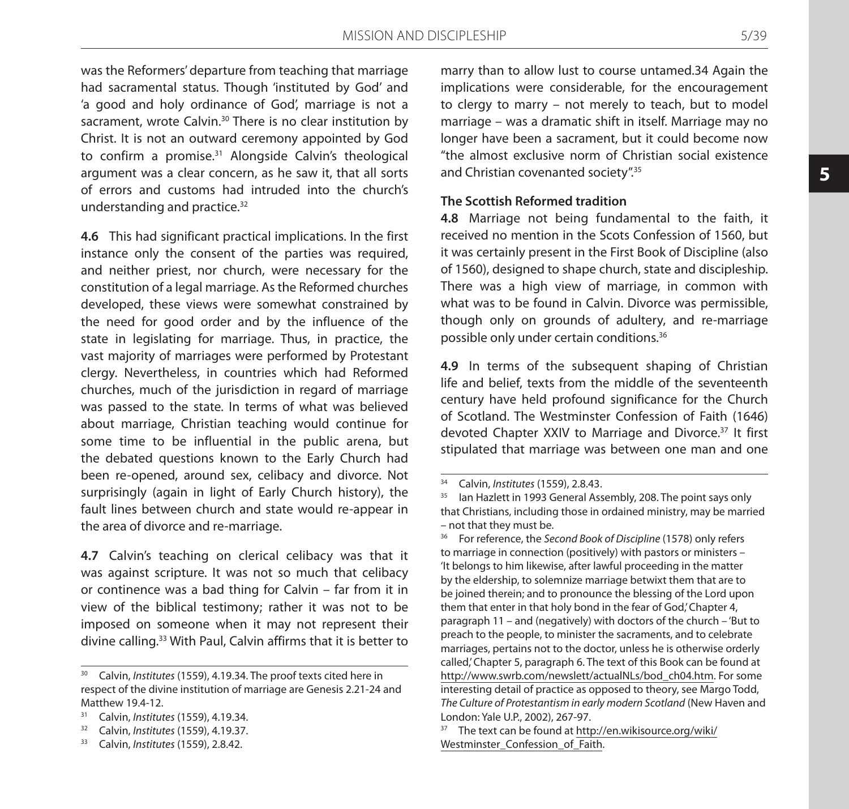was the Reformers' departure from teaching that marriage had sacramental status. Though 'instituted by God' and 'a good and holy ordinance of God', marriage is not a sacrament, wrote Calvin.<sup>30</sup> There is no clear institution by Christ. It is not an outward ceremony appointed by God to confirm a promise.<sup>31</sup> Alongside Calvin's theological argument was a clear concern, as he saw it, that all sorts of errors and customs had intruded into the church's understanding and practice.<sup>32</sup>

**4.6** This had significant practical implications. In the first instance only the consent of the parties was required, and neither priest, nor church, were necessary for the constitution of a legal marriage. As the Reformed churches developed, these views were somewhat constrained by the need for good order and by the influence of the state in legislating for marriage. Thus, in practice, the vast majority of marriages were performed by Protestant clergy. Nevertheless, in countries which had Reformed churches, much of the jurisdiction in regard of marriage was passed to the state. In terms of what was believed about marriage, Christian teaching would continue for some time to be influential in the public arena, but the debated questions known to the Early Church had been re-opened, around sex, celibacy and divorce. Not surprisingly (again in light of Early Church history), the fault lines between church and state would re-appear in the area of divorce and re-marriage.

**4.7** Calvin's teaching on clerical celibacy was that it was against scripture. It was not so much that celibacy or continence was a bad thing for Calvin – far from it in view of the biblical testimony; rather it was not to be imposed on someone when it may not represent their divine calling.33 With Paul, Calvin affirms that it is better to

<sup>33</sup> Calvin, *Institutes* (1559), 2.8.42.

marry than to allow lust to course untamed.34 Again the implications were considerable, for the encouragement to clergy to marry – not merely to teach, but to model marriage – was a dramatic shift in itself. Marriage may no longer have been a sacrament, but it could become now "the almost exclusive norm of Christian social existence and Christian covenanted society".35

#### **The Scottish Reformed tradition**

**4.8** Marriage not being fundamental to the faith, it received no mention in the Scots Confession of 1560, but it was certainly present in the First Book of Discipline (also of 1560), designed to shape church, state and discipleship. There was a high view of marriage, in common with what was to be found in Calvin. Divorce was permissible, though only on grounds of adultery, and re-marriage possible only under certain conditions.36

**4.9** In terms of the subsequent shaping of Christian life and belief, texts from the middle of the seventeenth century have held profound significance for the Church of Scotland. The Westminster Confession of Faith (1646) devoted Chapter XXIV to Marriage and Divorce.<sup>37</sup> It first stipulated that marriage was between one man and one

<sup>30</sup> Calvin, *Institutes* (1559), 4.19.34. The proof texts cited here in respect of the divine institution of marriage are Genesis 2.21-24 and Matthew 19.4-12.

<sup>31</sup> Calvin, *Institutes* (1559), 4.19.34. 32 Calvin, *Institutes* (1559), 4.19.37.

<sup>&</sup>lt;sup>34</sup> Calvin, *Institutes* (1559), 2.8.43.<br><sup>35</sup> Jan Hazlett in 1993 General Ass

lan Hazlett in 1993 General Assembly, 208. The point says only that Christians, including those in ordained ministry, may be married – not that they must be.

<sup>36</sup> For reference, the *Second Book of Discipline* (1578) only refers to marriage in connection (positively) with pastors or ministers – 'It belongs to him likewise, after lawful proceeding in the matter by the eldership, to solemnize marriage betwixt them that are to be joined therein; and to pronounce the blessing of the Lord upon them that enter in that holy bond in the fear of God,' Chapter 4, paragraph 11 – and (negatively) with doctors of the church – 'But to preach to the people, to minister the sacraments, and to celebrate marriages, pertains not to the doctor, unless he is otherwise orderly called,' Chapter 5, paragraph 6. The text of this Book can be found at http://www.swrb.com/newslett/actualNLs/bod\_ch04.htm. For some interesting detail of practice as opposed to theory, see Margo Todd, *The Culture of Protestantism in early modern Scotland* (New Haven and London: Yale U.P., 2002), 267-97.

<sup>37</sup> The text can be found at http://en.wikisource.org/wiki/ Westminster Confession of Faith.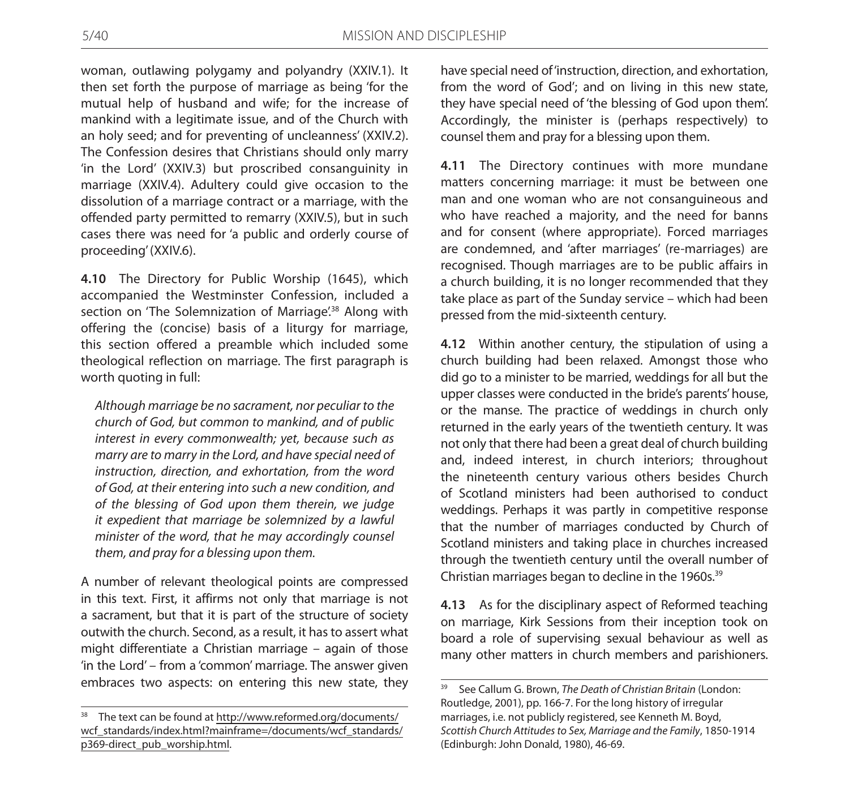woman, outlawing polygamy and polyandry (XXIV.1). It then set forth the purpose of marriage as being 'for the mutual help of husband and wife; for the increase of mankind with a legitimate issue, and of the Church with an holy seed; and for preventing of uncleanness' (XXIV.2). The Confession desires that Christians should only marry 'in the Lord' (XXIV.3) but proscribed consanguinity in marriage (XXIV.4). Adultery could give occasion to the dissolution of a marriage contract or a marriage, with the offended party permitted to remarry (XXIV.5), but in such cases there was need for 'a public and orderly course of proceeding' (XXIV.6).

**4.10** The Directory for Public Worship (1645), which accompanied the Westminster Confession, included a section on 'The Solemnization of Marriage'.<sup>38</sup> Along with offering the (concise) basis of a liturgy for marriage, this section offered a preamble which included some theological reflection on marriage. The first paragraph is worth quoting in full:

*Although marriage be no sacrament, nor peculiar to the church of God, but common to mankind, and of public interest in every commonwealth; yet, because such as marry are to marry in the Lord, and have special need of instruction, direction, and exhortation, from the word of God, at their entering into such a new condition, and of the blessing of God upon them therein, we judge it expedient that marriage be solemnized by a lawful minister of the word, that he may accordingly counsel them, and pray for a blessing upon them.*

A number of relevant theological points are compressed in this text. First, it affirms not only that marriage is not a sacrament, but that it is part of the structure of society outwith the church. Second, as a result, it has to assert what might differentiate a Christian marriage – again of those 'in the Lord' – from a 'common' marriage. The answer given embraces two aspects: on entering this new state, they

have special need of 'instruction, direction, and exhortation, from the word of God'; and on living in this new state, they have special need of 'the blessing of God upon them'. Accordingly, the minister is (perhaps respectively) to counsel them and pray for a blessing upon them.

**4.11** The Directory continues with more mundane matters concerning marriage: it must be between one man and one woman who are not consanguineous and who have reached a majority, and the need for banns and for consent (where appropriate). Forced marriages are condemned, and 'after marriages' (re-marriages) are recognised. Though marriages are to be public affairs in a church building, it is no longer recommended that they take place as part of the Sunday service – which had been pressed from the mid-sixteenth century.

**4.12** Within another century, the stipulation of using a church building had been relaxed. Amongst those who did go to a minister to be married, weddings for all but the upper classes were conducted in the bride's parents' house, or the manse. The practice of weddings in church only returned in the early years of the twentieth century. It was not only that there had been a great deal of church building and, indeed interest, in church interiors; throughout the nineteenth century various others besides Church of Scotland ministers had been authorised to conduct weddings. Perhaps it was partly in competitive response that the number of marriages conducted by Church of Scotland ministers and taking place in churches increased through the twentieth century until the overall number of Christian marriages began to decline in the 1960s.<sup>39</sup>

**4.13** As for the disciplinary aspect of Reformed teaching on marriage, Kirk Sessions from their inception took on board a role of supervising sexual behaviour as well as many other matters in church members and parishioners.

<sup>38</sup> The text can be found at http://www.reformed.org/documents/ wcf\_standards/index.html?mainframe=/documents/wcf\_standards/ p369-direct\_pub\_worship.html.

<sup>39</sup> See Callum G. Brown, *The Death of Christian Britain* (London: Routledge, 2001), pp. 166-7. For the long history of irregular marriages, i.e. not publicly registered, see Kenneth M. Boyd, *Scottish Church Attitudes to Sex, Marriage and the Family*, 1850-1914 (Edinburgh: John Donald, 1980), 46-69.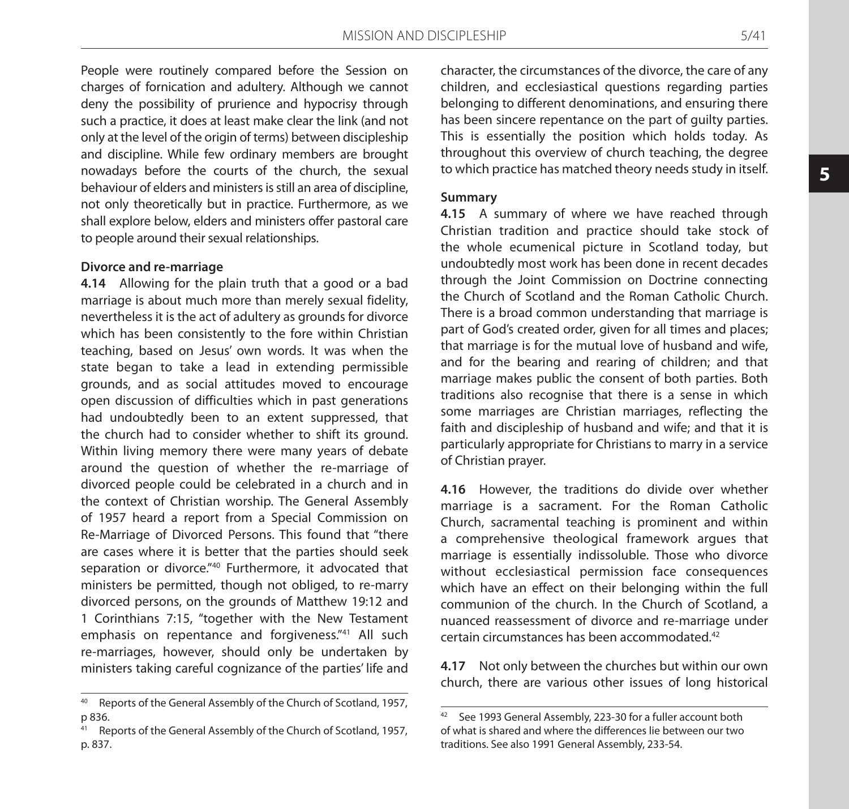People were routinely compared before the Session on charges of fornication and adultery. Although we cannot deny the possibility of prurience and hypocrisy through such a practice, it does at least make clear the link (and not only at the level of the origin of terms) between discipleship and discipline. While few ordinary members are brought nowadays before the courts of the church, the sexual behaviour of elders and ministers is still an area of discipline, not only theoretically but in practice. Furthermore, as we shall explore below, elders and ministers offer pastoral care to people around their sexual relationships.

#### **Divorce and re-marriage**

**4.14** Allowing for the plain truth that a good or a bad marriage is about much more than merely sexual fidelity, nevertheless it is the act of adultery as grounds for divorce which has been consistently to the fore within Christian teaching, based on Jesus' own words. It was when the state began to take a lead in extending permissible grounds, and as social attitudes moved to encourage open discussion of difficulties which in past generations had undoubtedly been to an extent suppressed, that the church had to consider whether to shift its ground. Within living memory there were many years of debate around the question of whether the re-marriage of divorced people could be celebrated in a church and in the context of Christian worship. The General Assembly of 1957 heard a report from a Special Commission on Re-Marriage of Divorced Persons. This found that "there are cases where it is better that the parties should seek separation or divorce."<sup>40</sup> Furthermore, it advocated that ministers be permitted, though not obliged, to re-marry divorced persons, on the grounds of Matthew 19:12 and 1 Corinthians 7:15, "together with the New Testament emphasis on repentance and forgiveness."<sup>41</sup> All such re-marriages, however, should only be undertaken by ministers taking careful cognizance of the parties' life and

character, the circumstances of the divorce, the care of any children, and ecclesiastical questions regarding parties belonging to different denominations, and ensuring there has been sincere repentance on the part of guilty parties. This is essentially the position which holds today. As throughout this overview of church teaching, the degree to which practice has matched theory needs study in itself.

#### **Summary**

**4.15** A summary of where we have reached through Christian tradition and practice should take stock of the whole ecumenical picture in Scotland today, but undoubtedly most work has been done in recent decades through the Joint Commission on Doctrine connecting the Church of Scotland and the Roman Catholic Church. There is a broad common understanding that marriage is part of God's created order, given for all times and places; that marriage is for the mutual love of husband and wife, and for the bearing and rearing of children; and that marriage makes public the consent of both parties. Both traditions also recognise that there is a sense in which some marriages are Christian marriages, reflecting the faith and discipleship of husband and wife; and that it is particularly appropriate for Christians to marry in a service of Christian prayer.

**4.16** However, the traditions do divide over whether marriage is a sacrament. For the Roman Catholic Church, sacramental teaching is prominent and within a comprehensive theological framework argues that marriage is essentially indissoluble. Those who divorce without ecclesiastical permission face consequences which have an effect on their belonging within the full communion of the church. In the Church of Scotland, a nuanced reassessment of divorce and re-marriage under certain circumstances has been accommodated.42

**4.17** Not only between the churches but within our own church, there are various other issues of long historical

<sup>40</sup> Reports of the General Assembly of the Church of Scotland, 1957, p 836.

Reports of the General Assembly of the Church of Scotland, 1957, p. 837.

<sup>42</sup> See 1993 General Assembly, 223-30 for a fuller account both of what is shared and where the differences lie between our two traditions. See also 1991 General Assembly, 233-54.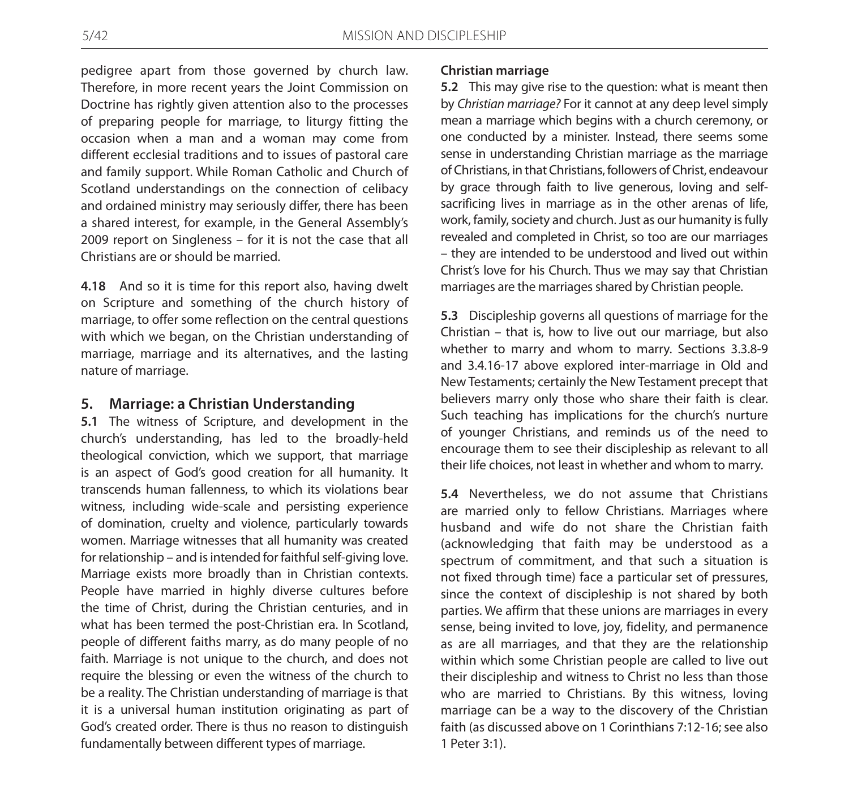pedigree apart from those governed by church law. Therefore, in more recent years the Joint Commission on Doctrine has rightly given attention also to the processes of preparing people for marriage, to liturgy fitting the occasion when a man and a woman may come from different ecclesial traditions and to issues of pastoral care and family support. While Roman Catholic and Church of Scotland understandings on the connection of celibacy and ordained ministry may seriously differ, there has been a shared interest, for example, in the General Assembly's 2009 report on Singleness – for it is not the case that all Christians are or should be married.

**4.18** And so it is time for this report also, having dwelt on Scripture and something of the church history of marriage, to offer some reflection on the central questions with which we began, on the Christian understanding of marriage, marriage and its alternatives, and the lasting nature of marriage.

### **5. Marriage: a Christian Understanding**

**5.1** The witness of Scripture, and development in the church's understanding, has led to the broadly-held theological conviction, which we support, that marriage is an aspect of God's good creation for all humanity. It transcends human fallenness, to which its violations bear witness, including wide-scale and persisting experience of domination, cruelty and violence, particularly towards women. Marriage witnesses that all humanity was created for relationship – and is intended for faithful self-giving love. Marriage exists more broadly than in Christian contexts. People have married in highly diverse cultures before the time of Christ, during the Christian centuries, and in what has been termed the post-Christian era. In Scotland, people of different faiths marry, as do many people of no faith. Marriage is not unique to the church, and does not require the blessing or even the witness of the church to be a reality. The Christian understanding of marriage is that it is a universal human institution originating as part of God's created order. There is thus no reason to distinguish fundamentally between different types of marriage.

#### **Christian marriage**

**5.2** This may give rise to the question: what is meant then by *Christian marriage?* For it cannot at any deep level simply mean a marriage which begins with a church ceremony, or one conducted by a minister. Instead, there seems some sense in understanding Christian marriage as the marriage of Christians, in that Christians, followers of Christ, endeavour by grace through faith to live generous, loving and selfsacrificing lives in marriage as in the other arenas of life, work, family, society and church. Just as our humanity is fully revealed and completed in Christ, so too are our marriages – they are intended to be understood and lived out within Christ's love for his Church. Thus we may say that Christian marriages are the marriages shared by Christian people.

**5.3** Discipleship governs all questions of marriage for the Christian – that is, how to live out our marriage, but also whether to marry and whom to marry. Sections 3.3.8-9 and 3.4.16-17 above explored inter-marriage in Old and New Testaments; certainly the New Testament precept that believers marry only those who share their faith is clear. Such teaching has implications for the church's nurture of younger Christians, and reminds us of the need to encourage them to see their discipleship as relevant to all their life choices, not least in whether and whom to marry.

**5.4** Nevertheless, we do not assume that Christians are married only to fellow Christians. Marriages where husband and wife do not share the Christian faith (acknowledging that faith may be understood as a spectrum of commitment, and that such a situation is not fixed through time) face a particular set of pressures, since the context of discipleship is not shared by both parties. We affirm that these unions are marriages in every sense, being invited to love, joy, fidelity, and permanence as are all marriages, and that they are the relationship within which some Christian people are called to live out their discipleship and witness to Christ no less than those who are married to Christians. By this witness, loving marriage can be a way to the discovery of the Christian faith (as discussed above on 1 Corinthians 7:12-16; see also 1 Peter 3:1).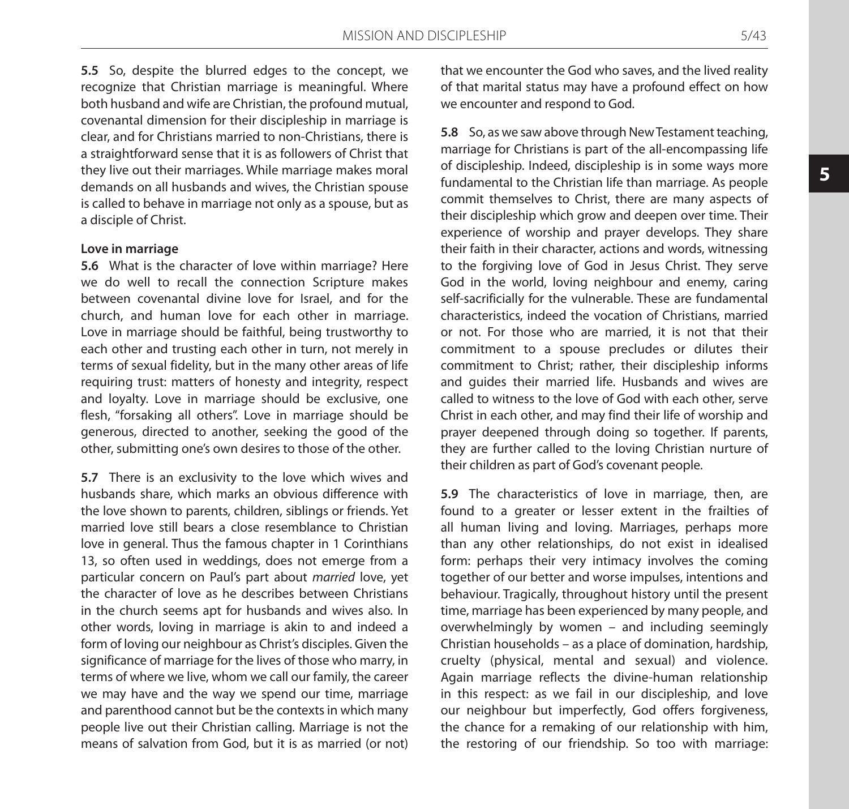**5.5** So, despite the blurred edges to the concept, we recognize that Christian marriage is meaningful. Where both husband and wife are Christian, the profound mutual, covenantal dimension for their discipleship in marriage is clear, and for Christians married to non-Christians, there is a straightforward sense that it is as followers of Christ that they live out their marriages. While marriage makes moral demands on all husbands and wives, the Christian spouse is called to behave in marriage not only as a spouse, but as a disciple of Christ.

#### **Love in marriage**

**5.6** What is the character of love within marriage? Here we do well to recall the connection Scripture makes between covenantal divine love for Israel, and for the church, and human love for each other in marriage. Love in marriage should be faithful, being trustworthy to each other and trusting each other in turn, not merely in terms of sexual fidelity, but in the many other areas of life requiring trust: matters of honesty and integrity, respect and loyalty. Love in marriage should be exclusive, one flesh, "forsaking all others". Love in marriage should be generous, directed to another, seeking the good of the other, submitting one's own desires to those of the other.

**5.7** There is an exclusivity to the love which wives and husbands share, which marks an obvious difference with the love shown to parents, children, siblings or friends. Yet married love still bears a close resemblance to Christian love in general. Thus the famous chapter in 1 Corinthians 13, so often used in weddings, does not emerge from a particular concern on Paul's part about *married* love, yet the character of love as he describes between Christians in the church seems apt for husbands and wives also. In other words, loving in marriage is akin to and indeed a form of loving our neighbour as Christ's disciples. Given the significance of marriage for the lives of those who marry, in terms of where we live, whom we call our family, the career we may have and the way we spend our time, marriage and parenthood cannot but be the contexts in which many people live out their Christian calling. Marriage is not the means of salvation from God, but it is as married (or not)

that we encounter the God who saves, and the lived reality of that marital status may have a profound effect on how we encounter and respond to God.

**5.8** So, as we saw above through New Testament teaching, marriage for Christians is part of the all-encompassing life of discipleship. Indeed, discipleship is in some ways more fundamental to the Christian life than marriage. As people commit themselves to Christ, there are many aspects of their discipleship which grow and deepen over time. Their experience of worship and prayer develops. They share their faith in their character, actions and words, witnessing to the forgiving love of God in Jesus Christ. They serve God in the world, loving neighbour and enemy, caring self-sacrificially for the vulnerable. These are fundamental characteristics, indeed the vocation of Christians, married or not. For those who are married, it is not that their commitment to a spouse precludes or dilutes their commitment to Christ; rather, their discipleship informs and guides their married life. Husbands and wives are called to witness to the love of God with each other, serve Christ in each other, and may find their life of worship and prayer deepened through doing so together. If parents, they are further called to the loving Christian nurture of their children as part of God's covenant people.

**5.9** The characteristics of love in marriage, then, are found to a greater or lesser extent in the frailties of all human living and loving. Marriages, perhaps more than any other relationships, do not exist in idealised form: perhaps their very intimacy involves the coming together of our better and worse impulses, intentions and behaviour. Tragically, throughout history until the present time, marriage has been experienced by many people, and overwhelmingly by women – and including seemingly Christian households – as a place of domination, hardship, cruelty (physical, mental and sexual) and violence. Again marriage reflects the divine-human relationship in this respect: as we fail in our discipleship, and love our neighbour but imperfectly, God offers forgiveness, the chance for a remaking of our relationship with him, the restoring of our friendship. So too with marriage: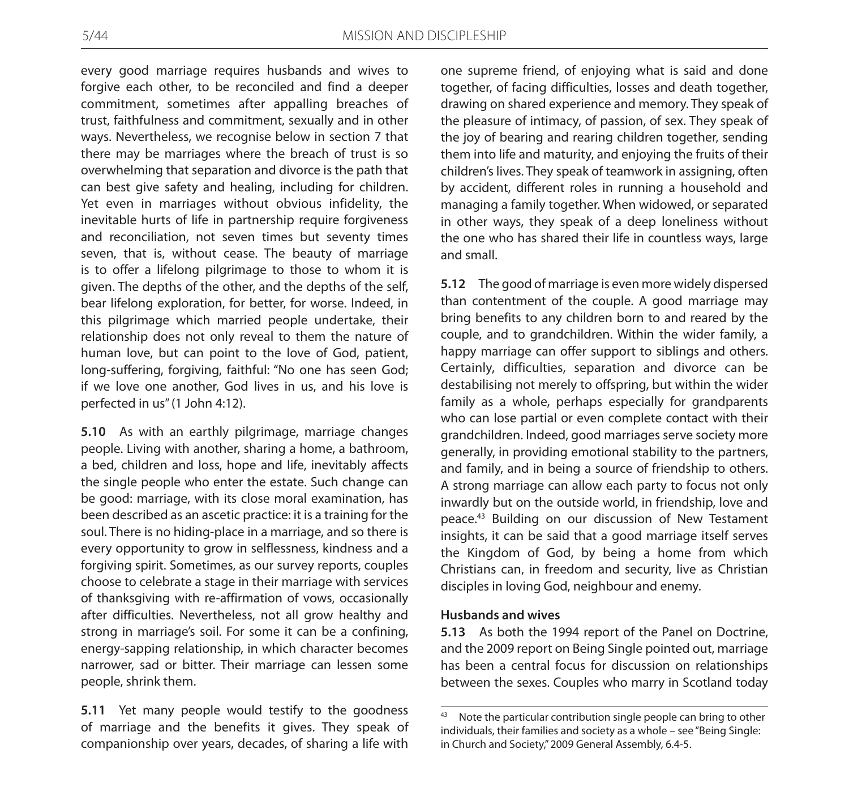every good marriage requires husbands and wives to forgive each other, to be reconciled and find a deeper commitment, sometimes after appalling breaches of trust, faithfulness and commitment, sexually and in other ways. Nevertheless, we recognise below in section 7 that there may be marriages where the breach of trust is so overwhelming that separation and divorce is the path that can best give safety and healing, including for children. Yet even in marriages without obvious infidelity, the inevitable hurts of life in partnership require forgiveness and reconciliation, not seven times but seventy times seven, that is, without cease. The beauty of marriage is to offer a lifelong pilgrimage to those to whom it is given. The depths of the other, and the depths of the self, bear lifelong exploration, for better, for worse. Indeed, in this pilgrimage which married people undertake, their relationship does not only reveal to them the nature of human love, but can point to the love of God, patient, long-suffering, forgiving, faithful: "No one has seen God; if we love one another, God lives in us, and his love is perfected in us" (1 John 4:12).

**5.10** As with an earthly pilgrimage, marriage changes people. Living with another, sharing a home, a bathroom, a bed, children and loss, hope and life, inevitably affects the single people who enter the estate. Such change can be good: marriage, with its close moral examination, has been described as an ascetic practice: it is a training for the soul. There is no hiding-place in a marriage, and so there is every opportunity to grow in selflessness, kindness and a forgiving spirit. Sometimes, as our survey reports, couples choose to celebrate a stage in their marriage with services of thanksgiving with re-affirmation of vows, occasionally after difficulties. Nevertheless, not all grow healthy and strong in marriage's soil. For some it can be a confining, energy-sapping relationship, in which character becomes narrower, sad or bitter. Their marriage can lessen some people, shrink them.

**5.11** Yet many people would testify to the goodness of marriage and the benefits it gives. They speak of companionship over years, decades, of sharing a life with one supreme friend, of enjoying what is said and done together, of facing difficulties, losses and death together, drawing on shared experience and memory. They speak of the pleasure of intimacy, of passion, of sex. They speak of the joy of bearing and rearing children together, sending them into life and maturity, and enjoying the fruits of their children's lives. They speak of teamwork in assigning, often by accident, different roles in running a household and managing a family together. When widowed, or separated in other ways, they speak of a deep loneliness without the one who has shared their life in countless ways, large and small.

**5.12** The good of marriage is even more widely dispersed than contentment of the couple. A good marriage may bring benefits to any children born to and reared by the couple, and to grandchildren. Within the wider family, a happy marriage can offer support to siblings and others. Certainly, difficulties, separation and divorce can be destabilising not merely to offspring, but within the wider family as a whole, perhaps especially for grandparents who can lose partial or even complete contact with their grandchildren. Indeed, good marriages serve society more generally, in providing emotional stability to the partners, and family, and in being a source of friendship to others. A strong marriage can allow each party to focus not only inwardly but on the outside world, in friendship, love and peace.43 Building on our discussion of New Testament insights, it can be said that a good marriage itself serves the Kingdom of God, by being a home from which Christians can, in freedom and security, live as Christian disciples in loving God, neighbour and enemy.

#### **Husbands and wives**

**5.13** As both the 1994 report of the Panel on Doctrine, and the 2009 report on Being Single pointed out, marriage has been a central focus for discussion on relationships between the sexes. Couples who marry in Scotland today

<sup>43</sup> Note the particular contribution single people can bring to other individuals, their families and society as a whole – see "Being Single: in Church and Society," 2009 General Assembly, 6.4-5.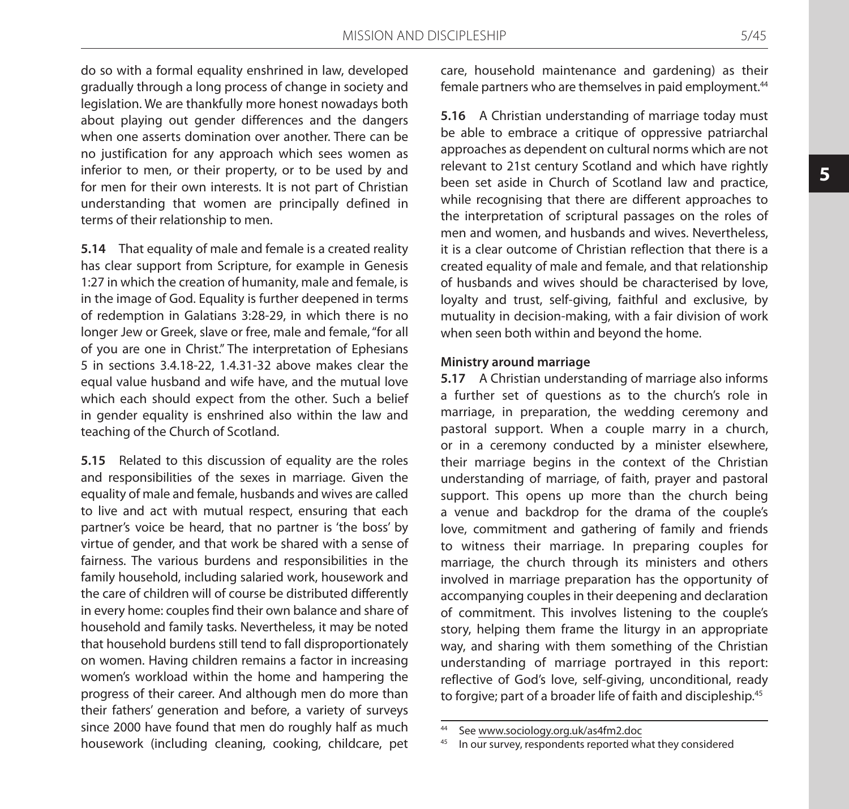do so with a formal equality enshrined in law, developed gradually through a long process of change in society and legislation. We are thankfully more honest nowadays both about playing out gender differences and the dangers when one asserts domination over another. There can be no justification for any approach which sees women as inferior to men, or their property, or to be used by and for men for their own interests. It is not part of Christian understanding that women are principally defined in terms of their relationship to men.

**5.14** That equality of male and female is a created reality has clear support from Scripture, for example in Genesis 1:27 in which the creation of humanity, male and female, is in the image of God. Equality is further deepened in terms of redemption in Galatians 3:28-29, in which there is no longer Jew or Greek, slave or free, male and female, "for all of you are one in Christ." The interpretation of Ephesians 5 in sections 3.4.18-22, 1.4.31-32 above makes clear the equal value husband and wife have, and the mutual love which each should expect from the other. Such a belief in gender equality is enshrined also within the law and teaching of the Church of Scotland.

**5.15** Related to this discussion of equality are the roles and responsibilities of the sexes in marriage. Given the equality of male and female, husbands and wives are called to live and act with mutual respect, ensuring that each partner's voice be heard, that no partner is 'the boss' by virtue of gender, and that work be shared with a sense of fairness. The various burdens and responsibilities in the family household, including salaried work, housework and the care of children will of course be distributed differently in every home: couples find their own balance and share of household and family tasks. Nevertheless, it may be noted that household burdens still tend to fall disproportionately on women. Having children remains a factor in increasing women's workload within the home and hampering the progress of their career. And although men do more than their fathers' generation and before, a variety of surveys since 2000 have found that men do roughly half as much housework (including cleaning, cooking, childcare, pet care, household maintenance and gardening) as their female partners who are themselves in paid employment.<sup>44</sup>

**5.16** A Christian understanding of marriage today must be able to embrace a critique of oppressive patriarchal approaches as dependent on cultural norms which are not relevant to 21st century Scotland and which have rightly been set aside in Church of Scotland law and practice, while recognising that there are different approaches to the interpretation of scriptural passages on the roles of men and women, and husbands and wives. Nevertheless, it is a clear outcome of Christian reflection that there is a created equality of male and female, and that relationship of husbands and wives should be characterised by love, loyalty and trust, self-giving, faithful and exclusive, by mutuality in decision-making, with a fair division of work when seen both within and beyond the home.

#### **Ministry around marriage**

**5.17** A Christian understanding of marriage also informs a further set of questions as to the church's role in marriage, in preparation, the wedding ceremony and pastoral support. When a couple marry in a church, or in a ceremony conducted by a minister elsewhere, their marriage begins in the context of the Christian understanding of marriage, of faith, prayer and pastoral support. This opens up more than the church being a venue and backdrop for the drama of the couple's love, commitment and gathering of family and friends to witness their marriage. In preparing couples for marriage, the church through its ministers and others involved in marriage preparation has the opportunity of accompanying couples in their deepening and declaration of commitment. This involves listening to the couple's story, helping them frame the liturgy in an appropriate way, and sharing with them something of the Christian understanding of marriage portrayed in this report: reflective of God's love, self-giving, unconditional, ready to forgive; part of a broader life of faith and discipleship.<sup>45</sup>

<sup>44</sup> See www.sociology.org.uk/as4fm2.doc

<sup>45</sup> In our survey, respondents reported what they considered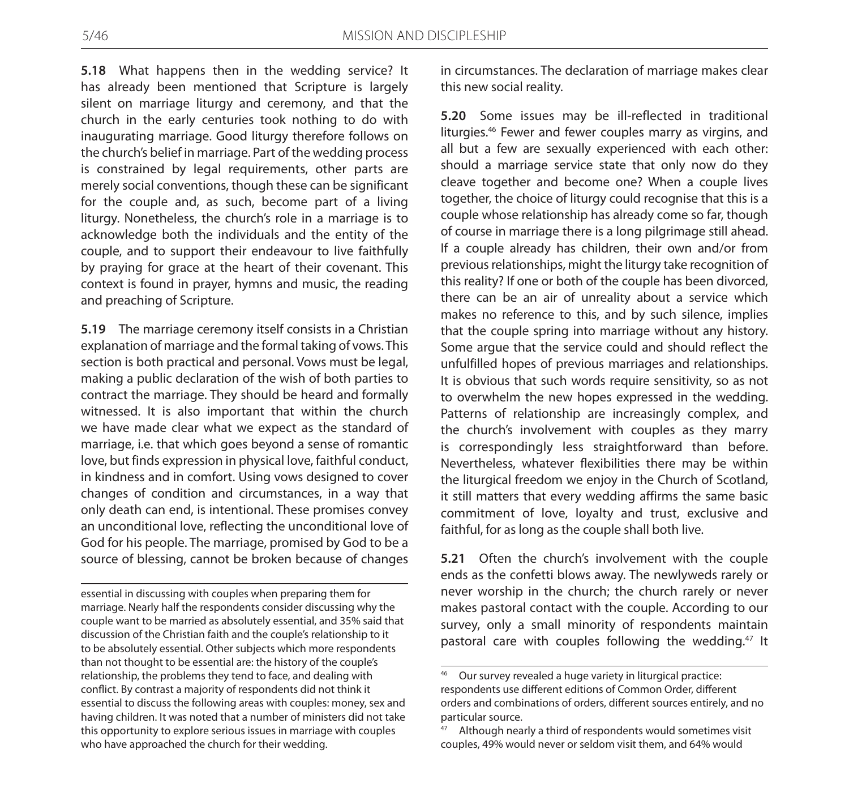**5.18** What happens then in the wedding service? It has already been mentioned that Scripture is largely silent on marriage liturgy and ceremony, and that the church in the early centuries took nothing to do with inaugurating marriage. Good liturgy therefore follows on the church's belief in marriage. Part of the wedding process is constrained by legal requirements, other parts are merely social conventions, though these can be significant for the couple and, as such, become part of a living liturgy. Nonetheless, the church's role in a marriage is to acknowledge both the individuals and the entity of the couple, and to support their endeavour to live faithfully by praying for grace at the heart of their covenant. This context is found in prayer, hymns and music, the reading and preaching of Scripture.

**5.19** The marriage ceremony itself consists in a Christian explanation of marriage and the formal taking of vows. This section is both practical and personal. Vows must be legal, making a public declaration of the wish of both parties to contract the marriage. They should be heard and formally witnessed. It is also important that within the church we have made clear what we expect as the standard of marriage, i.e. that which goes beyond a sense of romantic love, but finds expression in physical love, faithful conduct, in kindness and in comfort. Using vows designed to cover changes of condition and circumstances, in a way that only death can end, is intentional. These promises convey an unconditional love, reflecting the unconditional love of God for his people. The marriage, promised by God to be a source of blessing, cannot be broken because of changes

essential in discussing with couples when preparing them for marriage. Nearly half the respondents consider discussing why the couple want to be married as absolutely essential, and 35% said that discussion of the Christian faith and the couple's relationship to it to be absolutely essential. Other subjects which more respondents than not thought to be essential are: the history of the couple's relationship, the problems they tend to face, and dealing with conflict. By contrast a majority of respondents did not think it essential to discuss the following areas with couples: money, sex and having children. It was noted that a number of ministers did not take this opportunity to explore serious issues in marriage with couples who have approached the church for their wedding.

in circumstances. The declaration of marriage makes clear this new social reality.

**5.20** Some issues may be ill-reflected in traditional liturgies.46 Fewer and fewer couples marry as virgins, and all but a few are sexually experienced with each other: should a marriage service state that only now do they cleave together and become one? When a couple lives together, the choice of liturgy could recognise that this is a couple whose relationship has already come so far, though of course in marriage there is a long pilgrimage still ahead. If a couple already has children, their own and/or from previous relationships, might the liturgy take recognition of this reality? If one or both of the couple has been divorced, there can be an air of unreality about a service which makes no reference to this, and by such silence, implies that the couple spring into marriage without any history. Some argue that the service could and should reflect the unfulfilled hopes of previous marriages and relationships. It is obvious that such words require sensitivity, so as not to overwhelm the new hopes expressed in the wedding. Patterns of relationship are increasingly complex, and the church's involvement with couples as they marry is correspondingly less straightforward than before. Nevertheless, whatever flexibilities there may be within the liturgical freedom we enjoy in the Church of Scotland, it still matters that every wedding affirms the same basic commitment of love, loyalty and trust, exclusive and faithful, for as long as the couple shall both live.

**5.21** Often the church's involvement with the couple ends as the confetti blows away. The newlyweds rarely or never worship in the church; the church rarely or never makes pastoral contact with the couple. According to our survey, only a small minority of respondents maintain pastoral care with couples following the wedding.<sup>47</sup> It

Our survey revealed a huge variety in liturgical practice: respondents use different editions of Common Order, different orders and combinations of orders, different sources entirely, and no particular source.

Although nearly a third of respondents would sometimes visit couples, 49% would never or seldom visit them, and 64% would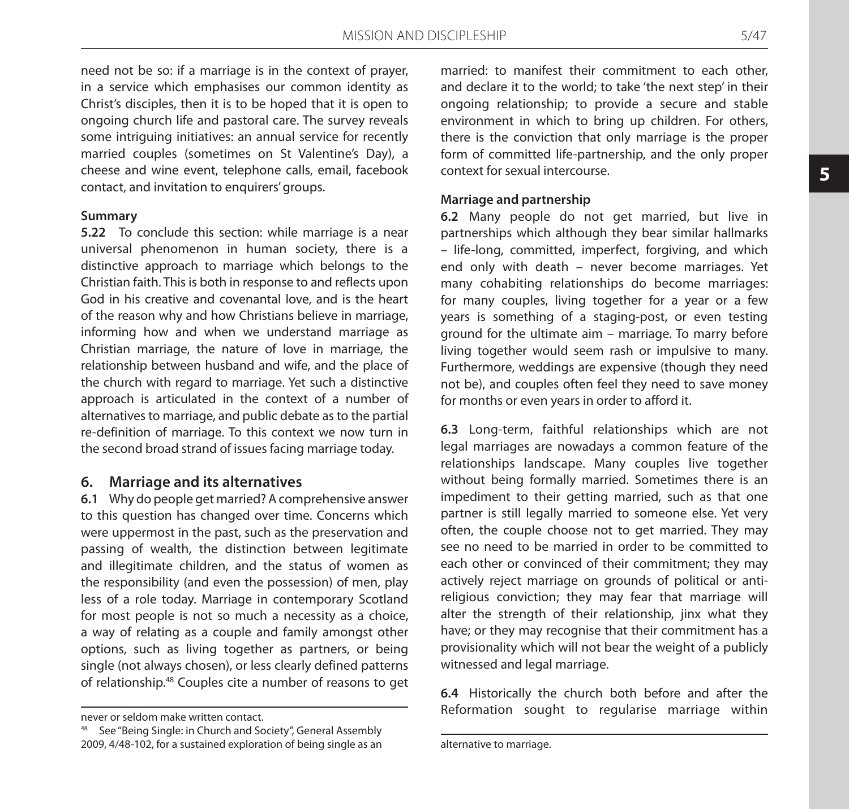need not be so: if a marriage is in the context of prayer, in a service which emphasises our common identity as Christ's disciples, then it is to be hoped that it is open to ongoing church life and pastoral care. The survey reveals some intriguing initiatives: an annual service for recently married couples (sometimes on St Valentine's Day), a cheese and wine event, telephone calls, email, facebook contact, and invitation to enquirers' groups.

#### **Summary**

**5.22** To conclude this section: while marriage is a near universal phenomenon in human society, there is a distinctive approach to marriage which belongs to the Christian faith. This is both in response to and reflects upon God in his creative and covenantal love, and is the heart of the reason why and how Christians believe in marriage, informing how and when we understand marriage as Christian marriage, the nature of love in marriage, the relationship between husband and wife, and the place of the church with regard to marriage. Yet such a distinctive approach is articulated in the context of a number of alternatives to marriage, and public debate as to the partial re-definition of marriage. To this context we now turn in the second broad strand of issues facing marriage today.

### **6. Marriage and its alternatives**

**6.1** Why do people get married? A comprehensive answer to this question has changed over time. Concerns which were uppermost in the past, such as the preservation and passing of wealth, the distinction between legitimate and illegitimate children, and the status of women as the responsibility (and even the possession) of men, play less of a role today. Marriage in contemporary Scotland for most people is not so much a necessity as a choice, a way of relating as a couple and family amongst other options, such as living together as partners, or being single (not always chosen), or less clearly defined patterns of relationship.48 Couples cite a number of reasons to get

See "Being Single: in Church and Society", General Assembly 2009, 4/48-102, for a sustained exploration of being single as an

married: to manifest their commitment to each other, and declare it to the world; to take 'the next step' in their ongoing relationship; to provide a secure and stable environment in which to bring up children. For others, there is the conviction that only marriage is the proper form of committed life-partnership, and the only proper context for sexual intercourse.

#### **Marriage and partnership**

**6.2** Many people do not get married, but live in partnerships which although they bear similar hallmarks – life-long, committed, imperfect, forgiving, and which end only with death – never become marriages. Yet many cohabiting relationships do become marriages: for many couples, living together for a year or a few years is something of a staging-post, or even testing ground for the ultimate aim – marriage. To marry before living together would seem rash or impulsive to many. Furthermore, weddings are expensive (though they need not be), and couples often feel they need to save money for months or even years in order to afford it.

**6.3** Long-term, faithful relationships which are not legal marriages are nowadays a common feature of the relationships landscape. Many couples live together without being formally married. Sometimes there is an impediment to their getting married, such as that one partner is still legally married to someone else. Yet very often, the couple choose not to get married. They may see no need to be married in order to be committed to each other or convinced of their commitment; they may actively reject marriage on grounds of political or antireligious conviction; they may fear that marriage will alter the strength of their relationship, jinx what they have; or they may recognise that their commitment has a provisionality which will not bear the weight of a publicly witnessed and legal marriage.

**6.4** Historically the church both before and after the Reformation sought to regularise marriage within

never or seldom make written contact.

alternative to marriage.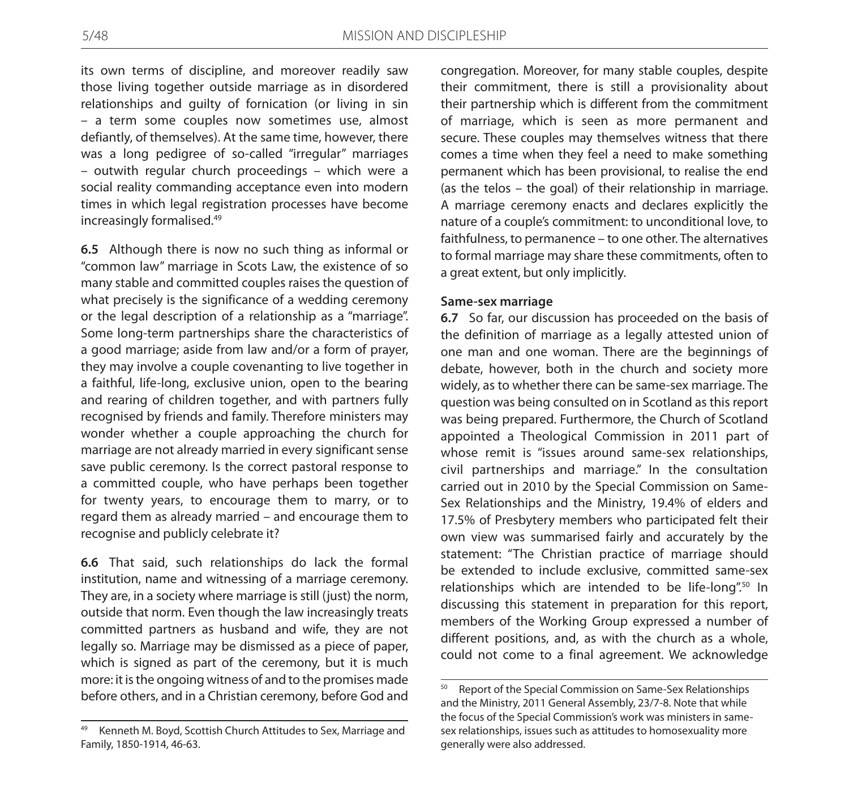its own terms of discipline, and moreover readily saw those living together outside marriage as in disordered relationships and guilty of fornication (or living in sin – a term some couples now sometimes use, almost defiantly, of themselves). At the same time, however, there was a long pedigree of so-called "irregular" marriages – outwith regular church proceedings – which were a social reality commanding acceptance even into modern times in which legal registration processes have become increasingly formalised.49

**6.5** Although there is now no such thing as informal or "common law" marriage in Scots Law, the existence of so many stable and committed couples raises the question of what precisely is the significance of a wedding ceremony or the legal description of a relationship as a "marriage". Some long-term partnerships share the characteristics of a good marriage; aside from law and/or a form of prayer, they may involve a couple covenanting to live together in a faithful, life-long, exclusive union, open to the bearing and rearing of children together, and with partners fully recognised by friends and family. Therefore ministers may wonder whether a couple approaching the church for marriage are not already married in every significant sense save public ceremony. Is the correct pastoral response to a committed couple, who have perhaps been together for twenty years, to encourage them to marry, or to regard them as already married – and encourage them to recognise and publicly celebrate it?

**6.6** That said, such relationships do lack the formal institution, name and witnessing of a marriage ceremony. They are, in a society where marriage is still (just) the norm, outside that norm. Even though the law increasingly treats committed partners as husband and wife, they are not legally so. Marriage may be dismissed as a piece of paper, which is signed as part of the ceremony, but it is much more: it is the ongoing witness of and to the promises made before others, and in a Christian ceremony, before God and

congregation. Moreover, for many stable couples, despite their commitment, there is still a provisionality about their partnership which is different from the commitment of marriage, which is seen as more permanent and secure. These couples may themselves witness that there comes a time when they feel a need to make something permanent which has been provisional, to realise the end (as the telos – the goal) of their relationship in marriage. A marriage ceremony enacts and declares explicitly the nature of a couple's commitment: to unconditional love, to faithfulness, to permanence – to one other. The alternatives to formal marriage may share these commitments, often to a great extent, but only implicitly.

#### **Same-sex marriage**

**6.7** So far, our discussion has proceeded on the basis of the definition of marriage as a legally attested union of one man and one woman. There are the beginnings of debate, however, both in the church and society more widely, as to whether there can be same-sex marriage. The question was being consulted on in Scotland as this report was being prepared. Furthermore, the Church of Scotland appointed a Theological Commission in 2011 part of whose remit is "issues around same-sex relationships, civil partnerships and marriage." In the consultation carried out in 2010 by the Special Commission on Same-Sex Relationships and the Ministry, 19.4% of elders and 17.5% of Presbytery members who participated felt their own view was summarised fairly and accurately by the statement: "The Christian practice of marriage should be extended to include exclusive, committed same-sex relationships which are intended to be life-long".<sup>50</sup> In discussing this statement in preparation for this report, members of the Working Group expressed a number of different positions, and, as with the church as a whole, could not come to a final agreement. We acknowledge

<sup>49</sup> Kenneth M. Boyd, Scottish Church Attitudes to Sex, Marriage and Family, 1850-1914, 46-63.

<sup>&</sup>lt;sup>50</sup> Report of the Special Commission on Same-Sex Relationships and the Ministry, 2011 General Assembly, 23/7-8. Note that while the focus of the Special Commission's work was ministers in samesex relationships, issues such as attitudes to homosexuality more generally were also addressed.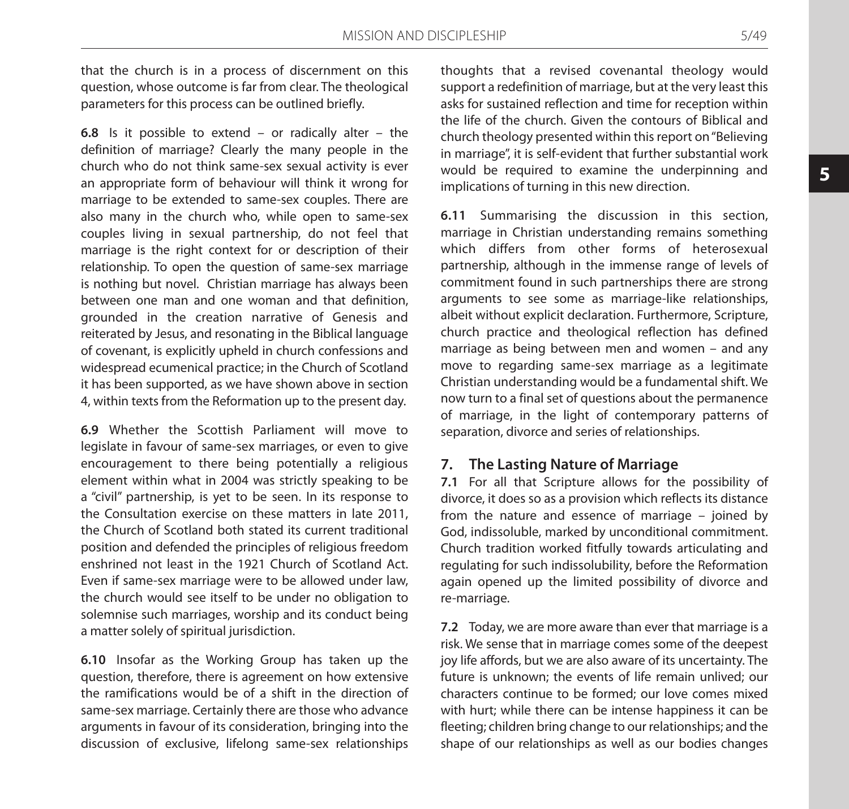that the church is in a process of discernment on this question, whose outcome is far from clear. The theological parameters for this process can be outlined briefly.

**6.8** Is it possible to extend – or radically alter – the definition of marriage? Clearly the many people in the church who do not think same-sex sexual activity is ever an appropriate form of behaviour will think it wrong for marriage to be extended to same-sex couples. There are also many in the church who, while open to same-sex couples living in sexual partnership, do not feel that marriage is the right context for or description of their relationship. To open the question of same-sex marriage is nothing but novel. Christian marriage has always been between one man and one woman and that definition, grounded in the creation narrative of Genesis and reiterated by Jesus, and resonating in the Biblical language of covenant, is explicitly upheld in church confessions and widespread ecumenical practice; in the Church of Scotland it has been supported, as we have shown above in section 4, within texts from the Reformation up to the present day.

**6.9** Whether the Scottish Parliament will move to legislate in favour of same-sex marriages, or even to give encouragement to there being potentially a religious element within what in 2004 was strictly speaking to be a "civil" partnership, is yet to be seen. In its response to the Consultation exercise on these matters in late 2011, the Church of Scotland both stated its current traditional position and defended the principles of religious freedom enshrined not least in the 1921 Church of Scotland Act. Even if same-sex marriage were to be allowed under law, the church would see itself to be under no obligation to solemnise such marriages, worship and its conduct being a matter solely of spiritual jurisdiction.

**6.10** Insofar as the Working Group has taken up the question, therefore, there is agreement on how extensive the ramifications would be of a shift in the direction of same-sex marriage. Certainly there are those who advance arguments in favour of its consideration, bringing into the discussion of exclusive, lifelong same-sex relationships thoughts that a revised covenantal theology would support a redefinition of marriage, but at the very least this asks for sustained reflection and time for reception within the life of the church. Given the contours of Biblical and church theology presented within this report on "Believing in marriage", it is self-evident that further substantial work would be required to examine the underpinning and implications of turning in this new direction.

**6.11** Summarising the discussion in this section, marriage in Christian understanding remains something which differs from other forms of heterosexual partnership, although in the immense range of levels of commitment found in such partnerships there are strong arguments to see some as marriage-like relationships, albeit without explicit declaration. Furthermore, Scripture, church practice and theological reflection has defined marriage as being between men and women – and any move to regarding same-sex marriage as a legitimate Christian understanding would be a fundamental shift. We now turn to a final set of questions about the permanence of marriage, in the light of contemporary patterns of separation, divorce and series of relationships.

# **7. The Lasting Nature of Marriage**

**7.1** For all that Scripture allows for the possibility of divorce, it does so as a provision which reflects its distance from the nature and essence of marriage – joined by God, indissoluble, marked by unconditional commitment. Church tradition worked fitfully towards articulating and regulating for such indissolubility, before the Reformation again opened up the limited possibility of divorce and re-marriage.

**7.2** Today, we are more aware than ever that marriage is a risk. We sense that in marriage comes some of the deepest joy life affords, but we are also aware of its uncertainty. The future is unknown; the events of life remain unlived; our characters continue to be formed; our love comes mixed with hurt; while there can be intense happiness it can be fleeting; children bring change to our relationships; and the shape of our relationships as well as our bodies changes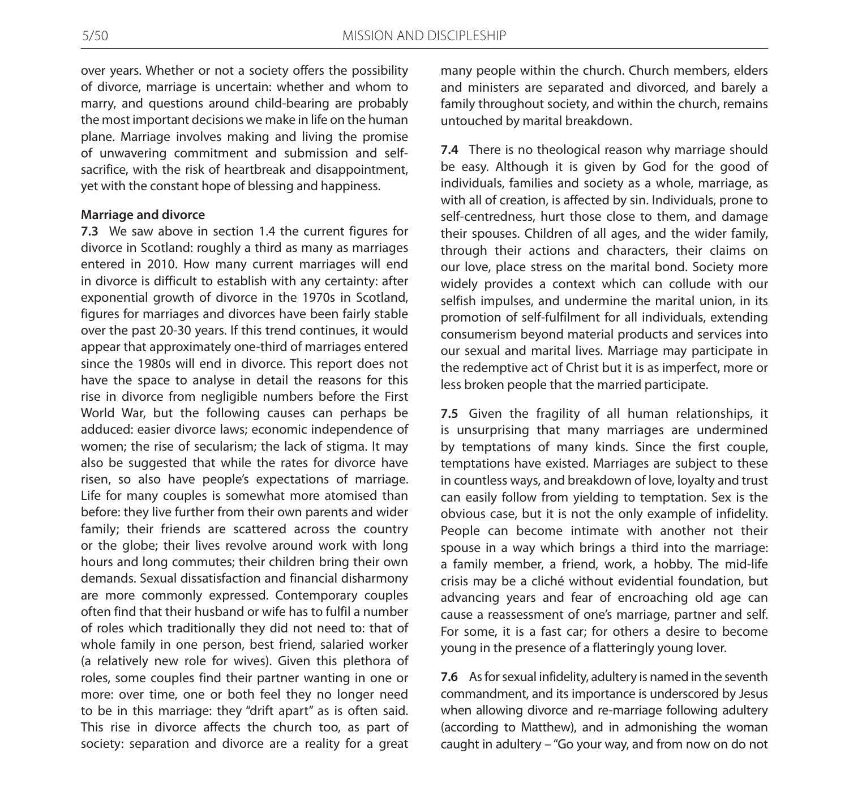over years. Whether or not a society offers the possibility of divorce, marriage is uncertain: whether and whom to marry, and questions around child-bearing are probably the most important decisions we make in life on the human plane. Marriage involves making and living the promise of unwavering commitment and submission and selfsacrifice, with the risk of heartbreak and disappointment, yet with the constant hope of blessing and happiness.

#### **Marriage and divorce**

**7.3** We saw above in section 1.4 the current figures for divorce in Scotland: roughly a third as many as marriages entered in 2010. How many current marriages will end in divorce is difficult to establish with any certainty: after exponential growth of divorce in the 1970s in Scotland, figures for marriages and divorces have been fairly stable over the past 20-30 years. If this trend continues, it would appear that approximately one-third of marriages entered since the 1980s will end in divorce. This report does not have the space to analyse in detail the reasons for this rise in divorce from negligible numbers before the First World War, but the following causes can perhaps be adduced: easier divorce laws; economic independence of women; the rise of secularism; the lack of stigma. It may also be suggested that while the rates for divorce have risen, so also have people's expectations of marriage. Life for many couples is somewhat more atomised than before: they live further from their own parents and wider family; their friends are scattered across the country or the globe; their lives revolve around work with long hours and long commutes; their children bring their own demands. Sexual dissatisfaction and financial disharmony are more commonly expressed. Contemporary couples often find that their husband or wife has to fulfil a number of roles which traditionally they did not need to: that of whole family in one person, best friend, salaried worker (a relatively new role for wives). Given this plethora of roles, some couples find their partner wanting in one or more: over time, one or both feel they no longer need to be in this marriage: they "drift apart" as is often said. This rise in divorce affects the church too, as part of society: separation and divorce are a reality for a great

many people within the church. Church members, elders and ministers are separated and divorced, and barely a family throughout society, and within the church, remains untouched by marital breakdown.

**7.4** There is no theological reason why marriage should be easy. Although it is given by God for the good of individuals, families and society as a whole, marriage, as with all of creation, is affected by sin. Individuals, prone to self-centredness, hurt those close to them, and damage their spouses. Children of all ages, and the wider family, through their actions and characters, their claims on our love, place stress on the marital bond. Society more widely provides a context which can collude with our selfish impulses, and undermine the marital union, in its promotion of self-fulfilment for all individuals, extending consumerism beyond material products and services into our sexual and marital lives. Marriage may participate in the redemptive act of Christ but it is as imperfect, more or less broken people that the married participate.

**7.5** Given the fragility of all human relationships, it is unsurprising that many marriages are undermined by temptations of many kinds. Since the first couple, temptations have existed. Marriages are subject to these in countless ways, and breakdown of love, loyalty and trust can easily follow from yielding to temptation. Sex is the obvious case, but it is not the only example of infidelity. People can become intimate with another not their spouse in a way which brings a third into the marriage: a family member, a friend, work, a hobby. The mid-life crisis may be a cliché without evidential foundation, but advancing years and fear of encroaching old age can cause a reassessment of one's marriage, partner and self. For some, it is a fast car; for others a desire to become young in the presence of a flatteringly young lover.

**7.6** As for sexual infidelity, adultery is named in the seventh commandment, and its importance is underscored by Jesus when allowing divorce and re-marriage following adultery (according to Matthew), and in admonishing the woman caught in adultery – "Go your way, and from now on do not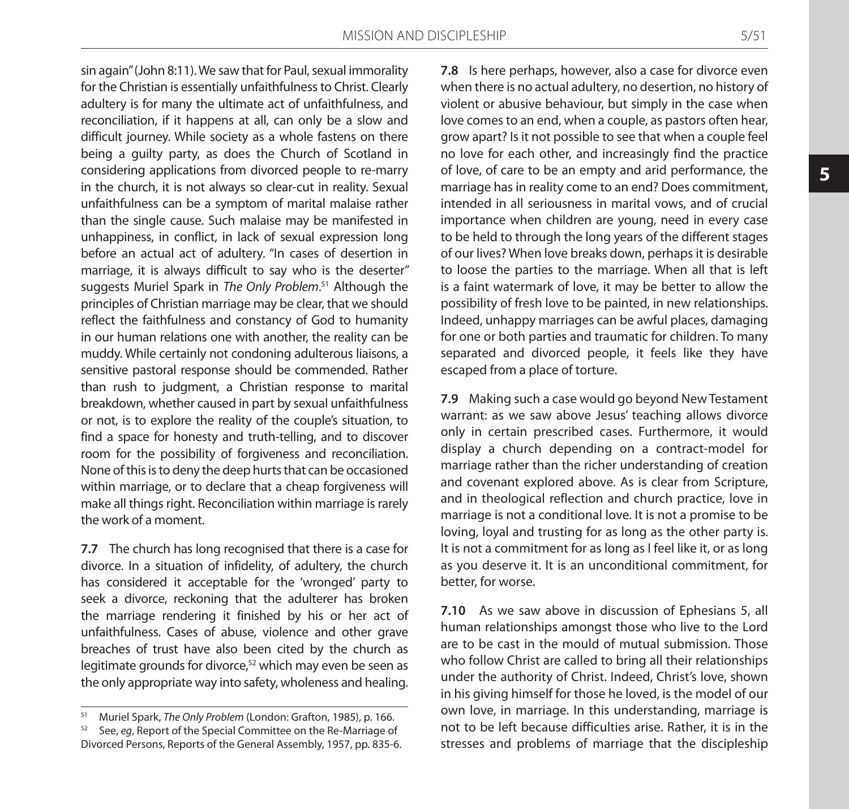sin again" (John 8:11). We saw that for Paul, sexual immorality for the Christian is essentially unfaithfulness to Christ. Clearly adultery is for many the ultimate act of unfaithfulness, and reconciliation, if it happens at all, can only be a slow and difficult journey. While society as a whole fastens on there being a guilty party, as does the Church of Scotland in considering applications from divorced people to re-marry in the church, it is not always so clear-cut in reality. Sexual unfaithfulness can be a symptom of marital malaise rather than the single cause. Such malaise may be manifested in unhappiness, in conflict, in lack of sexual expression long before an actual act of adultery. "In cases of desertion in marriage, it is always difficult to say who is the deserter" suggests Muriel Spark in *The Only Problem*. 51 Although the principles of Christian marriage may be clear, that we should reflect the faithfulness and constancy of God to humanity in our human relations one with another, the reality can be muddy. While certainly not condoning adulterous liaisons, a sensitive pastoral response should be commended. Rather than rush to judgment, a Christian response to marital breakdown, whether caused in part by sexual unfaithfulness or not, is to explore the reality of the couple's situation, to find a space for honesty and truth-telling, and to discover room for the possibility of forgiveness and reconciliation. None of this is to deny the deep hurts that can be occasioned within marriage, or to declare that a cheap forgiveness will make all things right. Reconciliation within marriage is rarely the work of a moment.

**7.7** The church has long recognised that there is a case for divorce. In a situation of infidelity, of adultery, the church has considered it acceptable for the 'wronged' party to seek a divorce, reckoning that the adulterer has broken the marriage rendering it finished by his or her act of unfaithfulness. Cases of abuse, violence and other grave breaches of trust have also been cited by the church as legitimate grounds for divorce, $52$  which may even be seen as the only appropriate way into safety, wholeness and healing.

**7.8** Is here perhaps, however, also a case for divorce even when there is no actual adultery, no desertion, no history of violent or abusive behaviour, but simply in the case when love comes to an end, when a couple, as pastors often hear, grow apart? Is it not possible to see that when a couple feel no love for each other, and increasingly find the practice of love, of care to be an empty and arid performance, the marriage has in reality come to an end? Does commitment, intended in all seriousness in marital vows, and of crucial importance when children are young, need in every case to be held to through the long years of the different stages of our lives? When love breaks down, perhaps it is desirable to loose the parties to the marriage. When all that is left is a faint watermark of love, it may be better to allow the possibility of fresh love to be painted, in new relationships. Indeed, unhappy marriages can be awful places, damaging for one or both parties and traumatic for children. To many separated and divorced people, it feels like they have escaped from a place of torture.

**7.9** Making such a case would go beyond New Testament warrant: as we saw above Jesus' teaching allows divorce only in certain prescribed cases. Furthermore, it would display a church depending on a contract-model for marriage rather than the richer understanding of creation and covenant explored above. As is clear from Scripture, and in theological reflection and church practice, love in marriage is not a conditional love. It is not a promise to be loving, loyal and trusting for as long as the other party is. It is not a commitment for as long as I feel like it, or as long as you deserve it. It is an unconditional commitment, for better, for worse.

**7.10** As we saw above in discussion of Ephesians 5, all human relationships amongst those who live to the Lord are to be cast in the mould of mutual submission. Those who follow Christ are called to bring all their relationships under the authority of Christ. Indeed, Christ's love, shown in his giving himself for those he loved, is the model of our own love, in marriage. In this understanding, marriage is not to be left because difficulties arise. Rather, it is in the stresses and problems of marriage that the discipleship

<sup>51</sup> Muriel Spark, *The Only Problem* (London: Grafton, 1985), p. 166.

<sup>52</sup> See, *eg*, Report of the Special Committee on the Re-Marriage of Divorced Persons, Reports of the General Assembly, 1957, pp. 835-6.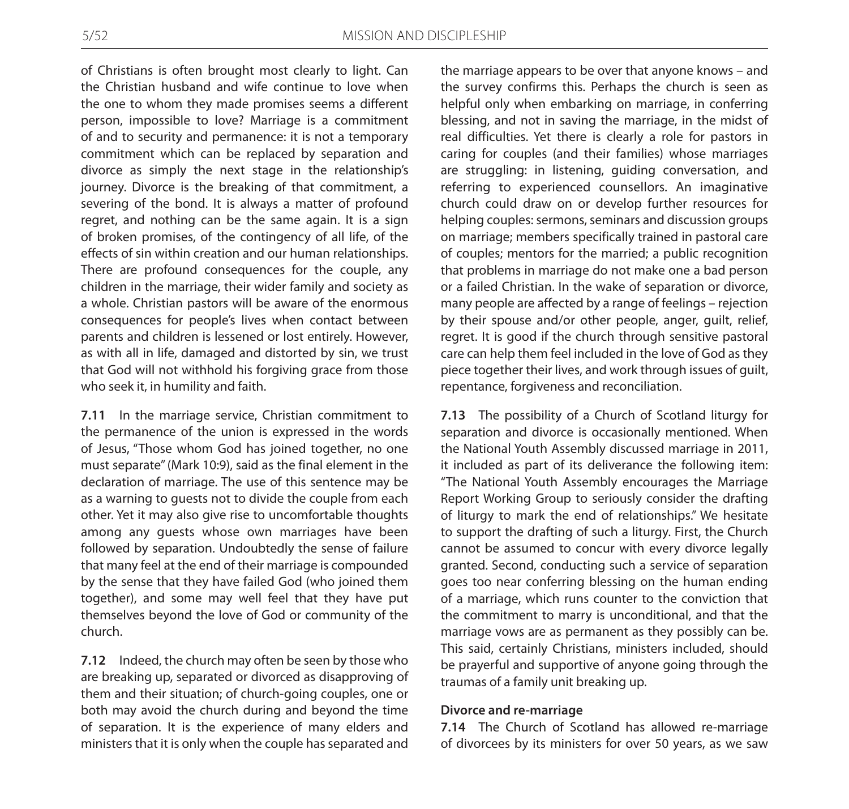of Christians is often brought most clearly to light. Can the Christian husband and wife continue to love when the one to whom they made promises seems a different person, impossible to love? Marriage is a commitment of and to security and permanence: it is not a temporary commitment which can be replaced by separation and divorce as simply the next stage in the relationship's journey. Divorce is the breaking of that commitment, a severing of the bond. It is always a matter of profound regret, and nothing can be the same again. It is a sign of broken promises, of the contingency of all life, of the effects of sin within creation and our human relationships. There are profound consequences for the couple, any children in the marriage, their wider family and society as a whole. Christian pastors will be aware of the enormous consequences for people's lives when contact between parents and children is lessened or lost entirely. However, as with all in life, damaged and distorted by sin, we trust that God will not withhold his forgiving grace from those who seek it, in humility and faith.

**7.11** In the marriage service, Christian commitment to the permanence of the union is expressed in the words of Jesus, "Those whom God has joined together, no one must separate" (Mark 10:9), said as the final element in the declaration of marriage. The use of this sentence may be as a warning to guests not to divide the couple from each other. Yet it may also give rise to uncomfortable thoughts among any guests whose own marriages have been followed by separation. Undoubtedly the sense of failure that many feel at the end of their marriage is compounded by the sense that they have failed God (who joined them together), and some may well feel that they have put themselves beyond the love of God or community of the church.

**7.12** Indeed, the church may often be seen by those who are breaking up, separated or divorced as disapproving of them and their situation; of church-going couples, one or both may avoid the church during and beyond the time of separation. It is the experience of many elders and ministers that it is only when the couple has separated and

the marriage appears to be over that anyone knows – and the survey confirms this. Perhaps the church is seen as helpful only when embarking on marriage, in conferring blessing, and not in saving the marriage, in the midst of real difficulties. Yet there is clearly a role for pastors in caring for couples (and their families) whose marriages are struggling: in listening, guiding conversation, and referring to experienced counsellors. An imaginative church could draw on or develop further resources for helping couples: sermons, seminars and discussion groups on marriage; members specifically trained in pastoral care of couples; mentors for the married; a public recognition that problems in marriage do not make one a bad person or a failed Christian. In the wake of separation or divorce, many people are affected by a range of feelings – rejection by their spouse and/or other people, anger, guilt, relief, regret. It is good if the church through sensitive pastoral care can help them feel included in the love of God as they piece together their lives, and work through issues of guilt, repentance, forgiveness and reconciliation.

**7.13** The possibility of a Church of Scotland liturgy for separation and divorce is occasionally mentioned. When the National Youth Assembly discussed marriage in 2011, it included as part of its deliverance the following item: "The National Youth Assembly encourages the Marriage Report Working Group to seriously consider the drafting of liturgy to mark the end of relationships." We hesitate to support the drafting of such a liturgy. First, the Church cannot be assumed to concur with every divorce legally granted. Second, conducting such a service of separation goes too near conferring blessing on the human ending of a marriage, which runs counter to the conviction that the commitment to marry is unconditional, and that the marriage vows are as permanent as they possibly can be. This said, certainly Christians, ministers included, should be prayerful and supportive of anyone going through the traumas of a family unit breaking up.

### **Divorce and re-marriage**

**7.14** The Church of Scotland has allowed re-marriage of divorcees by its ministers for over 50 years, as we saw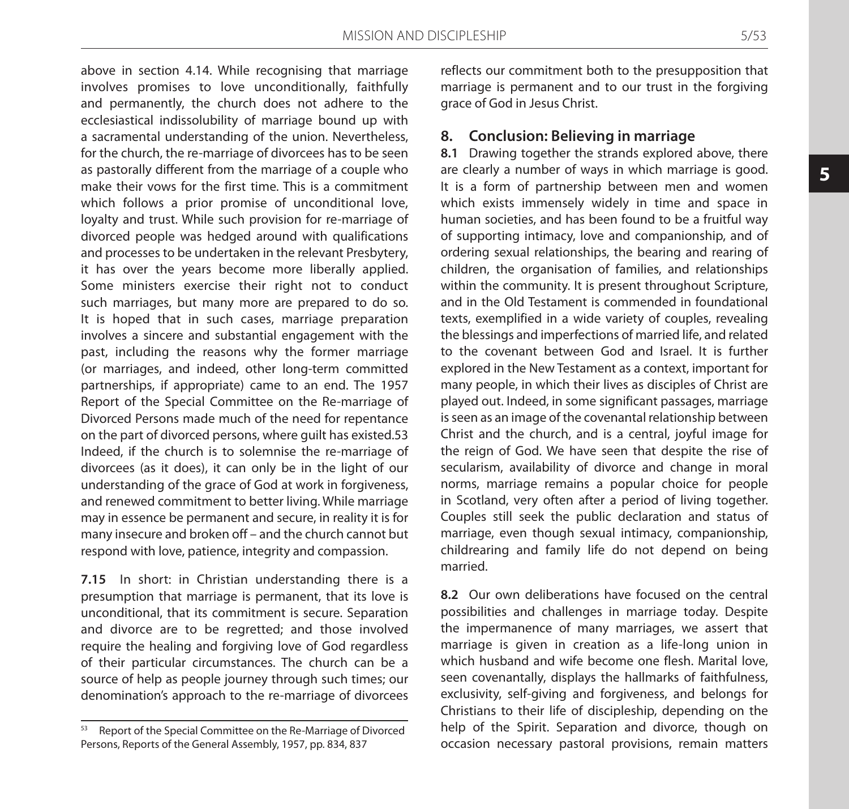above in section 4.14. While recognising that marriage involves promises to love unconditionally, faithfully and permanently, the church does not adhere to the ecclesiastical indissolubility of marriage bound up with a sacramental understanding of the union. Nevertheless, for the church, the re-marriage of divorcees has to be seen as pastorally different from the marriage of a couple who make their vows for the first time. This is a commitment which follows a prior promise of unconditional love, loyalty and trust. While such provision for re-marriage of divorced people was hedged around with qualifications and processes to be undertaken in the relevant Presbytery, it has over the years become more liberally applied. Some ministers exercise their right not to conduct such marriages, but many more are prepared to do so. It is hoped that in such cases, marriage preparation involves a sincere and substantial engagement with the past, including the reasons why the former marriage (or marriages, and indeed, other long-term committed partnerships, if appropriate) came to an end. The 1957 Report of the Special Committee on the Re-marriage of Divorced Persons made much of the need for repentance on the part of divorced persons, where guilt has existed.53 Indeed, if the church is to solemnise the re-marriage of divorcees (as it does), it can only be in the light of our understanding of the grace of God at work in forgiveness, and renewed commitment to better living. While marriage may in essence be permanent and secure, in reality it is for many insecure and broken off – and the church cannot but respond with love, patience, integrity and compassion.

**7.15** In short: in Christian understanding there is a presumption that marriage is permanent, that its love is unconditional, that its commitment is secure. Separation and divorce are to be regretted; and those involved require the healing and forgiving love of God regardless of their particular circumstances. The church can be a source of help as people journey through such times; our denomination's approach to the re-marriage of divorcees

reflects our commitment both to the presupposition that marriage is permanent and to our trust in the forgiving grace of God in Jesus Christ.

### **8. Conclusion: Believing in marriage**

**8.1** Drawing together the strands explored above, there are clearly a number of ways in which marriage is good. It is a form of partnership between men and women which exists immensely widely in time and space in human societies, and has been found to be a fruitful way of supporting intimacy, love and companionship, and of ordering sexual relationships, the bearing and rearing of children, the organisation of families, and relationships within the community. It is present throughout Scripture, and in the Old Testament is commended in foundational texts, exemplified in a wide variety of couples, revealing the blessings and imperfections of married life, and related to the covenant between God and Israel. It is further explored in the New Testament as a context, important for many people, in which their lives as disciples of Christ are played out. Indeed, in some significant passages, marriage is seen as an image of the covenantal relationship between Christ and the church, and is a central, joyful image for the reign of God. We have seen that despite the rise of secularism, availability of divorce and change in moral norms, marriage remains a popular choice for people in Scotland, very often after a period of living together. Couples still seek the public declaration and status of marriage, even though sexual intimacy, companionship, childrearing and family life do not depend on being married.

**8.2** Our own deliberations have focused on the central possibilities and challenges in marriage today. Despite the impermanence of many marriages, we assert that marriage is given in creation as a life-long union in which husband and wife become one flesh. Marital love, seen covenantally, displays the hallmarks of faithfulness, exclusivity, self-giving and forgiveness, and belongs for Christians to their life of discipleship, depending on the help of the Spirit. Separation and divorce, though on occasion necessary pastoral provisions, remain matters

<sup>53</sup> Report of the Special Committee on the Re-Marriage of Divorced Persons, Reports of the General Assembly, 1957, pp. 834, 837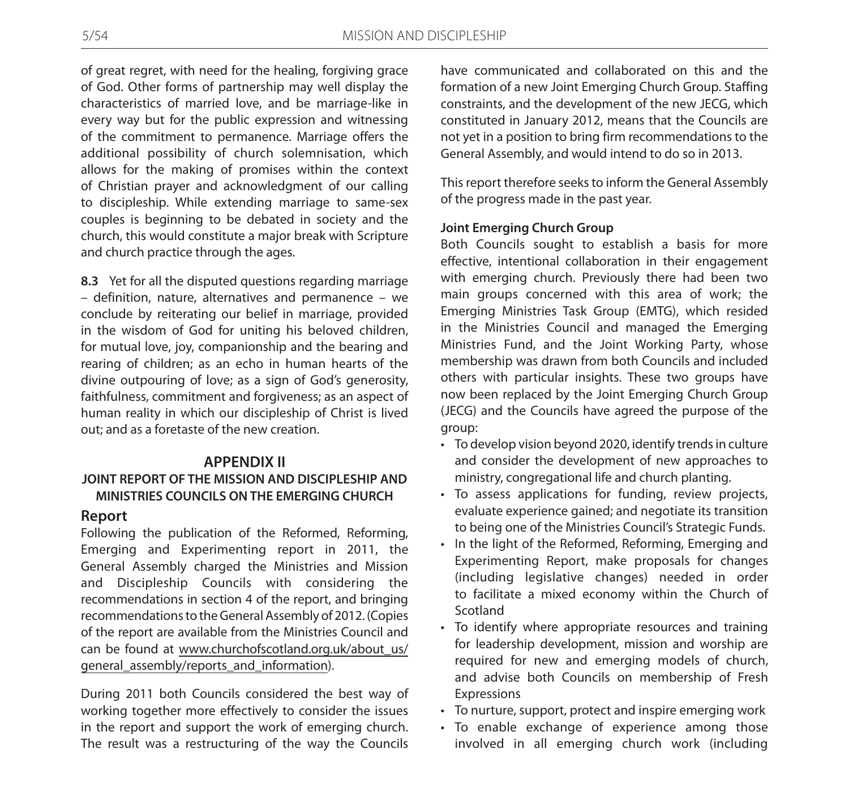of great regret, with need for the healing, forgiving grace of God. Other forms of partnership may well display the characteristics of married love, and be marriage-like in every way but for the public expression and witnessing of the commitment to permanence. Marriage offers the additional possibility of church solemnisation, which allows for the making of promises within the context of Christian prayer and acknowledgment of our calling to discipleship. While extending marriage to same-sex couples is beginning to be debated in society and the church, this would constitute a major break with Scripture and church practice through the ages.

**8.3** Yet for all the disputed questions regarding marriage – definition, nature, alternatives and permanence – we conclude by reiterating our belief in marriage, provided in the wisdom of God for uniting his beloved children, for mutual love, joy, companionship and the bearing and rearing of children; as an echo in human hearts of the divine outpouring of love; as a sign of God's generosity, faithfulness, commitment and forgiveness; as an aspect of human reality in which our discipleship of Christ is lived out; and as a foretaste of the new creation.

# **APPENDIX II JOINT REPORT OF THE MISSION AND DISCIPLESHIP AND MINISTRIES COUNCILS ON THE EMERGING CHURCH**

### **Report**

Following the publication of the Reformed, Reforming, Emerging and Experimenting report in 2011, the General Assembly charged the Ministries and Mission and Discipleship Councils with considering the recommendations in section 4 of the report, and bringing recommendations to the General Assembly of 2012. (Copies of the report are available from the Ministries Council and can be found at www.churchofscotland.org.uk/about\_us/ general\_assembly/reports\_and\_information).

During 2011 both Councils considered the best way of working together more effectively to consider the issues in the report and support the work of emerging church. The result was a restructuring of the way the Councils

have communicated and collaborated on this and the formation of a new Joint Emerging Church Group. Staffing constraints, and the development of the new JECG, which constituted in January 2012, means that the Councils are not yet in a position to bring firm recommendations to the General Assembly, and would intend to do so in 2013.

This report therefore seeks to inform the General Assembly of the progress made in the past year.

### **Joint Emerging Church Group**

Both Councils sought to establish a basis for more effective, intentional collaboration in their engagement with emerging church. Previously there had been two main groups concerned with this area of work; the Emerging Ministries Task Group (EMTG), which resided in the Ministries Council and managed the Emerging Ministries Fund, and the Joint Working Party, whose membership was drawn from both Councils and included others with particular insights. These two groups have now been replaced by the Joint Emerging Church Group (JECG) and the Councils have agreed the purpose of the group:

- To develop vision beyond 2020, identify trends in culture and consider the development of new approaches to ministry, congregational life and church planting.
- • To assess applications for funding, review projects, evaluate experience gained; and negotiate its transition to being one of the Ministries Council's Strategic Funds.
- In the light of the Reformed, Reforming, Emerging and Experimenting Report, make proposals for changes (including legislative changes) needed in order to facilitate a mixed economy within the Church of Scotland
- To identify where appropriate resources and training for leadership development, mission and worship are required for new and emerging models of church, and advise both Councils on membership of Fresh Expressions
- • To nurture, support, protect and inspire emerging work
- • To enable exchange of experience among those involved in all emerging church work (including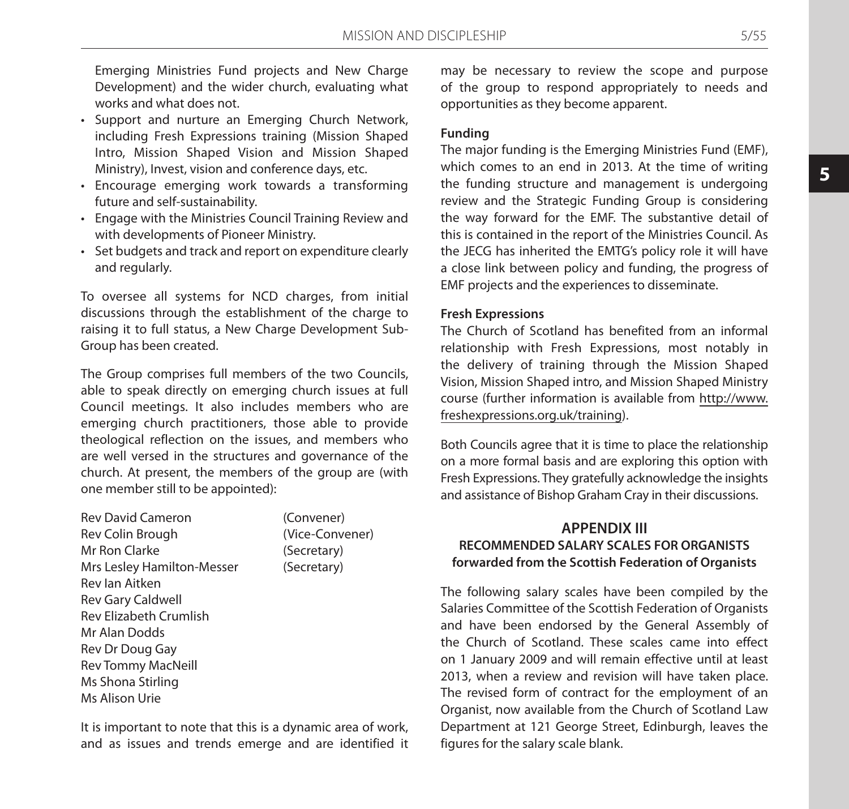Emerging Ministries Fund projects and New Charge Development) and the wider church, evaluating what works and what does not.

- • Support and nurture an Emerging Church Network, including Fresh Expressions training (Mission Shaped Intro, Mission Shaped Vision and Mission Shaped Ministry), Invest, vision and conference days, etc.
- • Encourage emerging work towards a transforming future and self-sustainability.
- • Engage with the Ministries Council Training Review and with developments of Pioneer Ministry.
- • Set budgets and track and report on expenditure clearly and regularly.

To oversee all systems for NCD charges, from initial discussions through the establishment of the charge to raising it to full status, a New Charge Development Sub-Group has been created.

The Group comprises full members of the two Councils, able to speak directly on emerging church issues at full Council meetings. It also includes members who are emerging church practitioners, those able to provide theological reflection on the issues, and members who are well versed in the structures and governance of the church. At present, the members of the group are (with one member still to be appointed):

| <b>Rev David Cameron</b>      | (Convener)      |
|-------------------------------|-----------------|
| Rev Colin Brough              | (Vice-Convener) |
| Mr Ron Clarke                 | (Secretary)     |
| Mrs Lesley Hamilton-Messer    | (Secretary)     |
| Rev lan Aitken                |                 |
| Rev Gary Caldwell             |                 |
| <b>Rev Elizabeth Crumlish</b> |                 |
| Mr Alan Dodds                 |                 |
| Rev Dr Doug Gay               |                 |
| Rev Tommy MacNeill            |                 |
| Ms Shona Stirling             |                 |
| Ms Alison Urie                |                 |
|                               |                 |

It is important to note that this is a dynamic area of work, and as issues and trends emerge and are identified it

may be necessary to review the scope and purpose of the group to respond appropriately to needs and opportunities as they become apparent.

### **Funding**

The major funding is the Emerging Ministries Fund (EMF), which comes to an end in 2013. At the time of writing the funding structure and management is undergoing review and the Strategic Funding Group is considering the way forward for the EMF. The substantive detail of this is contained in the report of the Ministries Council. As the JECG has inherited the EMTG's policy role it will have a close link between policy and funding, the progress of EMF projects and the experiences to disseminate.

#### **Fresh Expressions**

The Church of Scotland has benefited from an informal relationship with Fresh Expressions, most notably in the delivery of training through the Mission Shaped Vision, Mission Shaped intro, and Mission Shaped Ministry course (further information is available from http://www. freshexpressions.org.uk/training).

Both Councils agree that it is time to place the relationship on a more formal basis and are exploring this option with Fresh Expressions. They gratefully acknowledge the insights and assistance of Bishop Graham Cray in their discussions.

# **APPENDIX III RECOMMENDED SALARY SCALES FOR ORGANISTS forwarded from the Scottish Federation of Organists**

The following salary scales have been compiled by the Salaries Committee of the Scottish Federation of Organists and have been endorsed by the General Assembly of the Church of Scotland. These scales came into effect on 1 January 2009 and will remain effective until at least 2013, when a review and revision will have taken place. The revised form of contract for the employment of an Organist, now available from the Church of Scotland Law Department at 121 George Street, Edinburgh, leaves the figures for the salary scale blank.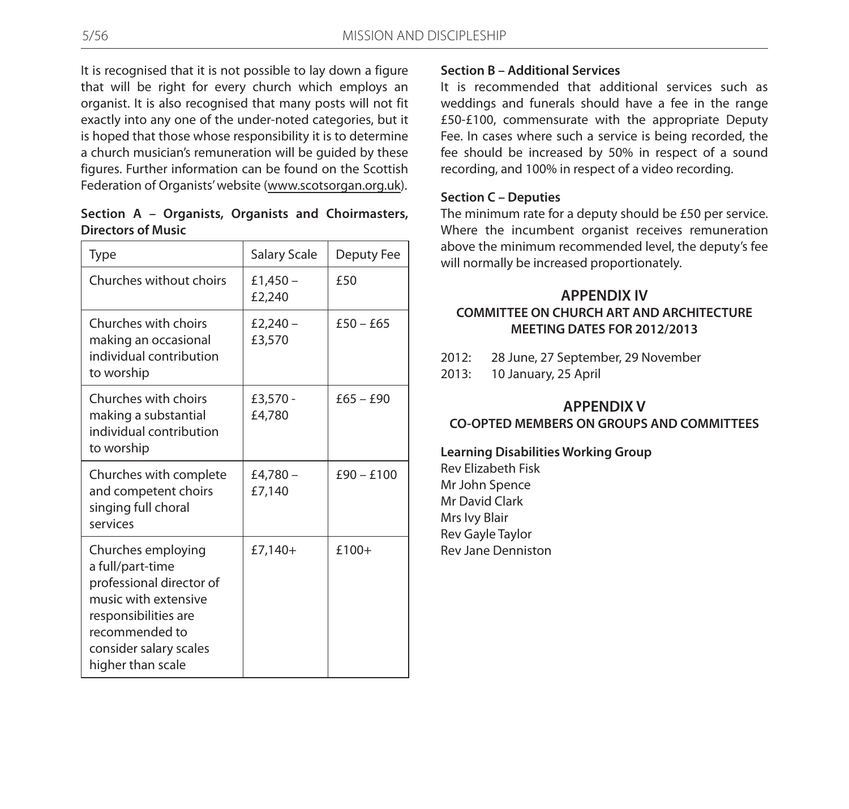It is recognised that it is not possible to lay down a figure that will be right for every church which employs an organist. It is also recognised that many posts will not fit exactly into any one of the under-noted categories, but it is hoped that those whose responsibility it is to determine a church musician's remuneration will be guided by these figures. Further information can be found on the Scottish Federation of Organists' website (www.scotsorgan.org.uk).

| Section A – Organists, Organists and Choirmasters, |  |  |
|----------------------------------------------------|--|--|
| <b>Directors of Music</b>                          |  |  |

| <b>Type</b>                                                                                                                                                                         | Salary Scale         | Deputy Fee   |
|-------------------------------------------------------------------------------------------------------------------------------------------------------------------------------------|----------------------|--------------|
| Churches without choirs                                                                                                                                                             | £1,450 $-$<br>£2,240 | f50          |
| Churches with choirs<br>making an occasional<br>individual contribution<br>to worship                                                                                               | £2,240 $-$<br>£3,570 | $f50 - f65$  |
| Churches with choirs<br>making a substantial<br>individual contribution<br>to worship                                                                                               | £3,570 -<br>£4,780   | $£65 - £90$  |
| Churches with complete<br>and competent choirs<br>singing full choral<br>services                                                                                                   | £4,780 –<br>£7.140   | $£90 - £100$ |
| Churches employing<br>a full/part-time<br>professional director of<br>music with extensive<br>responsibilities are<br>recommended to<br>consider salary scales<br>higher than scale | $£7,140+$            | $£100+$      |

### **Section B – Additional Services**

It is recommended that additional services such as weddings and funerals should have a fee in the range £50-£100, commensurate with the appropriate Deputy Fee. In cases where such a service is being recorded, the fee should be increased by 50% in respect of a sound recording, and 100% in respect of a video recording.

### **Section C – Deputies**

The minimum rate for a deputy should be £50 per service. Where the incumbent organist receives remuneration above the minimum recommended level, the deputy's fee will normally be increased proportionately.

# **APPENDIX IV COMMITTEE ON CHURCH ART AND ARCHITECTURE MEETING DATES FOR 2012/2013**

- 2012: 28 June, 27 September, 29 November
- 2013: 10 January, 25 April

# **APPENDIX V CO-OPTED MEMBERS ON GROUPS AND COMMITTEES**

**Learning Disabilities Working Group**

Rev Elizabeth Fisk Mr John Spence Mr David Clark Mrs Ivy Blair Rev Gayle Taylor Rev Jane Denniston